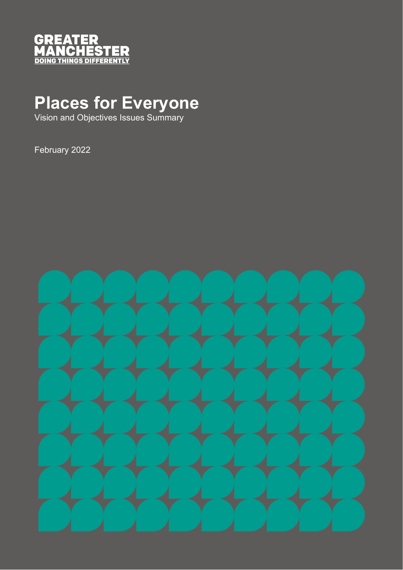

# **Places for Everyone**

Vision and Objectives Issues Summary

February 2022

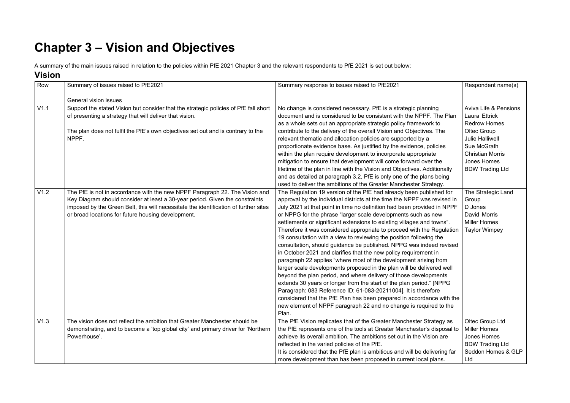## **Chapter 3 – Vision and Objectives**

A summary of the main issues raised in relation to the policies within PfE 2021 Chapter 3 and the relevant respondents to PfE 2021 is set out below:

#### **Vision**

| Row  | Summary of issues raised to PfE2021                                                                                                                                                                                                                                                                       | Summary response to issues raised to PfE2021                                                                                                                                                                                                                                                                                                                                                                                                                                                                                                                                                                                                                                                                                                                                                                                                                                                                                                                                                                                                                                                                                                                                        | Respondent name(s)                                                                                                                                                         |
|------|-----------------------------------------------------------------------------------------------------------------------------------------------------------------------------------------------------------------------------------------------------------------------------------------------------------|-------------------------------------------------------------------------------------------------------------------------------------------------------------------------------------------------------------------------------------------------------------------------------------------------------------------------------------------------------------------------------------------------------------------------------------------------------------------------------------------------------------------------------------------------------------------------------------------------------------------------------------------------------------------------------------------------------------------------------------------------------------------------------------------------------------------------------------------------------------------------------------------------------------------------------------------------------------------------------------------------------------------------------------------------------------------------------------------------------------------------------------------------------------------------------------|----------------------------------------------------------------------------------------------------------------------------------------------------------------------------|
|      | <b>General vision issues</b>                                                                                                                                                                                                                                                                              |                                                                                                                                                                                                                                                                                                                                                                                                                                                                                                                                                                                                                                                                                                                                                                                                                                                                                                                                                                                                                                                                                                                                                                                     |                                                                                                                                                                            |
| V1.1 | Support the stated Vision but consider that the strategic policies of PfE fall short<br>of presenting a strategy that will deliver that vision.<br>The plan does not fulfil the PfE's own objectives set out and is contrary to the<br>NPPF.                                                              | No change is considered necessary. PfE is a strategic planning<br>document and is considered to be consistent with the NPPF. The Plan<br>as a whole sets out an appropriate strategic policy framework to<br>contribute to the delivery of the overall Vision and Objectives. The<br>relevant thematic and allocation policies are supported by a<br>proportionate evidence base. As justified by the evidence, policies<br>within the plan require development to incorporate appropriate<br>mitigation to ensure that development will come forward over the                                                                                                                                                                                                                                                                                                                                                                                                                                                                                                                                                                                                                      | <b>Aviva Life &amp; Pensions</b><br>Laura Ettrick<br><b>Redrow Homes</b><br>Oltec Group<br><b>Julie Halliwell</b><br>Sue McGrath<br><b>Christian Morris</b><br>Jones Homes |
|      |                                                                                                                                                                                                                                                                                                           | lifetime of the plan in line with the Vision and Objectives. Additionally<br>and as detailed at paragraph 3.2, PfE is only one of the plans being<br>used to deliver the ambitions of the Greater Manchester Strategy.                                                                                                                                                                                                                                                                                                                                                                                                                                                                                                                                                                                                                                                                                                                                                                                                                                                                                                                                                              | <b>BDW Trading Ltd</b>                                                                                                                                                     |
| V1.2 | The PfE is not in accordance with the new NPPF Paragraph 22. The Vision and<br>Key Diagram should consider at least a 30-year period. Given the constraints<br>imposed by the Green Belt, this will necessitate the identification of further sites<br>or broad locations for future housing development. | The Regulation 19 version of the PfE had already been published for<br>approval by the individual districts at the time the NPPF was revised in<br>July 2021 at that point in time no definition had been provided in NPPF<br>or NPPG for the phrase "larger scale developments such as new<br>settlements or significant extensions to existing villages and towns".<br>Therefore it was considered appropriate to proceed with the Regulation<br>19 consultation with a view to reviewing the position following the<br>consultation, should guidance be published. NPPG was indeed revised<br>in October 2021 and clarifies that the new policy requirement in<br>paragraph 22 applies "where most of the development arising from<br>larger scale developments proposed in the plan will be delivered well<br>beyond the plan period, and where delivery of those developments<br>extends 30 years or longer from the start of the plan period." [NPPG<br>Paragraph: 083 Reference ID: 61-083-20211004]. It is therefore<br>considered that the PfE Plan has been prepared in accordance with the<br>new element of NPPF paragraph 22 and no change is required to the<br>Plan. | The Strategic Land<br>Group<br>D Jones<br>David Morris<br><b>Miller Homes</b><br>Taylor Wimpey                                                                             |
| V1.3 | The vision does not reflect the ambition that Greater Manchester should be<br>demonstrating, and to become a 'top global city' and primary driver for 'Northern<br>Powerhouse'.                                                                                                                           | The PfE Vision replicates that of the Greater Manchester Strategy as<br>the PfE represents one of the tools at Greater Manchester's disposal to<br>achieve its overall ambition. The ambitions set out in the Vision are<br>reflected in the varied policies of the PfE.<br>It is considered that the PfE plan is ambitious and will be delivering far<br>more development than has been proposed in current local plans.                                                                                                                                                                                                                                                                                                                                                                                                                                                                                                                                                                                                                                                                                                                                                           | Oltec Group Ltd<br><b>Miller Homes</b><br>Jones Homes<br><b>BDW Trading Ltd</b><br>Seddon Homes & GLP<br>Ltd                                                               |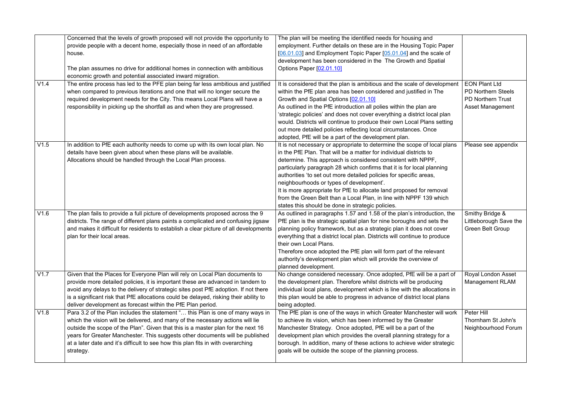|      | Concerned that the levels of growth proposed will not provide the opportunity to      | The plan will be meeting the identified needs for housing and             |                           |
|------|---------------------------------------------------------------------------------------|---------------------------------------------------------------------------|---------------------------|
|      | provide people with a decent home, especially those in need of an affordable          | employment. Further details on these are in the Housing Topic Paper       |                           |
|      | house.                                                                                | [06.01.03] and Employment Topic Paper [05.01.04] and the scale of         |                           |
|      |                                                                                       | development has been considered in the The Growth and Spatial             |                           |
|      | The plan assumes no drive for additional homes in connection with ambitious           | Options Paper [02.01.10]                                                  |                           |
|      | economic growth and potential associated inward migration.                            |                                                                           |                           |
| V1.4 | The entire process has led to the PFE plan being far less ambitious and justified     | It is considered that the plan is ambitious and the scale of development  | <b>EON Plant Ltd</b>      |
|      | when compared to previous iterations and one that will no longer secure the           | within the PfE plan area has been considered and justified in The         | <b>PD Northern Steels</b> |
|      | required development needs for the City. This means Local Plans will have a           | Growth and Spatial Options [02.01.10]                                     | <b>PD Northern Trust</b>  |
|      | responsibility in picking up the shortfall as and when they are progressed.           | As outlined in the PfE introduction all polies within the plan are        | <b>Asset Management</b>   |
|      |                                                                                       | 'strategic policies' and does not cover everything a district local plan  |                           |
|      |                                                                                       | would. Districts will continue to produce their own Local Plans setting   |                           |
|      |                                                                                       | out more detailed policies reflecting local circumstances. Once           |                           |
|      |                                                                                       | adopted, PfE will be a part of the development plan.                      |                           |
| V1.5 | In addition to PfE each authority needs to come up with its own local plan. No        | It is not necessary or appropriate to determine the scope of local plans  | Please see appendix       |
|      | details have been given about when these plans will be available.                     | in the PfE Plan. That will be a matter for individual districts to        |                           |
|      | Allocations should be handled through the Local Plan process.                         | determine. This approach is considered consistent with NPPF,              |                           |
|      |                                                                                       | particularly paragraph 28 which confirms that it is for local planning    |                           |
|      |                                                                                       | authorities 'to set out more detailed policies for specific areas,        |                           |
|      |                                                                                       | neighbourhoods or types of development'.                                  |                           |
|      |                                                                                       | It is more appropriate for PfE to allocate land proposed for removal      |                           |
|      |                                                                                       | from the Green Belt than a Local Plan, in line with NPPF 139 which        |                           |
|      |                                                                                       | states this should be done in strategic policies.                         |                           |
| V1.6 | The plan fails to provide a full picture of developments proposed across the 9        | As outlined in paragraphs 1.57 and 1.58 of the plan's introduction, the   | Smithy Bridge &           |
|      | districts. The range of different plans paints a complicated and confusing jigsaw     | PfE plan is the strategic spatial plan for nine boroughs and sets the     | Littleborough Save the    |
|      | and makes it difficult for residents to establish a clear picture of all developments | planning policy framework, but as a strategic plan it does not cover      | <b>Green Belt Group</b>   |
|      | plan for their local areas.                                                           | everything that a district local plan. Districts will continue to produce |                           |
|      |                                                                                       | their own Local Plans.                                                    |                           |
|      |                                                                                       | Therefore once adopted the PfE plan will form part of the relevant        |                           |
|      |                                                                                       | authority's development plan which will provide the overview of           |                           |
|      |                                                                                       | planned development.                                                      |                           |
| V1.7 | Given that the Places for Everyone Plan will rely on Local Plan documents to          | No change considered necessary. Once adopted, PfE will be a part of       | Royal London Asset        |
|      | provide more detailed policies, it is important these are advanced in tandem to       | the development plan. Therefore whilst districts will be producing        | <b>Management RLAM</b>    |
|      | avoid any delays to the delivery of strategic sites post PfE adoption. If not there   | individual local plans, development which is line with the allocations in |                           |
|      | is a significant risk that PfE allocations could be delayed, risking their ability to | this plan would be able to progress in advance of district local plans    |                           |
|      | deliver development as forecast within the PfE Plan period.                           | being adopted.                                                            |                           |
| V1.8 | Para 3.2 of the Plan includes the statement " this Plan is one of many ways in        | The PfE plan is one of the ways in which Greater Manchester will work     | Peter Hill                |
|      | which the vision will be delivered, and many of the necessary actions will lie        | to achieve its vision, which has been informed by the Greater             | Thornham St John's        |
|      | outside the scope of the Plan". Given that this is a master plan for the next 16      | Manchester Strategy. Once adopted, PfE will be a part of the              | Neighbourhood Forum       |
|      | years for Greater Manchester. This suggests other documents will be published         | development plan which provides the overall planning strategy for a       |                           |
|      | at a later date and it's difficult to see how this plan fits in with overarching      | borough. In addition, many of these actions to achieve wider strategic    |                           |
|      | strategy.                                                                             | goals will be outside the scope of the planning process.                  |                           |
|      |                                                                                       |                                                                           |                           |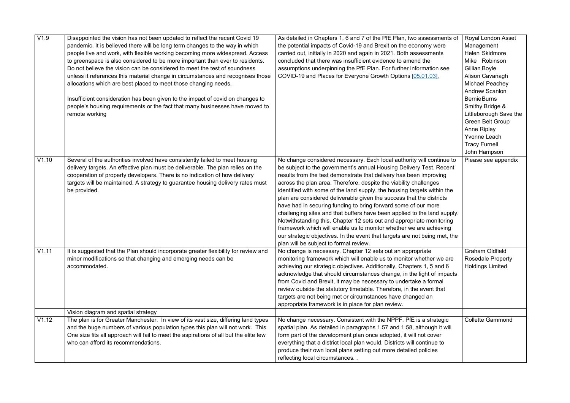| V1.9  | Disappointed the vision has not been updated to reflect the recent Covid 19<br>pandemic. It is believed there will be long term changes to the way in which<br>people live and work, with flexible working becoming more widespread. Access<br>to greenspace is also considered to be more important than ever to residents.<br>Do not believe the vision can be considered to meet the test of soundness<br>unless it references this material change in circumstances and recognises those<br>allocations which are best placed to meet those changing needs.<br>Insufficient consideration has been given to the impact of covid on changes to<br>people's housing requirements or the fact that many businesses have moved to<br>remote working | As detailed in Chapters 1, 6 and 7 of the PfE Plan, two assessments of<br>the potential impacts of Covid-19 and Brexit on the economy were<br>carried out, initially in 2020 and again in 2021. Both assessments<br>concluded that there was insufficient evidence to amend the<br>assumptions underpinning the PfE Plan. For further information see<br>COVID-19 and Places for Everyone Growth Options [05.01.03].                                                                                                                                                                                                                                                                                                                                                                                                                                           | <b>Royal London Asset</b><br>Management<br>Helen Skidmore<br>Mike Robinson<br>Gillian Boyle<br>Alison Cavanagh<br><b>Michael Peachey</b><br><b>Andrew Scanlon</b><br><b>Bernie Burns</b><br>Smithy Bridge &<br>Littleborough Save the<br><b>Green Belt Group</b><br><b>Anne Ripley</b><br>Yvonne Leach<br><b>Tracy Furnell</b><br>John Hampson |
|-------|-----------------------------------------------------------------------------------------------------------------------------------------------------------------------------------------------------------------------------------------------------------------------------------------------------------------------------------------------------------------------------------------------------------------------------------------------------------------------------------------------------------------------------------------------------------------------------------------------------------------------------------------------------------------------------------------------------------------------------------------------------|----------------------------------------------------------------------------------------------------------------------------------------------------------------------------------------------------------------------------------------------------------------------------------------------------------------------------------------------------------------------------------------------------------------------------------------------------------------------------------------------------------------------------------------------------------------------------------------------------------------------------------------------------------------------------------------------------------------------------------------------------------------------------------------------------------------------------------------------------------------|------------------------------------------------------------------------------------------------------------------------------------------------------------------------------------------------------------------------------------------------------------------------------------------------------------------------------------------------|
| V1.10 | Several of the authorities involved have consistently failed to meet housing<br>delivery targets. An effective plan must be deliverable. The plan relies on the<br>cooperation of property developers. There is no indication of how delivery<br>targets will be maintained. A strategy to guarantee housing delivery rates must<br>be provided.                                                                                                                                                                                                                                                                                                                                                                                                    | No change considered necessary. Each local authority will continue to<br>be subject to the government's annual Housing Delivery Test. Recent<br>results from the test demonstrate that delivery has been improving<br>across the plan area. Therefore, despite the viability challenges<br>identified with some of the land supply, the housing targets within the<br>plan are considered deliverable given the success that the districts<br>have had in securing funding to bring forward some of our more<br>challenging sites and that buffers have been applied to the land supply.<br>Notwithstanding this, Chapter 12 sets out and appropriate monitoring<br>framework which will enable us to monitor whether we are achieving<br>our strategic objectives. In the event that targets are not being met, the<br>plan will be subject to formal review. | Please see appendix                                                                                                                                                                                                                                                                                                                            |
| V1.11 | It is suggested that the Plan should incorporate greater flexibility for review and<br>minor modifications so that changing and emerging needs can be<br>accommodated.                                                                                                                                                                                                                                                                                                                                                                                                                                                                                                                                                                              | No change is necessary. Chapter 12 sets out an appropriate<br>monitoring framework which will enable us to monitor whether we are<br>achieving our strategic objectives. Additionally, Chapters 1, 5 and 6<br>acknowledge that should circumstances change, in the light of impacts<br>from Covid and Brexit, it may be necessary to undertake a formal<br>review outside the statutory timetable. Therefore, in the event that<br>targets are not being met or circumstances have changed an<br>appropriate framework is in place for plan review.                                                                                                                                                                                                                                                                                                            | <b>Graham Oldfield</b><br><b>Rosedale Property</b><br><b>Holdings Limited</b>                                                                                                                                                                                                                                                                  |
|       | Vision diagram and spatial strategy                                                                                                                                                                                                                                                                                                                                                                                                                                                                                                                                                                                                                                                                                                                 |                                                                                                                                                                                                                                                                                                                                                                                                                                                                                                                                                                                                                                                                                                                                                                                                                                                                |                                                                                                                                                                                                                                                                                                                                                |
| V1.12 | The plan is for Greater Manchester. In view of its vast size, differing land types<br>and the huge numbers of various population types this plan will not work. This<br>One size fits all approach will fail to meet the aspirations of all but the elite few<br>who can afford its recommendations.                                                                                                                                                                                                                                                                                                                                                                                                                                                | No change necessary. Consistent with the NPPF. PfE is a strategic<br>spatial plan. As detailed in paragraphs 1.57 and 1.58, although it will<br>form part of the development plan once adopted, it will not cover<br>everything that a district local plan would. Districts will continue to<br>produce their own local plans setting out more detailed policies<br>reflecting local circumstances                                                                                                                                                                                                                                                                                                                                                                                                                                                             | <b>Collette Gammond</b>                                                                                                                                                                                                                                                                                                                        |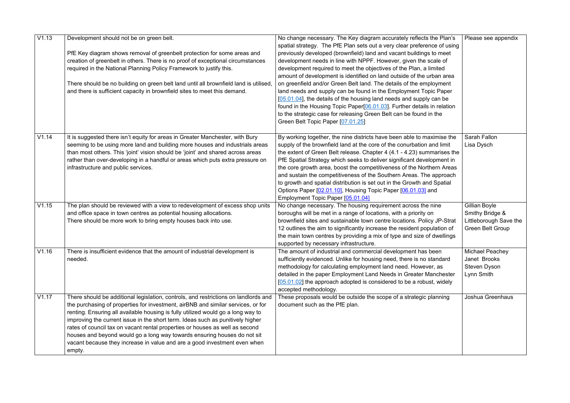| V1.13 | Development should not be on green belt.                                                                                                                        | No change necessary. The Key diagram accurately reflects the Plan's                                                                              | Please see appendix     |
|-------|-----------------------------------------------------------------------------------------------------------------------------------------------------------------|--------------------------------------------------------------------------------------------------------------------------------------------------|-------------------------|
|       |                                                                                                                                                                 | spatial strategy. The PfE Plan sets out a very clear preference of using                                                                         |                         |
|       | PfE Key diagram shows removal of greenbelt protection for some areas and                                                                                        | previously developed (brownfield) land and vacant buildings to meet                                                                              |                         |
|       | creation of greenbelt in others. There is no proof of exceptional circumstances                                                                                 | development needs in line with NPPF. However, given the scale of                                                                                 |                         |
|       | required in the National Planning Policy Framework to justify this.                                                                                             | development required to meet the objectives of the Plan, a limited                                                                               |                         |
|       |                                                                                                                                                                 | amount of development is identified on land outside of the urban area                                                                            |                         |
|       | There should be no building on green belt land until all brownfield land is utilised,                                                                           | on greenfield and/or Green Belt land. The details of the employment                                                                              |                         |
|       | and there is sufficient capacity in brownfield sites to meet this demand.                                                                                       | land needs and supply can be found in the Employment Topic Paper                                                                                 |                         |
|       |                                                                                                                                                                 | [05.01.04], the details of the housing land needs and supply can be                                                                              |                         |
|       |                                                                                                                                                                 | found in the Housing Topic Paper <sup>[06.01.03]</sup> . Further details in relation                                                             |                         |
|       |                                                                                                                                                                 | to the strategic case for releasing Green Belt can be found in the                                                                               |                         |
|       |                                                                                                                                                                 | Green Belt Topic Paper [07.01.25]                                                                                                                |                         |
| V1.14 |                                                                                                                                                                 |                                                                                                                                                  | <b>Sarah Fallon</b>     |
|       | It is suggested there isn't equity for areas in Greater Manchester, with Bury                                                                                   | By working together, the nine districts have been able to maximise the<br>supply of the brownfield land at the core of the conurbation and limit |                         |
|       | seeming to be using more land and building more houses and industrials areas<br>than most others. This 'joint' vision should be 'joint' and shared across areas | the extent of Green Belt release. Chapter 4 (4.1 - 4.23) summarises the                                                                          | Lisa Dysch              |
|       | rather than over-developing in a handful or areas which puts extra pressure on                                                                                  | PfE Spatial Strategy which seeks to deliver significant development in                                                                           |                         |
|       | infrastructure and public services.                                                                                                                             | the core growth area, boost the competitiveness of the Northern Areas                                                                            |                         |
|       |                                                                                                                                                                 | and sustain the competitiveness of the Southern Areas. The approach                                                                              |                         |
|       |                                                                                                                                                                 | to growth and spatial distribution is set out in the Growth and Spatial                                                                          |                         |
|       |                                                                                                                                                                 | Options Paper [02.01.10], Housing Topic Paper [06.01.03] and                                                                                     |                         |
|       |                                                                                                                                                                 | Employment Topic Paper [05.01.04]                                                                                                                |                         |
| V1.15 | The plan should be reviewed with a view to redevelopment of excess shop units                                                                                   | No change necessary. The housing requirement across the nine                                                                                     | Gillian Boyle           |
|       | and office space in town centres as potential housing allocations.                                                                                              | boroughs will be met in a range of locations, with a priority on                                                                                 | Smithy Bridge &         |
|       | There should be more work to bring empty houses back into use.                                                                                                  | brownfield sites and sustainable town centre locations. Policy JP-Strat                                                                          | Littleborough Save the  |
|       |                                                                                                                                                                 | 12 outlines the aim to significantly increase the resident population of                                                                         | <b>Green Belt Group</b> |
|       |                                                                                                                                                                 | the main town centres by providing a mix of type and size of dwellings                                                                           |                         |
|       |                                                                                                                                                                 | supported by necessary infrastructure.                                                                                                           |                         |
| V1.16 | There is insufficient evidence that the amount of industrial development is                                                                                     | The amount of industrial and commercial development has been                                                                                     | Michael Peachey         |
|       | needed.                                                                                                                                                         | sufficiently evidenced. Unlike for housing need, there is no standard                                                                            | Janet Brooks            |
|       |                                                                                                                                                                 | methodology for calculating employment land need. However, as                                                                                    | Steven Dyson            |
|       |                                                                                                                                                                 | detailed in the paper Employment Land Needs in Greater Manchester                                                                                | Lynn Smith              |
|       |                                                                                                                                                                 | [05.01.02] the approach adopted is considered to be a robust, widely                                                                             |                         |
|       |                                                                                                                                                                 | accepted methodology.                                                                                                                            |                         |
| V1.17 | There should be additional legislation, controls, and restrictions on landlords and                                                                             | These proposals would be outside the scope of a strategic planning                                                                               | Joshua Greenhaus        |
|       | the purchasing of properties for investment, airBNB and similar services, or for                                                                                | document such as the PfE plan.                                                                                                                   |                         |
|       | renting. Ensuring all available housing is fully utilized would go a long way to                                                                                |                                                                                                                                                  |                         |
|       | improving the current issue in the short term. Ideas such as punitively higher                                                                                  |                                                                                                                                                  |                         |
|       | rates of council tax on vacant rental properties or houses as well as second<br>houses and beyond would go a long way towards ensuring houses do not sit        |                                                                                                                                                  |                         |
|       | vacant because they increase in value and are a good investment even when                                                                                       |                                                                                                                                                  |                         |
|       | empty.                                                                                                                                                          |                                                                                                                                                  |                         |
|       |                                                                                                                                                                 |                                                                                                                                                  |                         |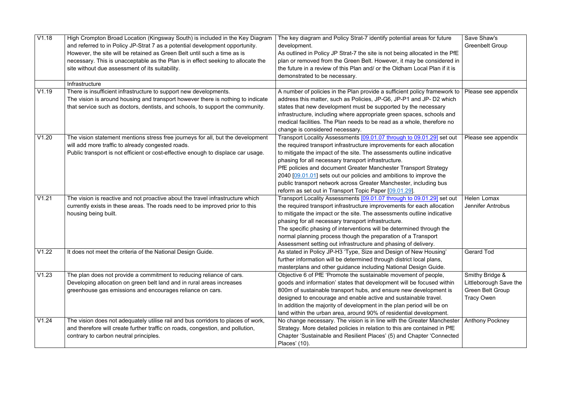| V1.18 | High Crompton Broad Location (Kingsway South) is included in the Key Diagram<br>and referred to in Policy JP-Strat 7 as a potential development opportunity.<br>However, the site will be retained as Green Belt until such a time as is<br>necessary. This is unacceptable as the Plan is in effect seeking to allocate the<br>site without due assessment of its suitability. | The key diagram and Policy Strat-7 identify potential areas for future<br>development.<br>As outlined in Policy JP Strat-7 the site is not being allocated in the PfE<br>plan or removed from the Green Belt. However, it may be considered in<br>the future in a review of this Plan and/ or the Oldham Local Plan if it is<br>demonstrated to be necessary.                                                                                                                                                                                            | Save Shaw's<br><b>Greenbelt Group</b>                                                     |
|-------|---------------------------------------------------------------------------------------------------------------------------------------------------------------------------------------------------------------------------------------------------------------------------------------------------------------------------------------------------------------------------------|----------------------------------------------------------------------------------------------------------------------------------------------------------------------------------------------------------------------------------------------------------------------------------------------------------------------------------------------------------------------------------------------------------------------------------------------------------------------------------------------------------------------------------------------------------|-------------------------------------------------------------------------------------------|
|       | Infrastructure                                                                                                                                                                                                                                                                                                                                                                  |                                                                                                                                                                                                                                                                                                                                                                                                                                                                                                                                                          |                                                                                           |
| V1.19 | There is insufficient infrastructure to support new developments.<br>The vision is around housing and transport however there is nothing to indicate<br>that service such as doctors, dentists, and schools, to support the community.                                                                                                                                          | A number of policies in the Plan provide a sufficient policy framework to<br>address this matter, such as Policies, JP-G6, JP-P1 and JP- D2 which<br>states that new development must be supported by the necessary<br>infrastructure, including where appropriate green spaces, schools and<br>medical facilities. The Plan needs to be read as a whole, therefore no<br>change is considered necessary.                                                                                                                                                | Please see appendix                                                                       |
| V1.20 | The vision statement mentions stress free journeys for all, but the development<br>will add more traffic to already congested roads.<br>Public transport is not efficient or cost-effective enough to displace car usage.                                                                                                                                                       | Transport Locality Assessments [09.01.07 through to 09.01.29] set out<br>the required transport infrastructure improvements for each allocation<br>to mitigate the impact of the site. The assessments outline indicative<br>phasing for all necessary transport infrastructure.<br>PfE policies and document Greater Manchester Transport Strategy<br>2040 [09.01.01] sets out our policies and ambitions to improve the<br>public transport network across Greater Manchester, including bus<br>reform as set out in Transport Topic Paper [09.01.29]. | Please see appendix                                                                       |
| V1.21 | The vision is reactive and not proactive about the travel infrastructure which<br>currently exists in these areas. The roads need to be improved prior to this<br>housing being built.                                                                                                                                                                                          | Transport Locality Assessments [09.01.07 through to 09.01.29] set out<br>the required transport infrastructure improvements for each allocation<br>to mitigate the impact or the site. The assessments outline indicative<br>phasing for all necessary transport infrastructure.<br>The specific phasing of interventions will be determined through the<br>normal planning process though the preparation of a Transport<br>Assessment setting out infrastructure and phasing of delivery.                                                              | Helen Lomax<br><b>Jennifer Antrobus</b>                                                   |
| V1.22 | It does not meet the criteria of the National Design Guide.                                                                                                                                                                                                                                                                                                                     | As stated in Policy JP-H3 'Type, Size and Design of New Housing'<br>further information will be determined through district local plans,<br>masterplans and other guidance including National Design Guide.                                                                                                                                                                                                                                                                                                                                              | <b>Gerard Tod</b>                                                                         |
| V1.23 | The plan does not provide a commitment to reducing reliance of cars.<br>Developing allocation on green belt land and in rural areas increases<br>greenhouse gas emissions and encourages reliance on cars.                                                                                                                                                                      | Objective 6 of PfE 'Promote the sustainable movement of people,<br>goods and information' states that development will be focused within<br>800m of sustainable transport hubs, and ensure new development is<br>designed to encourage and enable active and sustainable travel.<br>In addition the majority of development in the plan period will be on<br>land within the urban area, around 90% of residential development.                                                                                                                          | Smithy Bridge &<br>Littleborough Save the<br><b>Green Belt Group</b><br><b>Tracy Owen</b> |
| V1.24 | The vision does not adequately utilise rail and bus corridors to places of work,<br>and therefore will create further traffic on roads, congestion, and pollution,<br>contrary to carbon neutral principles.                                                                                                                                                                    | No change necessary. The vision is in line with the Greater Manchester<br>Strategy. More detailed policies in relation to this are contained in PfE<br>Chapter 'Sustainable and Resilient Places' (5) and Chapter 'Connected<br>Places' (10).                                                                                                                                                                                                                                                                                                            | <b>Anthony Pockney</b>                                                                    |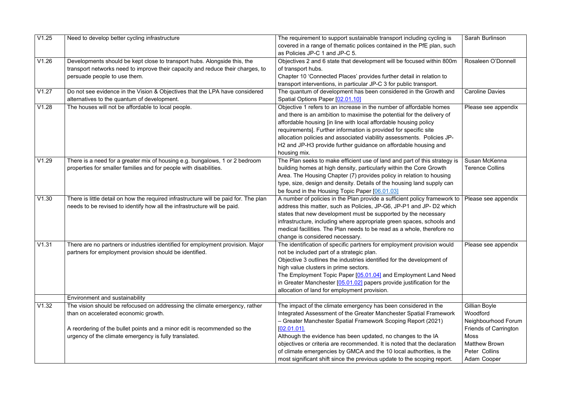| V1.25 | Need to develop better cycling infrastructure                                        | The requirement to support sustainable transport including cycling is     | Sarah Burlinson              |
|-------|--------------------------------------------------------------------------------------|---------------------------------------------------------------------------|------------------------------|
|       |                                                                                      | covered in a range of thematic polices contained in the PfE plan, such    |                              |
|       |                                                                                      | as Policies JP-C 1 and JP-C 5.                                            |                              |
| V1.26 | Developments should be kept close to transport hubs. Alongside this, the             | Objectives 2 and 6 state that development will be focused within 800m     | Rosaleen O'Donnell           |
|       | transport networks need to improve their capacity and reduce their charges, to       | of transport hubs.                                                        |                              |
|       | persuade people to use them.                                                         | Chapter 10 'Connected Places' provides further detail in relation to      |                              |
|       |                                                                                      | transport interventions, in particular JP-C 3 for public transport.       |                              |
| V1.27 | Do not see evidence in the Vision & Objectives that the LPA have considered          | The quantum of development has been considered in the Growth and          | <b>Caroline Davies</b>       |
|       | alternatives to the quantum of development.                                          | Spatial Options Paper [02.01.10]                                          |                              |
| V1.28 | The houses will not be affordable to local people.                                   | Objective 1 refers to an increase in the number of affordable homes       | Please see appendix          |
|       |                                                                                      | and there is an ambition to maximise the potential for the delivery of    |                              |
|       |                                                                                      | affordable housing [in line with local affordable housing policy          |                              |
|       |                                                                                      | requirements]. Further information is provided for specific site          |                              |
|       |                                                                                      | allocation policies and associated viability assessments. Policies JP-    |                              |
|       |                                                                                      | H2 and JP-H3 provide further guidance on affordable housing and           |                              |
|       |                                                                                      | housing mix.                                                              |                              |
| V1.29 | There is a need for a greater mix of housing e.g. bungalows, 1 or 2 bedroom          | The Plan seeks to make efficient use of land and part of this strategy is | Susan McKenna                |
|       | properties for smaller families and for people with disabilities.                    | building homes at high density, particularly within the Core Growth       | <b>Terence Collins</b>       |
|       |                                                                                      | Area. The Housing Chapter (7) provides policy in relation to housing      |                              |
|       |                                                                                      | type, size, design and density. Details of the housing land supply can    |                              |
|       |                                                                                      | be found in the Housing Topic Paper [06.01.03]                            |                              |
| V1.30 | There is little detail on how the required infrastructure will be paid for. The plan | A number of policies in the Plan provide a sufficient policy framework to | Please see appendix          |
|       | needs to be revised to identify how all the infrastructure will be paid.             | address this matter, such as Policies, JP-G6, JP-P1 and JP- D2 which      |                              |
|       |                                                                                      | states that new development must be supported by the necessary            |                              |
|       |                                                                                      | infrastructure, including where appropriate green spaces, schools and     |                              |
|       |                                                                                      | medical facilities. The Plan needs to be read as a whole, therefore no    |                              |
|       |                                                                                      | change is considered necessary.                                           |                              |
| V1.31 | There are no partners or industries identified for employment provision. Major       | The identification of specific partners for employment provision would    | Please see appendix          |
|       | partners for employment provision should be identified.                              | not be included part of a strategic plan.                                 |                              |
|       |                                                                                      | Objective 3 outlines the industries identified for the development of     |                              |
|       |                                                                                      | high value clusters in prime sectors.                                     |                              |
|       |                                                                                      | The Employment Topic Paper [05.01.04] and Employment Land Need            |                              |
|       |                                                                                      | in Greater Manchester [05.01.02] papers provide justification for the     |                              |
|       |                                                                                      | allocation of land for employment provision.                              |                              |
|       | Environment and sustainability                                                       |                                                                           |                              |
| V1.32 | The vision should be refocused on addressing the climate emergency, rather           | The impact of the climate emergency has been considered in the            | Gillian Boyle                |
|       | than on accelerated economic growth.                                                 | Integrated Assessment of the Greater Manchester Spatial Framework         | Woodford                     |
|       |                                                                                      | - Greater Manchester Spatial Framework Scoping Report (2021)              | Neighbourhood Forum          |
|       | A reordering of the bullet points and a minor edit is recommended so the             | $[02.01.01]$ .                                                            | <b>Friends of Carrington</b> |
|       | urgency of the climate emergency is fully translated.                                | Although the evidence has been updated, no changes to the IA              | <b>Moss</b>                  |
|       |                                                                                      | objectives or criteria are recommended. It is noted that the declaration  | <b>Matthew Brown</b>         |
|       |                                                                                      | of climate emergencies by GMCA and the 10 local authorities, is the       | Peter Collins                |
|       |                                                                                      | most significant shift since the previous update to the scoping report.   | Adam Cooper                  |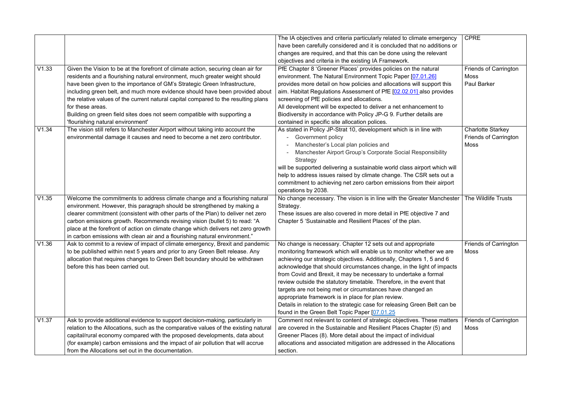|       |                                                                                     | The IA objectives and criteria particularly related to climate emergency  | <b>CPRE</b>                  |
|-------|-------------------------------------------------------------------------------------|---------------------------------------------------------------------------|------------------------------|
|       |                                                                                     | have been carefully considered and it is concluded that no additions or   |                              |
|       |                                                                                     | changes are required, and that this can be done using the relevant        |                              |
|       |                                                                                     | objectives and criteria in the existing IA Framework.                     |                              |
| V1.33 | Given the Vision to be at the forefront of climate action, securing clean air for   | PfE Chapter 8 'Greener Places' provides policies on the natural           | <b>Friends of Carrington</b> |
|       | residents and a flourishing natural environment, much greater weight should         | environment. The Natural Environment Topic Paper [07.01.26]               | <b>Moss</b>                  |
|       | have been given to the importance of GM's Strategic Green Infrastructure,           | provides more detail on how policies and allocations will support this    | <b>Paul Barker</b>           |
|       | including green belt, and much more evidence should have been provided about        | aim. Habitat Regulations Assessment of PfE [02.02.01] also provides       |                              |
|       | the relative values of the current natural capital compared to the resulting plans  | screening of PfE policies and allocations.                                |                              |
|       | for these areas.                                                                    | All development will be expected to deliver a net enhancement to          |                              |
|       | Building on green field sites does not seem compatible with supporting a            | Biodiversity in accordance with Policy JP-G 9. Further details are        |                              |
|       | 'flourishing natural environment'                                                   | contained in specific site allocation polices.                            |                              |
| V1.34 | The vision still refers to Manchester Airport without taking into account the       | As stated in Policy JP-Strat 10, development which is in line with        | <b>Charlotte Starkey</b>     |
|       | environmental damage it causes and need to become a net zero contributor.           | <b>Government policy</b>                                                  | <b>Friends of Carrington</b> |
|       |                                                                                     | Manchester's Local plan policies and                                      | Moss                         |
|       |                                                                                     | Manchester Airport Group's Corporate Social Responsibility                |                              |
|       |                                                                                     | Strategy                                                                  |                              |
|       |                                                                                     | will be supported delivering a sustainable world class airport which will |                              |
|       |                                                                                     | help to address issues raised by climate change. The CSR sets out a       |                              |
|       |                                                                                     | commitment to achieving net zero carbon emissions from their airport      |                              |
|       |                                                                                     | operations by 2038.                                                       |                              |
| V1.35 | Welcome the commitments to address climate change and a flourishing natural         | No change necessary. The vision is in line with the Greater Manchester    | The Wildlife Trusts          |
|       | environment. However, this paragraph should be strengthened by making a             | Strategy.                                                                 |                              |
|       | clearer commitment (consistent with other parts of the Plan) to deliver net zero    | These issues are also covered in more detail in PfE objective 7 and       |                              |
|       | carbon emissions growth. Recommends revising vision (bullet 5) to read: "A          | Chapter 5 'Sustainable and Resilient Places' of the plan.                 |                              |
|       | place at the forefront of action on climate change which delivers net zero growth   |                                                                           |                              |
|       | in carbon emissions with clean air and a flourishing natural environment."          |                                                                           |                              |
| V1.36 | Ask to commit to a review of impact of climate emergency, Brexit and pandemic       | No change is necessary. Chapter 12 sets out and appropriate               | <b>Friends of Carrington</b> |
|       | to be published within next 5 years and prior to any Green Belt release. Any        | monitoring framework which will enable us to monitor whether we are       | <b>Moss</b>                  |
|       | allocation that requires changes to Green Belt boundary should be withdrawn         | achieving our strategic objectives. Additionally, Chapters 1, 5 and 6     |                              |
|       | before this has been carried out.                                                   | acknowledge that should circumstances change, in the light of impacts     |                              |
|       |                                                                                     | from Covid and Brexit, it may be necessary to undertake a formal          |                              |
|       |                                                                                     | review outside the statutory timetable. Therefore, in the event that      |                              |
|       |                                                                                     | targets are not being met or circumstances have changed an                |                              |
|       |                                                                                     | appropriate framework is in place for plan review.                        |                              |
|       |                                                                                     | Details in relation to the strategic case for releasing Green Belt can be |                              |
|       |                                                                                     | found in the Green Belt Topic Paper [07.01.25]                            |                              |
| V1.37 | Ask to provide additional evidence to support decision-making, particularly in      | Comment not relevant to content of strategic objectives. These matters    | <b>Friends of Carrington</b> |
|       | relation to the Allocations, such as the comparative values of the existing natural | are covered in the Sustainable and Resilient Places Chapter (5) and       | Moss                         |
|       | capital/rural economy compared with the proposed developments, data about           | Greener Places (8). More detail about the impact of individual            |                              |
|       | (for example) carbon emissions and the impact of air pollution that will accrue     | allocations and associated mitigation are addressed in the Allocations    |                              |
|       | from the Allocations set out in the documentation.                                  | section.                                                                  |                              |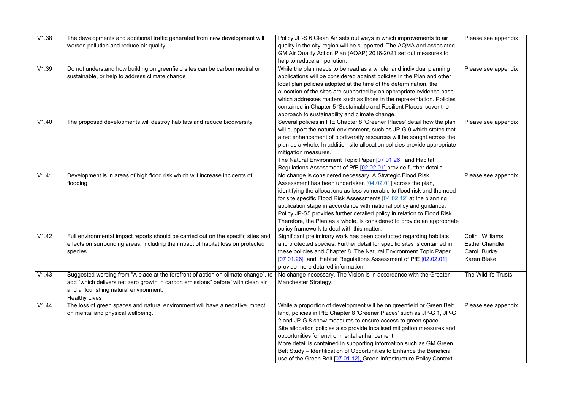| V1.38 | The developments and additional traffic generated from new development will       | Policy JP-S 6 Clean Air sets out ways in which improvements to air                                    | Please see appendix        |
|-------|-----------------------------------------------------------------------------------|-------------------------------------------------------------------------------------------------------|----------------------------|
|       | worsen pollution and reduce air quality.                                          | quality in the city-region will be supported. The AQMA and associated                                 |                            |
|       |                                                                                   | GM Air Quality Action Plan (AQAP) 2016-2021 set out measures to                                       |                            |
|       |                                                                                   | help to reduce air pollution.                                                                         |                            |
| V1.39 | Do not understand how building on greenfield sites can be carbon neutral or       | While the plan needs to be read as a whole, and individual planning                                   | Please see appendix        |
|       | sustainable, or help to address climate change                                    | applications will be considered against policies in the Plan and other                                |                            |
|       |                                                                                   | local plan policies adopted at the time of the determination, the                                     |                            |
|       |                                                                                   | allocation of the sites are supported by an appropriate evidence base                                 |                            |
|       |                                                                                   | which addresses matters such as those in the representation. Policies                                 |                            |
|       |                                                                                   | contained in Chapter 5 'Sustainable and Resilient Places' cover the                                   |                            |
|       |                                                                                   | approach to sustainability and climate change.                                                        |                            |
| V1.40 | The proposed developments will destroy habitats and reduce biodiversity           | Several policies in PfE Chapter 8 'Greener Places' detail how the plan                                | Please see appendix        |
|       |                                                                                   | will support the natural environment, such as JP-G 9 which states that                                |                            |
|       |                                                                                   | a net enhancement of biodiversity resources will be sought across the                                 |                            |
|       |                                                                                   | plan as a whole. In addition site allocation policies provide appropriate                             |                            |
|       |                                                                                   | mitigation measures.                                                                                  |                            |
|       |                                                                                   | The Natural Environment Topic Paper [07.01.26] and Habitat                                            |                            |
|       |                                                                                   | Regulations Assessment of PfE [02.02.01] provide further details.                                     |                            |
| V1.41 | Development is in areas of high flood risk which will increase incidents of       | No change is considered necessary. A Strategic Flood Risk                                             | Please see appendix        |
|       | flooding                                                                          | Assessment has been undertaken [04.02.01] across the plan,                                            |                            |
|       |                                                                                   | identifying the allocations as less vulnerable to flood risk and the need                             |                            |
|       |                                                                                   | for site specific Flood Risk Assessments [04.02.12] at the planning                                   |                            |
|       |                                                                                   | application stage in accordance with national policy and guidance.                                    |                            |
|       |                                                                                   | Policy JP-S5 provides further detailed policy in relation to Flood Risk.                              |                            |
|       |                                                                                   | Therefore, the Plan as a whole, is considered to provide an appropriate                               |                            |
|       |                                                                                   | policy framework to deal with this matter.                                                            |                            |
| V1.42 | Full environmental impact reports should be carried out on the specific sites and | Significant preliminary work has been conducted regarding habitats                                    | Colin Williams             |
|       | effects on surrounding areas, including the impact of habitat loss on protected   | and protected species. Further detail for specific sites is contained in                              | <b>EstherChandler</b>      |
|       | species.                                                                          | these policies and Chapter 8. The Natural Environment Topic Paper                                     | Carol Burke                |
|       |                                                                                   |                                                                                                       | <b>Karen Blake</b>         |
|       |                                                                                   | [07.01.26] and Habitat Regulations Assessment of PfE [02.02.01]<br>provide more detailed information. |                            |
| V1.43 |                                                                                   |                                                                                                       | <b>The Wildlife Trusts</b> |
|       | Suggested wording from "A place at the forefront of action on climate change", to | No change necessary. The Vision is in accordance with the Greater                                     |                            |
|       | add "which delivers net zero growth in carbon emissions" before "with clean air   | Manchester Strategy.                                                                                  |                            |
|       | and a flourishing natural environment."                                           |                                                                                                       |                            |
|       | <b>Healthy Lives</b>                                                              |                                                                                                       |                            |
| V1.44 | The loss of green spaces and natural environment will have a negative impact      | While a proportion of development will be on greenfield or Green Belt                                 | Please see appendix        |
|       | on mental and physical wellbeing.                                                 | land, policies in PfE Chapter 8 'Greener Places' such as JP-G 1, JP-G                                 |                            |
|       |                                                                                   | 2 and JP-G 8 show measures to ensure access to green space.                                           |                            |
|       |                                                                                   | Site allocation policies also provide localised mitigation measures and                               |                            |
|       |                                                                                   | opportunities for environmental enhancement.                                                          |                            |
|       |                                                                                   | More detail is contained in supporting information such as GM Green                                   |                            |
|       |                                                                                   | Belt Study - Identification of Opportunities to Enhance the Beneficial                                |                            |
|       |                                                                                   | use of the Green Belt [07.01.12]. Green Infrastructure Policy Context                                 |                            |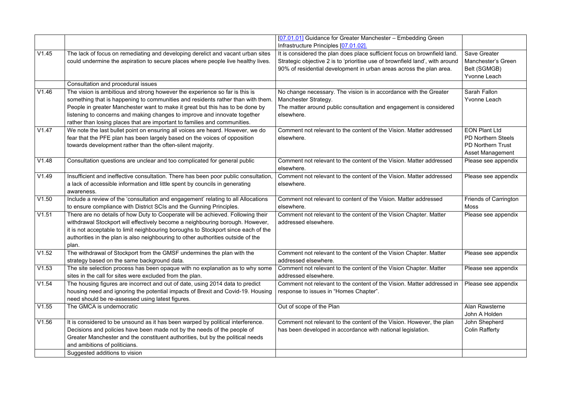|       |                                                                                                                                                                                                                                                                                                                                                                                                          | [07.01.01] Guidance for Greater Manchester - Embedding Green<br>Infrastructure Principles [07.01.02].                                                                                                                            |                                                                                                          |
|-------|----------------------------------------------------------------------------------------------------------------------------------------------------------------------------------------------------------------------------------------------------------------------------------------------------------------------------------------------------------------------------------------------------------|----------------------------------------------------------------------------------------------------------------------------------------------------------------------------------------------------------------------------------|----------------------------------------------------------------------------------------------------------|
| V1.45 | The lack of focus on remediating and developing derelict and vacant urban sites<br>could undermine the aspiration to secure places where people live healthy lives.                                                                                                                                                                                                                                      | It is considered the plan does place sufficient focus on brownfield land.<br>Strategic objective 2 is to 'prioritise use of brownfield land', with around<br>90% of residential development in urban areas across the plan area. | Save Greater<br><b>Manchester's Green</b><br>Belt (SGMGB)<br>Yvonne Leach                                |
|       | Consultation and procedural issues                                                                                                                                                                                                                                                                                                                                                                       |                                                                                                                                                                                                                                  |                                                                                                          |
| V1.46 | The vision is ambitious and strong however the experience so far is this is<br>something that is happening to communities and residents rather than with them<br>People in greater Manchester want to make it great but this has to be done by<br>listening to concerns and making changes to improve and innovate together<br>rather than losing places that are important to families and communities. | No change necessary. The vision is in accordance with the Greater<br>Manchester Strategy.<br>The matter around public consultation and engagement is considered<br>elsewhere.                                                    | Sarah Fallon<br><b>Yvonne Leach</b>                                                                      |
| V1.47 | We note the last bullet point on ensuring all voices are heard. However, we do<br>fear that the PFE plan has been largely based on the voices of opposition<br>towards development rather than the often-silent majority.                                                                                                                                                                                | Comment not relevant to the content of the Vision. Matter addressed<br>elsewhere.                                                                                                                                                | <b>EON Plant Ltd</b><br><b>PD Northern Steels</b><br><b>PD Northern Trust</b><br><b>Asset Management</b> |
| V1.48 | Consultation questions are unclear and too complicated for general public                                                                                                                                                                                                                                                                                                                                | Comment not relevant to the content of the Vision. Matter addressed<br>elsewhere.                                                                                                                                                | Please see appendix                                                                                      |
| V1.49 | Insufficient and ineffective consultation. There has been poor public consultation,<br>a lack of accessible information and little spent by councils in generating<br>awareness.                                                                                                                                                                                                                         | Comment not relevant to the content of the Vision. Matter addressed<br>elsewhere.                                                                                                                                                | Please see appendix                                                                                      |
| V1.50 | Include a review of the 'consultation and engagement' relating to all Allocations<br>to ensure compliance with District SCIs and the Gunning Principles.                                                                                                                                                                                                                                                 | Comment not relevant to content of the Vision. Matter addressed<br>elsewhere.                                                                                                                                                    | <b>Friends of Carrington</b><br><b>Moss</b>                                                              |
| V1.51 | There are no details of how Duty to Cooperate will be achieved. Following their<br>withdrawal Stockport will effectively become a neighbouring borough. However,<br>it is not acceptable to limit neighbouring boroughs to Stockport since each of the<br>authorities in the plan is also neighbouring to other authorities outside of the<br>plan.                                                      | Comment not relevant to the content of the Vision Chapter. Matter<br>addressed elsewhere.                                                                                                                                        | Please see appendix                                                                                      |
| V1.52 | The withdrawal of Stockport from the GMSF undermines the plan with the<br>strategy based on the same background data.                                                                                                                                                                                                                                                                                    | Comment not relevant to the content of the Vision Chapter. Matter<br>addressed elsewhere.                                                                                                                                        | Please see appendix                                                                                      |
| V1.53 | The site selection process has been opaque with no explanation as to why some<br>sites in the call for sites were excluded from the plan.                                                                                                                                                                                                                                                                | Comment not relevant to the content of the Vision Chapter. Matter<br>addressed elsewhere.                                                                                                                                        | Please see appendix                                                                                      |
| V1.54 | The housing figures are incorrect and out of date, using 2014 data to predict<br>housing need and ignoring the potential impacts of Brexit and Covid-19. Housing<br>need should be re-assessed using latest figures.                                                                                                                                                                                     | Comment not relevant to the content of the Vision. Matter addressed in<br>response to issues in "Homes Chapter".                                                                                                                 | Please see appendix                                                                                      |
| V1.55 | The GMCA is undemocratic                                                                                                                                                                                                                                                                                                                                                                                 | Out of scope of the Plan                                                                                                                                                                                                         | Alan Rawsterne<br>John A Holden                                                                          |
| V1.56 | It is considered to be unsound as it has been warped by political interference.<br>Decisions and policies have been made not by the needs of the people of<br>Greater Manchester and the constituent authorities, but by the political needs<br>and ambitions of politicians.<br>Suggested additions to vision                                                                                           | Comment not relevant to the content of the Vision. However, the plan<br>has been developed in accordance with national legislation.                                                                                              | John Shepherd<br><b>Colin Rafferty</b>                                                                   |
|       |                                                                                                                                                                                                                                                                                                                                                                                                          |                                                                                                                                                                                                                                  |                                                                                                          |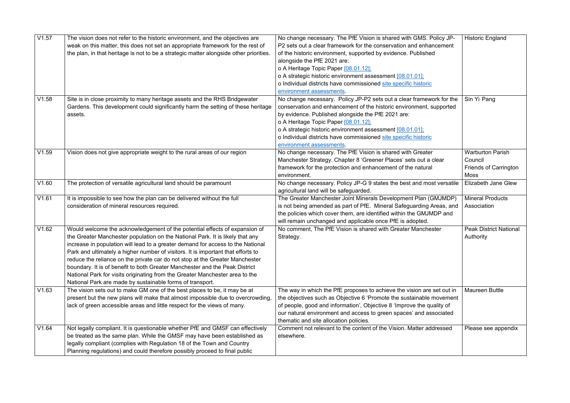| V1.57 | The vision does not refer to the historic environment, and the objectives are          | No change necessary. The PfE Vision is shared with GMS. Policy JP-     | <b>Historic England</b>       |
|-------|----------------------------------------------------------------------------------------|------------------------------------------------------------------------|-------------------------------|
|       | weak on this matter, this does not set an appropriate framework for the rest of        | P2 sets out a clear framework for the conservation and enhancement     |                               |
|       | the plan, in that heritage is not to be a strategic matter alongside other priorities. | of the historic environment, supported by evidence. Published          |                               |
|       |                                                                                        | alongside the PfE 2021 are:                                            |                               |
|       |                                                                                        | o A Heritage Topic Paper [08.01.12];                                   |                               |
|       |                                                                                        | o A strategic historic environment assessment [08.01.01];              |                               |
|       |                                                                                        | o Individual districts have commissioned site specific historic        |                               |
|       |                                                                                        | environment assessments.                                               |                               |
| V1.58 | Site is in close proximity to many heritage assets and the RHS Bridgewater             | No change necessary. Policy JP-P2 sets out a clear framework for the   | Sin Yi Pang                   |
|       | Gardens. This development could significantly harm the setting of these heritage       | conservation and enhancement of the historic environment, supported    |                               |
|       | assets.                                                                                | by evidence. Published alongside the PfE 2021 are:                     |                               |
|       |                                                                                        | o A Heritage Topic Paper [08.01.12];                                   |                               |
|       |                                                                                        | o A strategic historic environment assessment [08.01.01];              |                               |
|       |                                                                                        | o Individual districts have commissioned site specific historic        |                               |
|       |                                                                                        | environment assessments.                                               |                               |
| V1.59 | Vision does not give appropriate weight to the rural areas of our region               | No change necessary. The PfE Vision is shared with Greater             | <b>Warburton Parish</b>       |
|       |                                                                                        | Manchester Strategy. Chapter 8 'Greener Places' sets out a clear       | Council                       |
|       |                                                                                        | framework for the protection and enhancement of the natural            | <b>Friends of Carrington</b>  |
|       |                                                                                        | environment.                                                           | <b>Moss</b>                   |
| V1.60 | The protection of versatile agricultural land should be paramount                      | No change necessary. Policy JP-G 9 states the best and most versatile  | <b>Elizabeth Jane Glew</b>    |
|       |                                                                                        | agricultural land will be safeguarded.                                 |                               |
| V1.61 | It is impossible to see how the plan can be delivered without the full                 | The Greater Manchester Joint Minerals Development Plan (GMJMDP)        | <b>Mineral Products</b>       |
|       | consideration of mineral resources required.                                           | is not being amended as part of PfE. Mineral Safeguarding Areas, and   | Association                   |
|       |                                                                                        | the policies which cover them, are identified within the GMJMDP and    |                               |
|       |                                                                                        | will remain unchanged and applicable once PfE is adopted.              |                               |
| V1.62 | Would welcome the acknowledgement of the potential effects of expansion of             | No comment, The PfE Vision is shared with Greater Manchester           | <b>Peak District National</b> |
|       | the Greater Manchester population on the National Park. It is likely that any          | Strategy.                                                              | Authority                     |
|       | increase in population will lead to a greater demand for access to the National        |                                                                        |                               |
|       | Park and ultimately a higher number of visitors. It is important that efforts to       |                                                                        |                               |
|       | reduce the reliance on the private car do not stop at the Greater Manchester           |                                                                        |                               |
|       | boundary. It is of benefit to both Greater Manchester and the Peak District            |                                                                        |                               |
|       | National Park for visits originating from the Greater Manchester area to the           |                                                                        |                               |
|       | National Park are made by sustainable forms of transport.                              |                                                                        |                               |
| V1.63 | The vision sets out to make GM one of the best places to be, it may be at              | The way in which the PfE proposes to achieve the vision are set out in | <b>Maureen Buttle</b>         |
|       | present but the new plans will make that almost impossible due to overcrowding,        | the objectives such as Objective 6 'Promote the sustainable movement   |                               |
|       | lack of green accessible areas and little respect for the views of many.               | of people, good and information', Objective 8 'Improve the quality of  |                               |
|       |                                                                                        | our natural environment and access to green spaces' and associated     |                               |
|       |                                                                                        | thematic and site allocation policies.                                 |                               |
| V1.64 | Not legally compliant. It is questionable whether PfE and GMSF can effectively         | Comment not relevant to the content of the Vision. Matter addressed    | Please see appendix           |
|       | be treated as the same plan. While the GMSF may have been established as               | elsewhere.                                                             |                               |
|       | legally compliant (complies with Regulation 18 of the Town and Country                 |                                                                        |                               |
|       | Planning regulations) and could therefore possibly proceed to final public             |                                                                        |                               |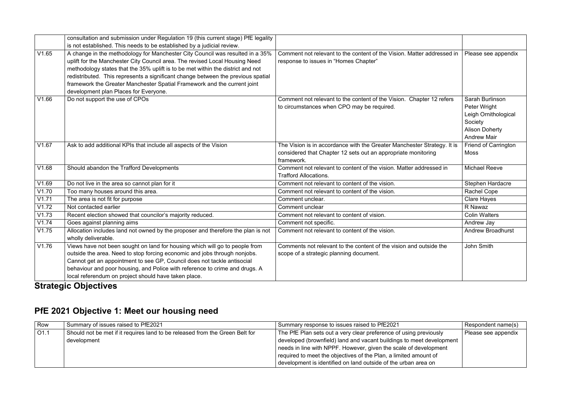#### **Strategic Objectives**

#### **PfE 2021 Objective 1: Meet our housing need**

|       | consultation and submission under Regulation 19 (this current stage) PfE legality |                                                                         |                             |
|-------|-----------------------------------------------------------------------------------|-------------------------------------------------------------------------|-----------------------------|
|       | is not established. This needs to be established by a judicial review.            |                                                                         |                             |
| V1.65 | A change in the methodology for Manchester City Council was resulted in a 35%     | Comment not relevant to the content of the Vision. Matter addressed in  | Please see appendix         |
|       | uplift for the Manchester City Council area. The revised Local Housing Need       | response to issues in "Homes Chapter"                                   |                             |
|       | methodology states that the 35% uplift is to be met within the district and not   |                                                                         |                             |
|       | redistributed. This represents a significant change between the previous spatial  |                                                                         |                             |
|       | framework the Greater Manchester Spatial Framework and the current joint          |                                                                         |                             |
|       | development plan Places for Everyone.                                             |                                                                         |                             |
| V1.66 | Do not support the use of CPOs                                                    | Comment not relevant to the content of the Vision. Chapter 12 refers    | Sarah Burlinson             |
|       |                                                                                   | to circumstances when CPO may be required.                              | Peter Wright                |
|       |                                                                                   |                                                                         | Leigh Ornithological        |
|       |                                                                                   |                                                                         | Society                     |
|       |                                                                                   |                                                                         | <b>Alison Doherty</b>       |
|       |                                                                                   |                                                                         | <b>Andrew Mair</b>          |
| V1.67 | Ask to add additional KPIs that include all aspects of the Vision                 | The Vision is in accordance with the Greater Manchester Strategy. It is | <b>Friend of Carrington</b> |
|       |                                                                                   | considered that Chapter 12 sets out an appropriate monitoring           | <b>Moss</b>                 |
|       |                                                                                   | framework.                                                              |                             |
| V1.68 | Should abandon the Trafford Developments                                          | Comment not relevant to content of the vision. Matter addressed in      | <b>Michael Reeve</b>        |
|       |                                                                                   | <b>Trafford Allocations.</b>                                            |                             |
| V1.69 | Do not live in the area so cannot plan for it                                     | Comment not relevant to content of the vision.                          | Stephen Hardacre            |
| V1.70 | Too many houses around this area.                                                 | Comment not relevant to content of the vision.                          | <b>Rachel Cope</b>          |
| V1.71 | The area is not fit for purpose                                                   | Comment unclear.                                                        | <b>Clare Hayes</b>          |
| V1.72 | Not contacted earlier                                                             | Comment unclear                                                         | R Nawaz                     |
| V1.73 | Recent election showed that councilor's majority reduced.                         | Comment not relevant to content of vision.                              | <b>Colin Walters</b>        |
| V1.74 | Goes against planning aims                                                        | Comment not specific.                                                   | Andrew Jay                  |
| V1.75 | Allocation includes land not owned by the proposer and therefore the plan is not  | Comment not relevant to content of the vision.                          | <b>Andrew Broadhurst</b>    |
|       | wholly deliverable.                                                               |                                                                         |                             |
| V1.76 | Views have not been sought on land for housing which will go to people from       | Comments not relevant to the content of the vision and outside the      | John Smith                  |
|       | outside the area. Need to stop forcing economic and jobs through nonjobs.         | scope of a strategic planning document.                                 |                             |
|       | Cannot get an appointment to see GP, Council does not tackle antisocial           |                                                                         |                             |
|       | behaviour and poor housing, and Police with reference to crime and drugs. A       |                                                                         |                             |
|       | local referendum on project should have taken place.                              |                                                                         |                             |

| Row  | Summary of issues raised to PfE2021                                          | Summary response to issues raised to PfE2021                         | Respondent name(s)  |
|------|------------------------------------------------------------------------------|----------------------------------------------------------------------|---------------------|
| O1.1 | Should not be met if it requires land to be released from the Green Belt for | The PfE Plan sets out a very clear preference of using previously    | Please see appendix |
|      | development                                                                  | developed (brownfield) land and vacant buildings to meet development |                     |
|      |                                                                              | needs in line with NPPF. However, given the scale of development     |                     |
|      |                                                                              | required to meet the objectives of the Plan, a limited amount of     |                     |
|      |                                                                              | development is identified on land outside of the urban area on       |                     |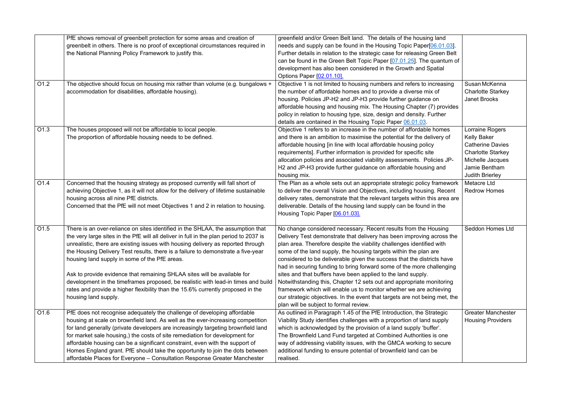|                  | PfE shows removal of greenbelt protection for some areas and creation of               | greenfield and/or Green Belt land. The details of the housing land         |                           |
|------------------|----------------------------------------------------------------------------------------|----------------------------------------------------------------------------|---------------------------|
|                  | greenbelt in others. There is no proof of exceptional circumstances required in        | needs and supply can be found in the Housing Topic Paper[06.01.03].        |                           |
|                  | the National Planning Policy Framework to justify this.                                | Further details in relation to the strategic case for releasing Green Belt |                           |
|                  |                                                                                        | can be found in the Green Belt Topic Paper [07.01.25]. The quantum of      |                           |
|                  |                                                                                        | development has also been considered in the Growth and Spatial             |                           |
|                  |                                                                                        | Options Paper [02.01.10].                                                  |                           |
| O1.2             | The objective should focus on housing mix rather than volume (e.g. bungalows +         | Objective 1 is not limited to housing numbers and refers to increasing     | Susan McKenna             |
|                  | accommodation for disabilities, affordable housing).                                   | the number of affordable homes and to provide a diverse mix of             | <b>Charlotte Starkey</b>  |
|                  |                                                                                        | housing. Policies JP-H2 and JP-H3 provide further guidance on              | <b>Janet Brooks</b>       |
|                  |                                                                                        | affordable housing and housing mix. The Housing Chapter (7) provides       |                           |
|                  |                                                                                        | policy in relation to housing type, size, design and density. Further      |                           |
|                  |                                                                                        | details are contained in the Housing Topic Paper 06.01.03.                 |                           |
| O1.3             | The houses proposed will not be affordable to local people.                            | Objective 1 refers to an increase in the number of affordable homes        | Lorraine Rogers           |
|                  | The proportion of affordable housing needs to be defined.                              | and there is an ambition to maximise the potential for the delivery of     | <b>Kelly Baker</b>        |
|                  |                                                                                        | affordable housing [in line with local affordable housing policy           | <b>Catherine Davies</b>   |
|                  |                                                                                        | requirements]. Further information is provided for specific site           | <b>Charlotte Starkey</b>  |
|                  |                                                                                        | allocation policies and associated viability assessments. Policies JP-     | Michelle Jacques          |
|                  |                                                                                        | H2 and JP-H3 provide further guidance on affordable housing and            | Jamie Bentham             |
|                  |                                                                                        | housing mix.                                                               | <b>Judith Brierley</b>    |
| O1.4             | Concerned that the housing strategy as proposed currently will fall short of           | The Plan as a whole sets out an appropriate strategic policy framework     | Metacre Ltd               |
|                  | achieving Objective 1, as it will not allow for the delivery of lifetime sustainable   | to deliver the overall Vision and Objectives, including housing. Recent    | <b>Redrow Homes</b>       |
|                  | housing across all nine PfE districts.                                                 | delivery rates, demonstrate that the relevant targets within this area are |                           |
|                  | Concerned that the PfE will not meet Objectives 1 and 2 in relation to housing.        | deliverable. Details of the housing land supply can be found in the        |                           |
|                  |                                                                                        | Housing Topic Paper [06.01.03].                                            |                           |
|                  |                                                                                        |                                                                            |                           |
| O <sub>1.5</sub> | There is an over-reliance on sites identified in the SHLAA, the assumption that        | No change considered necessary. Recent results from the Housing            | <b>Seddon Homes Ltd</b>   |
|                  | the very large sites in the PfE will all deliver in full in the plan period to 2037 is | Delivery Test demonstrate that delivery has been improving across the      |                           |
|                  | unrealistic, there are existing issues with housing delivery as reported through       | plan area. Therefore despite the viability challenges identified with      |                           |
|                  | the Housing Delivery Test results, there is a failure to demonstrate a five-year       | some of the land supply, the housing targets within the plan are           |                           |
|                  | housing land supply in some of the PfE areas.                                          | considered to be deliverable given the success that the districts have     |                           |
|                  |                                                                                        | had in securing funding to bring forward some of the more challenging      |                           |
|                  | Ask to provide evidence that remaining SHLAA sites will be available for               | sites and that buffers have been applied to the land supply.               |                           |
|                  | development in the timeframes proposed, be realistic with lead-in times and build      | Notwithstanding this, Chapter 12 sets out and appropriate monitoring       |                           |
|                  | rates and provide a higher flexibility than the 15.6% currently proposed in the        | framework which will enable us to monitor whether we are achieving         |                           |
|                  | housing land supply.                                                                   | our strategic objectives. In the event that targets are not being met, the |                           |
|                  |                                                                                        | plan will be subject to formal review.                                     |                           |
| O1.6             | PfE does not recognise adequately the challenge of developing affordable               | As outlined in Paragraph 1.45 of the PfE Introduction, the Strategic       | <b>Greater Manchester</b> |
|                  | housing at scale on brownfield land. As well as the ever-increasing competition        | Viability Study identifies challenges with a proportion of land supply     | <b>Housing Providers</b>  |
|                  | for land generally (private developers are increasingly targeting brownfield land      | which is acknowledged by the provision of a land supply 'buffer'.          |                           |
|                  | for market sale housing,) the costs of site remediation for development for            | The Brownfield Land Fund targeted at Combined Authorities is one           |                           |
|                  | affordable housing can be a significant constraint, even with the support of           | way of addressing viability issues, with the GMCA working to secure        |                           |
|                  | Homes England grant. PfE should take the opportunity to join the dots between          | additional funding to ensure potential of brownfield land can be           |                           |
|                  | affordable Places for Everyone - Consultation Response Greater Manchester              | realised.                                                                  |                           |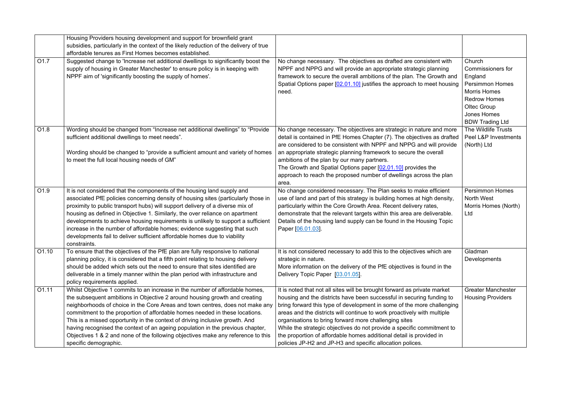|                  | Housing Providers housing development and support for brownfield grant                                                                                                                                                                                                                                                                                                                                                                                                                                                                                                                                    |                                                                                                                                                                                                                                                                                                                                                                                                                                                                                                                                                                               |                                                                                                                                                                               |
|------------------|-----------------------------------------------------------------------------------------------------------------------------------------------------------------------------------------------------------------------------------------------------------------------------------------------------------------------------------------------------------------------------------------------------------------------------------------------------------------------------------------------------------------------------------------------------------------------------------------------------------|-------------------------------------------------------------------------------------------------------------------------------------------------------------------------------------------------------------------------------------------------------------------------------------------------------------------------------------------------------------------------------------------------------------------------------------------------------------------------------------------------------------------------------------------------------------------------------|-------------------------------------------------------------------------------------------------------------------------------------------------------------------------------|
|                  | subsidies, particularly in the context of the likely reduction of the delivery of true                                                                                                                                                                                                                                                                                                                                                                                                                                                                                                                    |                                                                                                                                                                                                                                                                                                                                                                                                                                                                                                                                                                               |                                                                                                                                                                               |
|                  | affordable tenures as First Homes becomes established.                                                                                                                                                                                                                                                                                                                                                                                                                                                                                                                                                    |                                                                                                                                                                                                                                                                                                                                                                                                                                                                                                                                                                               |                                                                                                                                                                               |
| O <sub>1.7</sub> | Suggested change to 'Increase net additional dwellings to significantly boost the<br>supply of housing in Greater Manchester' to ensure policy is in keeping with<br>NPPF aim of 'significantly boosting the supply of homes'.                                                                                                                                                                                                                                                                                                                                                                            | No change necessary. The objectives as drafted are consistent with<br>NPPF and NPPG and will provide an appropriate strategic planning<br>framework to secure the overall ambitions of the plan. The Growth and<br>Spatial Options paper [02.01.10] justifies the approach to meet housing<br>need.                                                                                                                                                                                                                                                                           | Church<br><b>Commissioners for</b><br>England<br><b>Persimmon Homes</b><br><b>Morris Homes</b><br><b>Redrow Homes</b><br>Oltec Group<br>Jones Homes<br><b>BDW Trading Ltd</b> |
| O1.8             | Wording should be changed from "Increase net additional dwellings" to "Provide<br>sufficient additional dwellings to meet needs".<br>Wording should be changed to "provide a sufficient amount and variety of homes<br>to meet the full local housing needs of GM"                                                                                                                                                                                                                                                                                                                                        | No change necessary. The objectives are strategic in nature and more<br>detail is contained in PfE Homes Chapter (7). The objectives as drafted<br>are considered to be consistent with NPPF and NPPG and will provide<br>an appropriate strategic planning framework to secure the overall<br>ambitions of the plan by our many partners.<br>The Growth and Spatial Options paper [02.01.10] provides the<br>approach to reach the proposed number of dwellings across the plan<br>area.                                                                                     | The Wildlife Trusts<br>Peel L&P Investments<br>(North) Ltd                                                                                                                    |
| O1.9             | It is not considered that the components of the housing land supply and<br>associated PfE policies concerning density of housing sites (particularly those in<br>proximity to public transport hubs) will support delivery of a diverse mix of<br>housing as defined in Objective 1. Similarly, the over reliance on apartment<br>developments to achieve housing requirements is unlikely to support a sufficient<br>increase in the number of affordable homes; evidence suggesting that such<br>developments fail to deliver sufficient affordable homes due to viability<br>constraints.              | No change considered necessary. The Plan seeks to make efficient<br>use of land and part of this strategy is building homes at high density,<br>particularly within the Core Growth Area. Recent delivery rates,<br>demonstrate that the relevant targets within this area are deliverable.<br>Details of the housing land supply can be found in the Housing Topic<br>Paper [06.01.03].                                                                                                                                                                                      | <b>Persimmon Homes</b><br>North West<br>Morris Homes (North)<br>Ltd                                                                                                           |
| O1.10            | To ensure that the objectives of the PfE plan are fully responsive to national<br>planning policy, it is considered that a fifth point relating to housing delivery<br>should be added which sets out the need to ensure that sites identified are<br>deliverable in a timely manner within the plan period with infrastructure and<br>policy requirements applied.                                                                                                                                                                                                                                       | It is not considered necessary to add this to the objectives which are<br>strategic in nature.<br>More information on the delivery of the PfE objectives is found in the<br>Delivery Topic Paper [03.01.05].                                                                                                                                                                                                                                                                                                                                                                  | Gladman<br>Developments                                                                                                                                                       |
| O1.11            | Whilst Objective 1 commits to an increase in the number of affordable homes,<br>the subsequent ambitions in Objective 2 around housing growth and creating<br>neighborhoods of choice in the Core Areas and town centres, does not make any<br>commitment to the proportion of affordable homes needed in these locations.<br>This is a missed opportunity in the context of driving inclusive growth. And<br>having recognised the context of an ageing population in the previous chapter,<br>Objectives 1 & 2 and none of the following objectives make any reference to this<br>specific demographic. | It is noted that not all sites will be brought forward as private market<br>housing and the districts have been successful in securing funding to<br>bring forward this type of development in some of the more challenging<br>areas and the districts will continue to work proactively with multiple<br>organisations to bring forward more challenging sites<br>While the strategic objectives do not provide a specific commitment to<br>the proportion of affordable homes additional detail is provided in<br>policies JP-H2 and JP-H3 and specific allocation polices. | <b>Greater Manchester</b><br><b>Housing Providers</b>                                                                                                                         |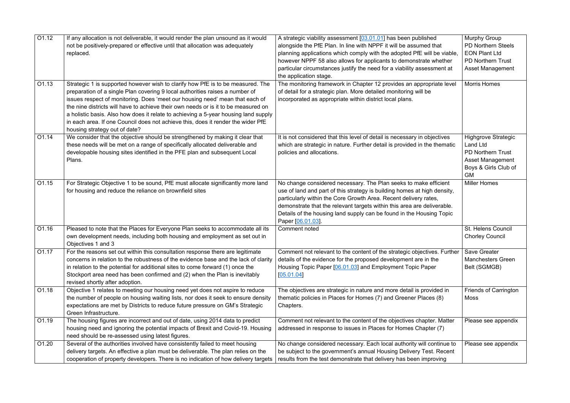| $\overline{O1.12}$ | If any allocation is not deliverable, it would render the plan unsound as it would<br>not be positively-prepared or effective until that allocation was adequately<br>replaced.                                                                                                                                                                                                                                                                                                                                                                   | A strategic viability assessment [03.01.01] has been published<br>alongside the PfE Plan. In line with NPPF it will be assumed that<br>planning applications which comply with the adopted PfE will be viable,<br>however NPPF 58 also allows for applicants to demonstrate whether<br>particular circumstances justify the need for a viability assessment at<br>the application stage. | <b>Murphy Group</b><br><b>PD Northern Steels</b><br><b>EON Plant Ltd</b><br><b>PD Northern Trust</b><br><b>Asset Management</b>           |
|--------------------|---------------------------------------------------------------------------------------------------------------------------------------------------------------------------------------------------------------------------------------------------------------------------------------------------------------------------------------------------------------------------------------------------------------------------------------------------------------------------------------------------------------------------------------------------|------------------------------------------------------------------------------------------------------------------------------------------------------------------------------------------------------------------------------------------------------------------------------------------------------------------------------------------------------------------------------------------|-------------------------------------------------------------------------------------------------------------------------------------------|
| O1.13              | Strategic 1 is supported however wish to clarify how PfE is to be measured. The<br>preparation of a single Plan covering 9 local authorities raises a number of<br>issues respect of monitoring. Does 'meet our housing need' mean that each of<br>the nine districts will have to achieve their own needs or is it to be measured on<br>a holistic basis. Also how does it relate to achieving a 5-year housing land supply<br>in each area. If one Council does not achieve this, does it render the wider PfE<br>housing strategy out of date? | The monitoring framework in Chapter 12 provides an appropriate level<br>of detail for a strategic plan. More detailed monitoring will be<br>incorporated as appropriate within district local plans.                                                                                                                                                                                     | <b>Morris Homes</b>                                                                                                                       |
| O1.14              | We consider that the objective should be strengthened by making it clear that<br>these needs will be met on a range of specifically allocated deliverable and<br>developable housing sites identified in the PFE plan and subsequent Local<br>Plans.                                                                                                                                                                                                                                                                                              | It is not considered that this level of detail is necessary in objectives<br>which are strategic in nature. Further detail is provided in the thematic<br>policies and allocations.                                                                                                                                                                                                      | <b>Highgrove Strategic</b><br><b>Land Ltd</b><br><b>PD Northern Trust</b><br><b>Asset Management</b><br>Boys & Girls Club of<br><b>GM</b> |
| O1.15              | For Strategic Objective 1 to be sound, PfE must allocate significantly more land<br>for housing and reduce the reliance on brownfield sites                                                                                                                                                                                                                                                                                                                                                                                                       | No change considered necessary. The Plan seeks to make efficient<br>use of land and part of this strategy is building homes at high density,<br>particularly within the Core Growth Area. Recent delivery rates,<br>demonstrate that the relevant targets within this area are deliverable.<br>Details of the housing land supply can be found in the Housing Topic<br>Paper [06.01.03]. | <b>Miller Homes</b>                                                                                                                       |
| O1.16              | Pleased to note that the Places for Everyone Plan seeks to accommodate all its<br>own development needs, including both housing and employment as set out in<br>Objectives 1 and 3                                                                                                                                                                                                                                                                                                                                                                | Comment noted                                                                                                                                                                                                                                                                                                                                                                            | St. Helens Council<br><b>Chorley Council</b>                                                                                              |
| O1.17              | For the reasons set out within this consultation response there are legitimate<br>concerns in relation to the robustness of the evidence base and the lack of clarity<br>in relation to the potential for additional sites to come forward (1) once the<br>Stockport area need has been confirmed and (2) when the Plan is inevitably<br>revised shortly after adoption.                                                                                                                                                                          | Comment not relevant to the content of the strategic objectives. Further<br>details of the evidence for the proposed development are in the<br>Housing Topic Paper [06.01.03] and Employment Topic Paper<br>[05.01.04]                                                                                                                                                                   | Save Greater<br><b>Manchesters Green</b><br>Belt (SGMGB)                                                                                  |
| O1.18              | Objective 1 relates to meeting our housing need yet does not aspire to reduce<br>the number of people on housing waiting lists, nor does it seek to ensure density<br>expectations are met by Districts to reduce future pressure on GM's Strategic<br>Green Infrastructure.                                                                                                                                                                                                                                                                      | The objectives are strategic in nature and more detail is provided in<br>thematic policies in Places for Homes (7) and Greener Places (8)<br>Chapters.                                                                                                                                                                                                                                   | <b>Friends of Carrington</b><br>Moss                                                                                                      |
| O1.19              | The housing figures are incorrect and out of date, using 2014 data to predict<br>housing need and ignoring the potential impacts of Brexit and Covid-19. Housing<br>need should be re-assessed using latest figures.                                                                                                                                                                                                                                                                                                                              | Comment not relevant to the content of the objectives chapter. Matter<br>addressed in response to issues in Places for Homes Chapter (7)                                                                                                                                                                                                                                                 | Please see appendix                                                                                                                       |
| O1.20              | Several of the authorities involved have consistently failed to meet housing<br>delivery targets. An effective a plan must be deliverable. The plan relies on the<br>cooperation of property developers. There is no indication of how delivery targets                                                                                                                                                                                                                                                                                           | No change considered necessary. Each local authority will continue to<br>be subject to the government's annual Housing Delivery Test. Recent<br>results from the test demonstrate that delivery has been improving                                                                                                                                                                       | Please see appendix                                                                                                                       |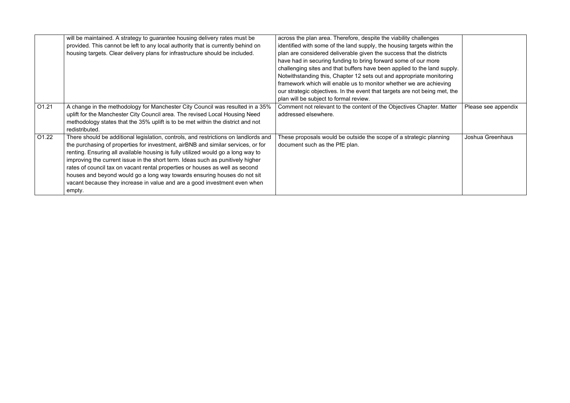|       | will be maintained. A strategy to guarantee housing delivery rates must be          | across the plan area. Therefore, despite the viability challenges          |                     |
|-------|-------------------------------------------------------------------------------------|----------------------------------------------------------------------------|---------------------|
|       | provided. This cannot be left to any local authority that is currently behind on    | identified with some of the land supply, the housing targets within the    |                     |
|       | housing targets. Clear delivery plans for infrastructure should be included.        | plan are considered deliverable given the success that the districts       |                     |
|       |                                                                                     | have had in securing funding to bring forward some of our more             |                     |
|       |                                                                                     | challenging sites and that buffers have been applied to the land supply.   |                     |
|       |                                                                                     | Notwithstanding this, Chapter 12 sets out and appropriate monitoring       |                     |
|       |                                                                                     | framework which will enable us to monitor whether we are achieving         |                     |
|       |                                                                                     | our strategic objectives. In the event that targets are not being met, the |                     |
|       |                                                                                     | plan will be subject to formal review.                                     |                     |
| O1.21 | A change in the methodology for Manchester City Council was resulted in a 35%       | Comment not relevant to the content of the Objectives Chapter. Matter      | Please see appendix |
|       | uplift for the Manchester City Council area. The revised Local Housing Need         | addressed elsewhere.                                                       |                     |
|       | methodology states that the 35% uplift is to be met within the district and not     |                                                                            |                     |
|       | redistributed.                                                                      |                                                                            |                     |
| O1.22 | There should be additional legislation, controls, and restrictions on landlords and | These proposals would be outside the scope of a strategic planning         | Joshua Greenhaus    |
|       | the purchasing of properties for investment, airBNB and similar services, or for    | document such as the PfE plan.                                             |                     |
|       | renting. Ensuring all available housing is fully utilized would go a long way to    |                                                                            |                     |
|       | improving the current issue in the short term. Ideas such as punitively higher      |                                                                            |                     |
|       | rates of council tax on vacant rental properties or houses as well as second        |                                                                            |                     |
|       | houses and beyond would go a long way towards ensuring houses do not sit            |                                                                            |                     |
|       | vacant because they increase in value and are a good investment even when           |                                                                            |                     |
|       | empty.                                                                              |                                                                            |                     |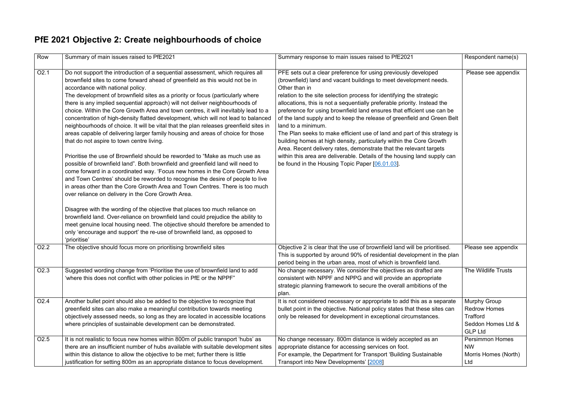#### **PfE 2021 Objective 2: Create neighbourhoods of choice**

| Row              | Summary of main issues raised to PfE2021                                                                                                                                                                                                                                                                                                                                                                                                                                                                                                                                                                                                                                                                                                                                                                                                                                                                                                                                                                                                                                                                                                                                                                                                                                                                                                                                                                                                                                                                                                                                                           | Summary response to main issues raised to PfE2021                                                                                                                                                                                                                                                                                                                                                                                                                                                                                                                                                                                                                                                                                                                                                                                            | Respondent name(s)                                                                             |
|------------------|----------------------------------------------------------------------------------------------------------------------------------------------------------------------------------------------------------------------------------------------------------------------------------------------------------------------------------------------------------------------------------------------------------------------------------------------------------------------------------------------------------------------------------------------------------------------------------------------------------------------------------------------------------------------------------------------------------------------------------------------------------------------------------------------------------------------------------------------------------------------------------------------------------------------------------------------------------------------------------------------------------------------------------------------------------------------------------------------------------------------------------------------------------------------------------------------------------------------------------------------------------------------------------------------------------------------------------------------------------------------------------------------------------------------------------------------------------------------------------------------------------------------------------------------------------------------------------------------------|----------------------------------------------------------------------------------------------------------------------------------------------------------------------------------------------------------------------------------------------------------------------------------------------------------------------------------------------------------------------------------------------------------------------------------------------------------------------------------------------------------------------------------------------------------------------------------------------------------------------------------------------------------------------------------------------------------------------------------------------------------------------------------------------------------------------------------------------|------------------------------------------------------------------------------------------------|
| O <sub>2.1</sub> | Do not support the introduction of a sequential assessment, which requires all<br>brownfield sites to come forward ahead of greenfield as this would not be in<br>accordance with national policy.<br>The development of brownfield sites as a priority or focus (particularly where<br>there is any implied sequential approach) will not deliver neighbourhoods of<br>choice. Within the Core Growth Area and town centres, it will inevitably lead to a<br>concentration of high-density flatted development, which will not lead to balanced<br>neighbourhoods of choice. It will be vital that the plan releases greenfield sites in<br>areas capable of delivering larger family housing and areas of choice for those<br>that do not aspire to town centre living.<br>Prioritise the use of Brownfield should be reworded to "Make as much use as<br>possible of brownfield land". Both brownfield and greenfield land will need to<br>come forward in a coordinated way. 'Focus new homes in the Core Growth Area<br>and Town Centres' should be reworded to recognise the desire of people to live<br>in areas other than the Core Growth Area and Town Centres. There is too much<br>over reliance on delivery in the Core Growth Area.<br>Disagree with the wording of the objective that places too much reliance on<br>brownfield land. Over-reliance on brownfield land could prejudice the ability to<br>meet genuine local housing need. The objective should therefore be amended to<br>only 'encourage and support' the re-use of brownfield land, as opposed to<br>'prioritise' | PFE sets out a clear preference for using previously developed<br>(brownfield) land and vacant buildings to meet development needs.<br>Other than in<br>relation to the site selection process for identifying the strategic<br>allocations, this is not a sequentially preferable priority. Instead the<br>preference for using brownfield land ensures that efficient use can be<br>of the land supply and to keep the release of greenfield and Green Belt<br>land to a minimum.<br>The Plan seeks to make efficient use of land and part of this strategy is<br>building homes at high density, particularly within the Core Growth<br>Area. Recent delivery rates, demonstrate that the relevant targets<br>within this area are deliverable. Details of the housing land supply can<br>be found in the Housing Topic Paper [06.01.03]. | Please see appendix                                                                            |
| O <sub>2.2</sub> | The objective should focus more on prioritising brownfield sites                                                                                                                                                                                                                                                                                                                                                                                                                                                                                                                                                                                                                                                                                                                                                                                                                                                                                                                                                                                                                                                                                                                                                                                                                                                                                                                                                                                                                                                                                                                                   | Objective 2 is clear that the use of brownfield land will be prioritised.<br>This is supported by around 90% of residential development in the plan<br>period being in the urban area, most of which is brownfield land.                                                                                                                                                                                                                                                                                                                                                                                                                                                                                                                                                                                                                     | Please see appendix                                                                            |
| O <sub>2.3</sub> | Suggested wording change from 'Prioritise the use of brownfield land to add<br>'where this does not conflict with other policies in PfE or the NPPF"                                                                                                                                                                                                                                                                                                                                                                                                                                                                                                                                                                                                                                                                                                                                                                                                                                                                                                                                                                                                                                                                                                                                                                                                                                                                                                                                                                                                                                               | No change necessary. We consider the objectives as drafted are<br>consistent with NPPF and NPPG and will provide an appropriate<br>strategic planning framework to secure the overall ambitions of the<br>plan.                                                                                                                                                                                                                                                                                                                                                                                                                                                                                                                                                                                                                              | The Wildlife Trusts                                                                            |
| O <sub>2.4</sub> | Another bullet point should also be added to the objective to recognize that<br>greenfield sites can also make a meaningful contribution towards meeting<br>objectively assessed needs, so long as they are located in accessible locations<br>where principles of sustainable development can be demonstrated.                                                                                                                                                                                                                                                                                                                                                                                                                                                                                                                                                                                                                                                                                                                                                                                                                                                                                                                                                                                                                                                                                                                                                                                                                                                                                    | It is not considered necessary or appropriate to add this as a separate<br>bullet point in the objective. National policy states that these sites can<br>only be released for development in exceptional circumstances.                                                                                                                                                                                                                                                                                                                                                                                                                                                                                                                                                                                                                      | <b>Murphy Group</b><br><b>Redrow Homes</b><br>Trafford<br>Seddon Homes Ltd &<br><b>GLP Ltd</b> |
| O <sub>2.5</sub> | It is not realistic to focus new homes within 800m of public transport 'hubs' as<br>there are an insufficient number of hubs available with suitable development sites<br>within this distance to allow the objective to be met; further there is little<br>justification for setting 800m as an appropriate distance to focus development.                                                                                                                                                                                                                                                                                                                                                                                                                                                                                                                                                                                                                                                                                                                                                                                                                                                                                                                                                                                                                                                                                                                                                                                                                                                        | No change necessary. 800m distance is widely accepted as an<br>appropriate distance for accessing services on foot.<br>For example, the Department for Transport 'Building Sustainable<br>Transport into New Developments' [2008]                                                                                                                                                                                                                                                                                                                                                                                                                                                                                                                                                                                                            | <b>Persimmon Homes</b><br><b>NW</b><br>Morris Homes (North)<br>Ltd                             |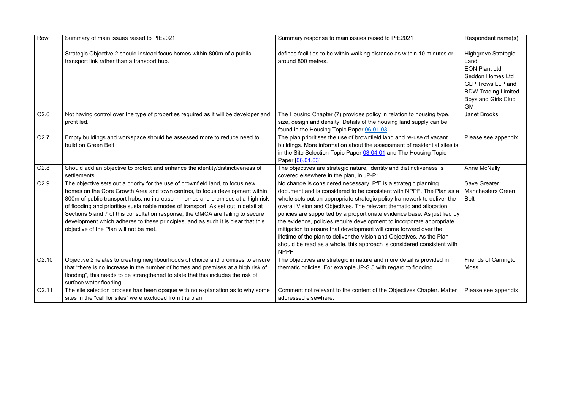| Row               | Summary of main issues raised to PfE2021                                                                                                                                                                                                                                                                                                                                                                                                                                                                                                               | Summary response to main issues raised to PfE2021                                                                                                                                                                                                                                                                                                                                                                                                                                                                                                                                                                                                                              | Respondent name(s)                                                                                                                                                                  |
|-------------------|--------------------------------------------------------------------------------------------------------------------------------------------------------------------------------------------------------------------------------------------------------------------------------------------------------------------------------------------------------------------------------------------------------------------------------------------------------------------------------------------------------------------------------------------------------|--------------------------------------------------------------------------------------------------------------------------------------------------------------------------------------------------------------------------------------------------------------------------------------------------------------------------------------------------------------------------------------------------------------------------------------------------------------------------------------------------------------------------------------------------------------------------------------------------------------------------------------------------------------------------------|-------------------------------------------------------------------------------------------------------------------------------------------------------------------------------------|
|                   | Strategic Objective 2 should instead focus homes within 800m of a public<br>transport link rather than a transport hub.                                                                                                                                                                                                                                                                                                                                                                                                                                | defines facilities to be within walking distance as within 10 minutes or<br>around 800 metres.                                                                                                                                                                                                                                                                                                                                                                                                                                                                                                                                                                                 | <b>Highgrove Strategic</b><br>Land<br><b>EON Plant Ltd</b><br><b>Seddon Homes Ltd</b><br><b>GLP Trows LLP and</b><br><b>BDW Trading Limited</b><br>Boys and Girls Club<br><b>GM</b> |
| O <sub>2.6</sub>  | Not having control over the type of properties required as it will be developer and<br>profit led.                                                                                                                                                                                                                                                                                                                                                                                                                                                     | The Housing Chapter (7) provides policy in relation to housing type,<br>size, design and density. Details of the housing land supply can be<br>found in the Housing Topic Paper 06.01.03                                                                                                                                                                                                                                                                                                                                                                                                                                                                                       | <b>Janet Brooks</b>                                                                                                                                                                 |
| O <sub>2.7</sub>  | Empty buildings and workspace should be assessed more to reduce need to<br>build on Green Belt                                                                                                                                                                                                                                                                                                                                                                                                                                                         | The plan prioritises the use of brownfield land and re-use of vacant<br>buildings. More information about the assessment of residential sites is<br>in the Site Selection Topic Paper 03.04.01 and The Housing Topic<br>Paper [06.01.03]                                                                                                                                                                                                                                                                                                                                                                                                                                       | Please see appendix                                                                                                                                                                 |
| O <sub>2.8</sub>  | Should add an objective to protect and enhance the identity/distinctiveness of<br>settlements.                                                                                                                                                                                                                                                                                                                                                                                                                                                         | The objectives are strategic nature, identity and distinctiveness is<br>covered elsewhere in the plan, in JP-P1.                                                                                                                                                                                                                                                                                                                                                                                                                                                                                                                                                               | <b>Anne McNally</b>                                                                                                                                                                 |
| O <sub>2.9</sub>  | The objective sets out a priority for the use of brownfield land, to focus new<br>homes on the Core Growth Area and town centres, to focus development within<br>800m of public transport hubs, no increase in homes and premises at a high risk<br>of flooding and prioritise sustainable modes of transport. As set out in detail at<br>Sections 5 and 7 of this consultation response, the GMCA are failing to secure<br>development which adheres to these principles, and as such it is clear that this<br>objective of the Plan will not be met. | No change is considered necessary. PfE is a strategic planning<br>document and is considered to be consistent with NPPF. The Plan as a<br>whole sets out an appropriate strategic policy framework to deliver the<br>overall Vision and Objectives. The relevant thematic and allocation<br>policies are supported by a proportionate evidence base. As justified by<br>the evidence, policies require development to incorporate appropriate<br>mitigation to ensure that development will come forward over the<br>lifetime of the plan to deliver the Vision and Objectives. As the Plan<br>should be read as a whole, this approach is considered consistent with<br>NPPF. | <b>Save Greater</b><br><b>Manchesters Green</b><br><b>Belt</b>                                                                                                                      |
| O2.10             | Objective 2 relates to creating neighbourhoods of choice and promises to ensure<br>that "there is no increase in the number of homes and premises at a high risk of<br>flooding", this needs to be strengthened to state that this includes the risk of<br>surface water flooding.                                                                                                                                                                                                                                                                     | The objectives are strategic in nature and more detail is provided in<br>thematic policies. For example JP-S 5 with regard to flooding.                                                                                                                                                                                                                                                                                                                                                                                                                                                                                                                                        | <b>Friends of Carrington</b><br>Moss                                                                                                                                                |
| O <sub>2.11</sub> | The site selection process has been opaque with no explanation as to why some<br>sites in the "call for sites" were excluded from the plan.                                                                                                                                                                                                                                                                                                                                                                                                            | Comment not relevant to the content of the Objectives Chapter. Matter<br>addressed elsewhere.                                                                                                                                                                                                                                                                                                                                                                                                                                                                                                                                                                                  | Please see appendix                                                                                                                                                                 |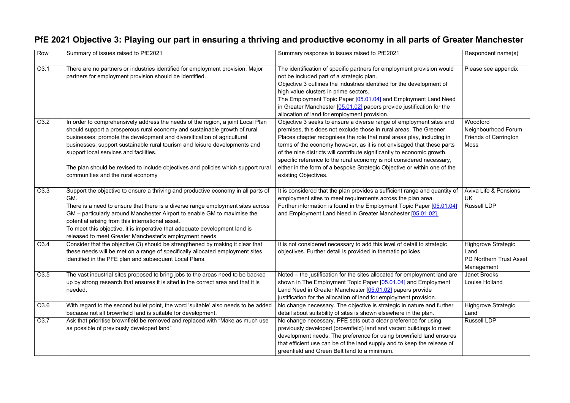#### **PfE 2021 Objective 3: Playing our part in ensuring a thriving and productive economy in all parts of Greater Manchester**

| Row  | Summary of issues raised to PfE2021                                                                                                                                                                                                                                                                                                                                                                                                                                                       | Summary response to issues raised to PfE2021                                                                                                                                                                                                                                                                                                                                                                                                                                                                                                       | Respondent name(s)                                                                 |
|------|-------------------------------------------------------------------------------------------------------------------------------------------------------------------------------------------------------------------------------------------------------------------------------------------------------------------------------------------------------------------------------------------------------------------------------------------------------------------------------------------|----------------------------------------------------------------------------------------------------------------------------------------------------------------------------------------------------------------------------------------------------------------------------------------------------------------------------------------------------------------------------------------------------------------------------------------------------------------------------------------------------------------------------------------------------|------------------------------------------------------------------------------------|
| O3.1 | There are no partners or industries identified for employment provision. Major<br>partners for employment provision should be identified.                                                                                                                                                                                                                                                                                                                                                 | The identification of specific partners for employment provision would<br>not be included part of a strategic plan.<br>Objective 3 outlines the industries identified for the development of<br>high value clusters in prime sectors.<br>The Employment Topic Paper [05.01.04] and Employment Land Need<br>in Greater Manchester [05.01.02] papers provide justification for the<br>allocation of land for employment provision.                                                                                                                   | Please see appendix                                                                |
| O3.2 | In order to comprehensively address the needs of the region, a joint Local Plan<br>should support a prosperous rural economy and sustainable growth of rural<br>businesses; promote the development and diversification of agricultural<br>businesses; support sustainable rural tourism and leisure developments and<br>support local services and facilities.<br>The plan should be revised to include objectives and policies which support rural<br>communities and the rural economy | Objective 3 seeks to ensure a diverse range of employment sites and<br>premises, this does not exclude those in rural areas. The Greener<br>Places chapter recognises the role that rural areas play, including in<br>terms of the economy however, as it is not envisaged that these parts<br>of the nine districts will contribute significantly to economic growth,<br>specific reference to the rural economy is not considered necessary,<br>either in the form of a bespoke Strategic Objective or within one of the<br>existing Objectives. | Woodford<br>Neighbourhood Forum<br><b>Friends of Carrington</b><br><b>Moss</b>     |
| O3.3 | Support the objective to ensure a thriving and productive economy in all parts of<br>GM.<br>There is a need to ensure that there is a diverse range employment sites across<br>GM – particularly around Manchester Airport to enable GM to maximise the<br>potential arising from this international asset.<br>To meet this objective, it is imperative that adequate development land is<br>released to meet Greater Manchester's employment needs.                                      | It is considered that the plan provides a sufficient range and quantity of<br>employment sites to meet requirements across the plan area.<br>Further information is found in the Employment Topic Paper [05.01.04]<br>and Employment Land Need in Greater Manchester [05.01.02].                                                                                                                                                                                                                                                                   | <b>Aviva Life &amp; Pensions</b><br>UK<br><b>Russell LDP</b>                       |
| O3.4 | Consider that the objective (3) should be strengthened by making it clear that<br>these needs will be met on a range of specifically allocated employment sites<br>identified in the PFE plan and subsequent Local Plans.                                                                                                                                                                                                                                                                 | It is not considered necessary to add this level of detail to strategic<br>objectives. Further detail is provided in thematic policies.                                                                                                                                                                                                                                                                                                                                                                                                            | <b>Highgrove Strategic</b><br>Land<br><b>PD Northern Trust Asset</b><br>Management |
| O3.5 | The vast industrial sites proposed to bring jobs to the areas need to be backed<br>up by strong research that ensures it is sited in the correct area and that it is<br>needed.                                                                                                                                                                                                                                                                                                           | Noted – the justification for the sites allocated for employment land are<br>shown in The Employment Topic Paper [05.01.04] and Employment<br>Land Need in Greater Manchester [05.01.02] papers provide<br>justification for the allocation of land for employment provision.                                                                                                                                                                                                                                                                      | <b>Janet Brooks</b><br>Louise Holland                                              |
| O3.6 | With regard to the second bullet point, the word 'suitable' also needs to be added<br>because not all brownfield land is suitable for development.                                                                                                                                                                                                                                                                                                                                        | No change necessary. The objective is strategic in nature and further<br>detail about suitability of sites is shown elsewhere in the plan.                                                                                                                                                                                                                                                                                                                                                                                                         | <b>Highgrove Strategic</b><br>Land                                                 |
| O3.7 | Ask that prioritise brownfield be removed and replaced with "Make as much use<br>as possible of previously developed land"                                                                                                                                                                                                                                                                                                                                                                | No change necessary. PFE sets out a clear preference for using<br>previously developed (brownfield) land and vacant buildings to meet<br>development needs. The preference for using brownfield land ensures<br>that efficient use can be of the land supply and to keep the release of<br>greenfield and Green Belt land to a minimum.                                                                                                                                                                                                            | <b>Russell LDP</b>                                                                 |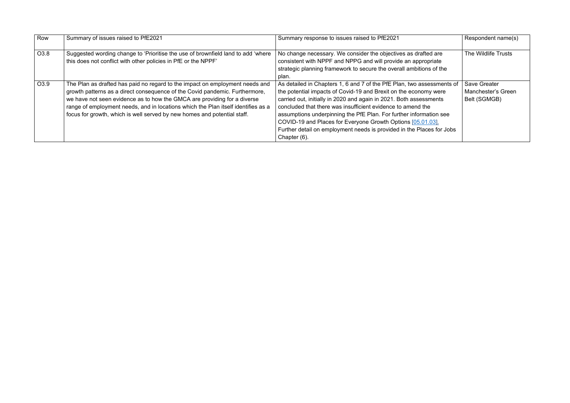| Row  | Summary of issues raised to PfE2021                                                                                                                                                                                                                                                                                                                                                                      | Summary response to issues raised to PfE2021                                                                                                                                                                                                                                                                                                                                                                                                                                                                  | Respondent name(s)                                        |
|------|----------------------------------------------------------------------------------------------------------------------------------------------------------------------------------------------------------------------------------------------------------------------------------------------------------------------------------------------------------------------------------------------------------|---------------------------------------------------------------------------------------------------------------------------------------------------------------------------------------------------------------------------------------------------------------------------------------------------------------------------------------------------------------------------------------------------------------------------------------------------------------------------------------------------------------|-----------------------------------------------------------|
| O3.8 | Suggested wording change to 'Prioritise the use of brownfield land to add 'where<br>this does not conflict with other policies in PfE or the NPPF'                                                                                                                                                                                                                                                       | No change necessary. We consider the objectives as drafted are<br>consistent with NPPF and NPPG and will provide an appropriate<br>strategic planning framework to secure the overall ambitions of the<br>plan.                                                                                                                                                                                                                                                                                               | The Wildlife Trusts                                       |
| O3.9 | The Plan as drafted has paid no regard to the impact on employment needs and<br>growth patterns as a direct consequence of the Covid pandemic. Furthermore,<br>we have not seen evidence as to how the GMCA are providing for a diverse<br>range of employment needs, and in locations which the Plan itself identifies as a<br>focus for growth, which is well served by new homes and potential staff. | As detailed in Chapters 1, 6 and 7 of the PfE Plan, two assessments of<br>the potential impacts of Covid-19 and Brexit on the economy were<br>carried out, initially in 2020 and again in 2021. Both assessments<br>concluded that there was insufficient evidence to amend the<br>assumptions underpinning the PfE Plan. For further information see<br>COVID-19 and Places for Everyone Growth Options [05.01.03].<br>Further detail on employment needs is provided in the Places for Jobs<br>Chapter (6). | <b>Save Greater</b><br>Manchester's Green<br>Belt (SGMGB) |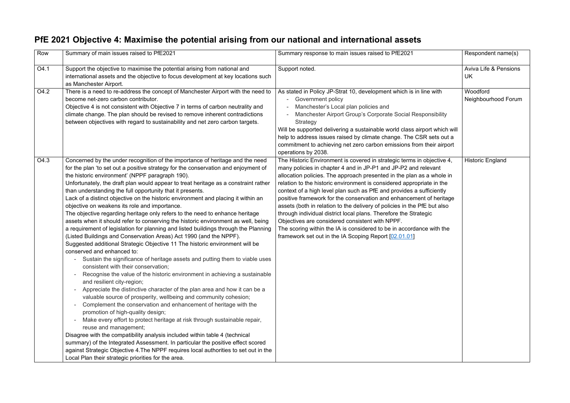#### **PfE 2021 Objective 4: Maximise the potential arising from our national and international assets**

| Row  | Summary of main issues raised to PfE2021                                                                                                                                                                                                                                                                                                                                                                                                                                                                                                                                                                                                                                                                                                                                                                                                                                                                                                                                                                                                                                                                                                                                                                                                                                                                                                                                                                                                                                                                                                                                                                                                                                                                                                                                                                                                                                            | Summary response to main issues raised to PfE2021                                                                                                                                                                                                                                                                                                                                                                                                                                                                                                                                                                                                                                                                                                                             | Respondent name(s)                            |
|------|-------------------------------------------------------------------------------------------------------------------------------------------------------------------------------------------------------------------------------------------------------------------------------------------------------------------------------------------------------------------------------------------------------------------------------------------------------------------------------------------------------------------------------------------------------------------------------------------------------------------------------------------------------------------------------------------------------------------------------------------------------------------------------------------------------------------------------------------------------------------------------------------------------------------------------------------------------------------------------------------------------------------------------------------------------------------------------------------------------------------------------------------------------------------------------------------------------------------------------------------------------------------------------------------------------------------------------------------------------------------------------------------------------------------------------------------------------------------------------------------------------------------------------------------------------------------------------------------------------------------------------------------------------------------------------------------------------------------------------------------------------------------------------------------------------------------------------------------------------------------------------------|-------------------------------------------------------------------------------------------------------------------------------------------------------------------------------------------------------------------------------------------------------------------------------------------------------------------------------------------------------------------------------------------------------------------------------------------------------------------------------------------------------------------------------------------------------------------------------------------------------------------------------------------------------------------------------------------------------------------------------------------------------------------------------|-----------------------------------------------|
| O4.1 | Support the objective to maximise the potential arising from national and<br>international assets and the objective to focus development at key locations such<br>as Manchester Airport.                                                                                                                                                                                                                                                                                                                                                                                                                                                                                                                                                                                                                                                                                                                                                                                                                                                                                                                                                                                                                                                                                                                                                                                                                                                                                                                                                                                                                                                                                                                                                                                                                                                                                            | Support noted.                                                                                                                                                                                                                                                                                                                                                                                                                                                                                                                                                                                                                                                                                                                                                                | <b>Aviva Life &amp; Pensions</b><br><b>UK</b> |
| O4.2 | There is a need to re-address the concept of Manchester Airport with the need to<br>become net-zero carbon contributor.<br>Objective 4 is not consistent with Objective 7 in terms of carbon neutrality and<br>climate change. The plan should be revised to remove inherent contradictions<br>between objectives with regard to sustainability and net zero carbon targets.                                                                                                                                                                                                                                                                                                                                                                                                                                                                                                                                                                                                                                                                                                                                                                                                                                                                                                                                                                                                                                                                                                                                                                                                                                                                                                                                                                                                                                                                                                        | As stated in Policy JP-Strat 10, development which is in line with<br><b>Government policy</b><br>Manchester's Local plan policies and<br>Manchester Airport Group's Corporate Social Responsibility<br>Strategy<br>Will be supported delivering a sustainable world class airport which will<br>help to address issues raised by climate change. The CSR sets out a<br>commitment to achieving net zero carbon emissions from their airport<br>operations by 2038.                                                                                                                                                                                                                                                                                                           | Woodford<br>Neighbourhood Forum               |
| O4.3 | Concerned by the under recognition of the importance of heritage and the need<br>for the plan 'to set out a positive strategy for the conservation and enjoyment of<br>the historic environment' (NPPF paragraph 190).<br>Unfortunately, the draft plan would appear to treat heritage as a constraint rather<br>than understanding the full opportunity that it presents.<br>Lack of a distinct objective on the historic environment and placing it within an<br>objective on weakens its role and importance.<br>The objective regarding heritage only refers to the need to enhance heritage<br>assets when it should refer to conserving the historic environment as well, being<br>a requirement of legislation for planning and listed buildings through the Planning<br>(Listed Buildings and Conservation Areas) Act 1990 (and the NPPF).<br>Suggested additional Strategic Objective 11 The historic environment will be<br>conserved and enhanced to:<br>Sustain the significance of heritage assets and putting them to viable uses<br>consistent with their conservation;<br>Recognise the value of the historic environment in achieving a sustainable<br>and resilient city-region;<br>Appreciate the distinctive character of the plan area and how it can be a<br>valuable source of prosperity, wellbeing and community cohesion;<br>Complement the conservation and enhancement of heritage with the<br>promotion of high-quality design;<br>Make every effort to protect heritage at risk through sustainable repair,<br>reuse and management;<br>Disagree with the compatibility analysis included within table 4 (technical<br>summary) of the Integrated Assessment. In particular the positive effect scored<br>against Strategic Objective 4. The NPPF requires local authorities to set out in the<br>Local Plan their strategic priorities for the area. | The Historic Environment is covered in strategic terms in objective 4,<br>many policies in chapter 4 and in JP-P1 and JP-P2 and relevant<br>allocation policies. The approach presented in the plan as a whole in<br>relation to the historic environment is considered appropriate in the<br>context of a high level plan such as PfE and provides a sufficiently<br>positive framework for the conservation and enhancement of heritage<br>assets (both in relation to the delivery of policies in the PfE but also<br>through individual district local plans. Therefore the Strategic<br>Objectives are considered consistent with NPPF.<br>The scoring within the IA is considered to be in accordance with the<br>framework set out in the IA Scoping Report [02.01.01] | <b>Historic England</b>                       |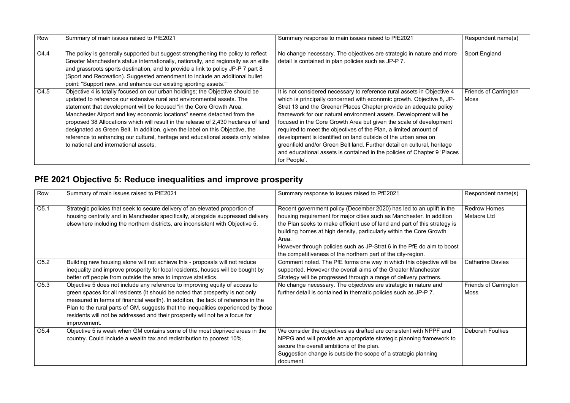| Row  | Summary of main issues raised to PfE2021                                                                                                                                                                                                                                                                                                                                                                                                                                                                                                                                                                       | Summary response to main issues raised to PfE2021                                                                                                                                                                                                                                                                                                                                                                                                                                                                                                                                                                                                                               | Respondent name(s)                          |
|------|----------------------------------------------------------------------------------------------------------------------------------------------------------------------------------------------------------------------------------------------------------------------------------------------------------------------------------------------------------------------------------------------------------------------------------------------------------------------------------------------------------------------------------------------------------------------------------------------------------------|---------------------------------------------------------------------------------------------------------------------------------------------------------------------------------------------------------------------------------------------------------------------------------------------------------------------------------------------------------------------------------------------------------------------------------------------------------------------------------------------------------------------------------------------------------------------------------------------------------------------------------------------------------------------------------|---------------------------------------------|
| O4.4 | The policy is generally supported but suggest strengthening the policy to reflect<br>Greater Manchester's status internationally, nationally, and regionally as an elite<br>and grassroots sports destination, and to provide a link to policy JP-P 7 part 8<br>(Sport and Recreation). Suggested amendment.to include an additional bullet<br>point: "Support new, and enhance our existing sporting assets."                                                                                                                                                                                                 | No change necessary. The objectives are strategic in nature and more<br>detail is contained in plan policies such as JP-P 7.                                                                                                                                                                                                                                                                                                                                                                                                                                                                                                                                                    | <b>Sport England</b>                        |
| O4.5 | Objective 4 is totally focused on our urban holdings; the Objective should be<br>updated to reference our extensive rural and environmental assets. The<br>statement that development will be focused "in the Core Growth Area,<br>Manchester Airport and key economic locations" seems detached from the<br>proposed 38 Allocations which will result in the release of 2,430 hectares of land<br>designated as Green Belt. In addition, given the label on this Objective, the<br>reference to enhancing our cultural, heritage and educational assets only relates<br>to national and international assets. | It is not considered necessary to reference rural assets in Objective 4<br>which is principally concerned with economic growth. Objective 8, JP-<br>Strat 13 and the Greener Places Chapter provide an adequate policy<br>framework for our natural environment assets. Development will be<br>focused in the Core Growth Area but given the scale of development<br>required to meet the objectives of the Plan, a limited amount of<br>development is identified on land outside of the urban area on<br>greenfield and/or Green Belt land. Further detail on cultural, heritage<br>and educational assets is contained in the policies of Chapter 9 'Places'<br>for People'. | <b>Friends of Carrington</b><br><b>Moss</b> |

### **PfE 2021 Objective 5: Reduce inequalities and improve prosperity**

| Row              | Summary of main issues raised to PfE2021                                                                                                                                                                                                                                                                                                                                                                                                 | Summary response to issues raised to PfE2021                                                                                                                                                                                                                                                                                                                                                                                                        | Respondent name(s)                          |
|------------------|------------------------------------------------------------------------------------------------------------------------------------------------------------------------------------------------------------------------------------------------------------------------------------------------------------------------------------------------------------------------------------------------------------------------------------------|-----------------------------------------------------------------------------------------------------------------------------------------------------------------------------------------------------------------------------------------------------------------------------------------------------------------------------------------------------------------------------------------------------------------------------------------------------|---------------------------------------------|
| O <sub>5.1</sub> | Strategic policies that seek to secure delivery of an elevated proportion of<br>housing centrally and in Manchester specifically, alongside suppressed delivery<br>elsewhere including the northern districts, are inconsistent with Objective 5.                                                                                                                                                                                        | Recent government policy (December 2020) has led to an uplift in the<br>housing requirement for major cities such as Manchester. In addition<br>the Plan seeks to make efficient use of land and part of this strategy is<br>building homes at high density, particularly within the Core Growth<br>Area.<br>However through policies such as JP-Strat 6 in the PfE do aim to boost<br>the competitiveness of the northern part of the city-region. | <b>Redrow Homes</b><br>Metacre Ltd          |
| O <sub>5.2</sub> | Building new housing alone will not achieve this - proposals will not reduce<br>inequality and improve prosperity for local residents, houses will be bought by<br>better off people from outside the area to improve statistics.                                                                                                                                                                                                        | Comment noted. The PfE forms one way in which this objective will be<br>supported. However the overall aims of the Greater Manchester<br>Strategy will be progressed through a range of delivery partners.                                                                                                                                                                                                                                          | <b>Catherine Davies</b>                     |
| O <sub>5.3</sub> | Objective 5 does not include any reference to improving equity of access to<br>green spaces for all residents (it should be noted that prosperity is not only<br>measured in terms of financial wealth). In addition, the lack of reference in the<br>Plan to the rural parts of GM, suggests that the inequalities experienced by those<br>residents will not be addressed and their prosperity will not be a focus for<br>improvement. | No change necessary. The objectives are strategic in nature and<br>further detail is contained in thematic policies such as JP-P 7.                                                                                                                                                                                                                                                                                                                 | <b>Friends of Carrington</b><br><b>Moss</b> |
| O <sub>5.4</sub> | Objective 5 is weak when GM contains some of the most deprived areas in the<br>country. Could include a wealth tax and redistribution to poorest 10%.                                                                                                                                                                                                                                                                                    | We consider the objectives as drafted are consistent with NPPF and<br>NPPG and will provide an appropriate strategic planning framework to<br>secure the overall ambitions of the plan.<br>Suggestion change is outside the scope of a strategic planning<br>document.                                                                                                                                                                              | <b>Deborah Foulkes</b>                      |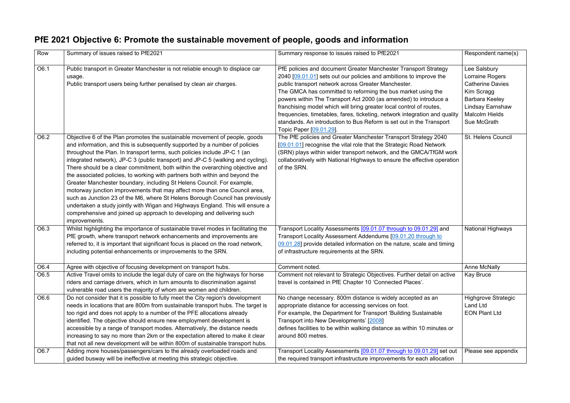#### **PfE 2021 Objective 6: Promote the sustainable movement of people, goods and information**

| Row          | Summary of issues raised to PfE2021                                                                                                                                                                                                                                                                                                                                                                                                                                                                                                                                                                                                                                                                                                                                                                                                                                                                               | Summary response to issues raised to PfE2021                                                                                                                                                                                                                                                                                                                                                                                                                                                                                                                                             | Respondent name(s)                                                                                                                                                   |
|--------------|-------------------------------------------------------------------------------------------------------------------------------------------------------------------------------------------------------------------------------------------------------------------------------------------------------------------------------------------------------------------------------------------------------------------------------------------------------------------------------------------------------------------------------------------------------------------------------------------------------------------------------------------------------------------------------------------------------------------------------------------------------------------------------------------------------------------------------------------------------------------------------------------------------------------|------------------------------------------------------------------------------------------------------------------------------------------------------------------------------------------------------------------------------------------------------------------------------------------------------------------------------------------------------------------------------------------------------------------------------------------------------------------------------------------------------------------------------------------------------------------------------------------|----------------------------------------------------------------------------------------------------------------------------------------------------------------------|
| O6.1         | Public transport in Greater Manchester is not reliable enough to displace car<br>usage.<br>Public transport users being further penalised by clean air charges.                                                                                                                                                                                                                                                                                                                                                                                                                                                                                                                                                                                                                                                                                                                                                   | PfE policies and document Greater Manchester Transport Strategy<br>2040 [09.01.01] sets out our policies and ambitions to improve the<br>public transport network across Greater Manchester.<br>The GMCA has committed to reforming the bus market using the<br>powers within The Transport Act 2000 (as amended) to introduce a<br>franchising model which will bring greater local control of routes,<br>frequencies, timetables, fares, ticketing, network integration and quality<br>standards. An introduction to Bus Reform is set out in the Transport<br>Topic Paper [09.01.29]. | Lee Salsbury<br>Lorraine Rogers<br><b>Catherine Davies</b><br>Kim Scragg<br><b>Barbara Keeley</b><br><b>Lindsay Earnshaw</b><br><b>Malcolm Hields</b><br>Sue McGrath |
| O6.2         | Objective 6 of the Plan promotes the sustainable movement of people, goods<br>and information, and this is subsequently supported by a number of policies<br>throughout the Plan. In transport terms, such policies include JP-C 1 (an<br>integrated network), JP-C 3 (public transport) and JP-C 5 (walking and cycling).<br>There should be a clear commitment, both within the overarching objective and<br>the associated policies, to working with partners both within and beyond the<br>Greater Manchester boundary, including St Helens Council. For example,<br>motorway junction improvements that may affect more than one Council area,<br>such as Junction 23 of the M6, where St Helens Borough Council has previously<br>undertaken a study jointly with Wigan and Highways England. This will ensure a<br>comprehensive and joined up approach to developing and delivering such<br>improvements. | The PfE policies and Greater Manchester Transport Strategy 2040<br>[09.01.01] recognise the vital role that the Strategic Road Network<br>(SRN) plays within wider transport network, and the GMCA/TfGM work<br>collaboratively with National Highways to ensure the effective operation<br>of the SRN.                                                                                                                                                                                                                                                                                  | St. Helens Council                                                                                                                                                   |
| O6.3         | Whilst highlighting the importance of sustainable travel modes in facilitating the<br>PfE growth, where transport network enhancements and improvements are<br>referred to, it is important that significant focus is placed on the road network,<br>including potential enhancements or improvements to the SRN.                                                                                                                                                                                                                                                                                                                                                                                                                                                                                                                                                                                                 | Transport Locality Assessments [09.01.07 through to 09.01.29] and<br>Transport Locality Assessment Addendums [09.01.20 through to<br>09.01.28] provide detailed information on the nature, scale and timing<br>of infrastructure requirements at the SRN.                                                                                                                                                                                                                                                                                                                                | <b>National Highways</b>                                                                                                                                             |
| O6.4<br>O6.5 | Agree with objective of focusing development on transport hubs.<br>Active Travel omits to include the legal duty of care on the highways for horse<br>riders and carriage drivers, which in turn amounts to discrimination against                                                                                                                                                                                                                                                                                                                                                                                                                                                                                                                                                                                                                                                                                | Comment noted.<br>Comment not relevant to Strategic Objectives. Further detail on active<br>travel is contained in PfE Chapter 10 'Connected Places'.                                                                                                                                                                                                                                                                                                                                                                                                                                    | <b>Anne McNally</b><br><b>Kay Bruce</b>                                                                                                                              |
| O6.6         | vulnerable road users the majority of whom are women and children.<br>Do not consider that it is possible to fully meet the City region's development<br>needs in locations that are 800m from sustainable transport hubs. The target is<br>too rigid and does not apply to a number of the PFE allocations already<br>identified. The objective should ensure new employment development is<br>accessible by a range of transport modes. Alternatively, the distance needs<br>increasing to say no more than 2km or the expectation altered to make it clear<br>that not all new development will be within 800m of sustainable transport hubs.                                                                                                                                                                                                                                                                  | No change necessary. 800m distance is widely accepted as an<br>appropriate distance for accessing services on foot.<br>For example, the Department for Transport 'Building Sustainable<br>Transport into New Developments' [2008]<br>defines facilities to be within walking distance as within 10 minutes or<br>around 800 metres.                                                                                                                                                                                                                                                      | <b>Highgrove Strategic</b><br><b>Land Ltd</b><br><b>EON Plant Ltd</b>                                                                                                |
| O6.7         | Adding more houses/passengers/cars to the already overloaded roads and<br>guided busway will be ineffective at meeting this strategic objective.                                                                                                                                                                                                                                                                                                                                                                                                                                                                                                                                                                                                                                                                                                                                                                  | Transport Locality Assessments [09.01.07 through to 09.01.29] set out<br>the required transport infrastructure improvements for each allocation                                                                                                                                                                                                                                                                                                                                                                                                                                          | Please see appendix                                                                                                                                                  |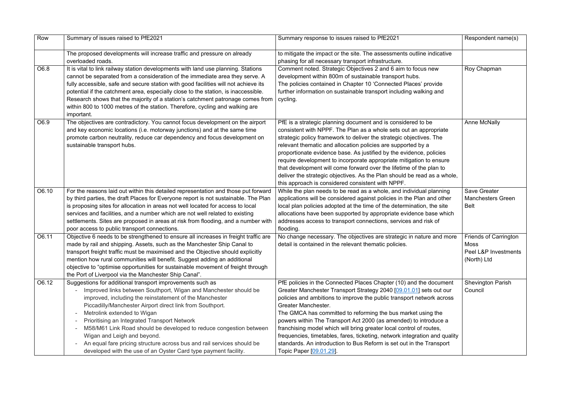| Row   | Summary of issues raised to PfE2021                                                                                                                                                                                                                                                                                                                                                                                                                                                                                                                                                              | Summary response to issues raised to PfE2021                                                                                                                                                                                                                                                                                                                                                                                                                                                                                                                                                                                         | Respondent name(s)                                                          |
|-------|--------------------------------------------------------------------------------------------------------------------------------------------------------------------------------------------------------------------------------------------------------------------------------------------------------------------------------------------------------------------------------------------------------------------------------------------------------------------------------------------------------------------------------------------------------------------------------------------------|--------------------------------------------------------------------------------------------------------------------------------------------------------------------------------------------------------------------------------------------------------------------------------------------------------------------------------------------------------------------------------------------------------------------------------------------------------------------------------------------------------------------------------------------------------------------------------------------------------------------------------------|-----------------------------------------------------------------------------|
|       | The proposed developments will increase traffic and pressure on already<br>overloaded roads.                                                                                                                                                                                                                                                                                                                                                                                                                                                                                                     | to mitigate the impact or the site. The assessments outline indicative<br>phasing for all necessary transport infrastructure.                                                                                                                                                                                                                                                                                                                                                                                                                                                                                                        |                                                                             |
| O6.8  | It is vital to link railway station developments with land use planning. Stations<br>cannot be separated from a consideration of the immediate area they serve. A<br>fully accessible, safe and secure station with good facilities will not achieve its<br>potential if the catchment area, especially close to the station, is inaccessible.<br>Research shows that the majority of a station's catchment patronage comes from<br>within 800 to 1000 metres of the station. Therefore, cycling and walking are<br>important.                                                                   | Comment noted. Strategic Objectives 2 and 6 aim to focus new<br>development within 800m of sustainable transport hubs.<br>The policies contained in Chapter 10 'Connected Places' provide<br>further information on sustainable transport including walking and<br>cycling.                                                                                                                                                                                                                                                                                                                                                          | Roy Chapman                                                                 |
| O6.9  | The objectives are contradictory. You cannot focus development on the airport<br>and key economic locations (i.e. motorway junctions) and at the same time<br>promote carbon neutrality, reduce car dependency and focus development on<br>sustainable transport hubs.                                                                                                                                                                                                                                                                                                                           | PfE is a strategic planning document and is considered to be<br>consistent with NPPF. The Plan as a whole sets out an appropriate<br>strategic policy framework to deliver the strategic objectives. The<br>relevant thematic and allocation policies are supported by a<br>proportionate evidence base. As justified by the evidence, policies<br>require development to incorporate appropriate mitigation to ensure<br>that development will come forward over the lifetime of the plan to<br>deliver the strategic objectives. As the Plan should be read as a whole,<br>this approach is considered consistent with NPPF.       | <b>Anne McNally</b>                                                         |
| O6.10 | For the reasons laid out within this detailed representation and those put forward<br>by third parties, the draft Places for Everyone report is not sustainable. The Plan<br>is proposing sites for allocation in areas not well located for access to local<br>services and facilities, and a number which are not well related to existing<br>settlements. Sites are proposed in areas at risk from flooding, and a number with<br>poor access to public transport connections.                                                                                                                | While the plan needs to be read as a whole, and individual planning<br>applications will be considered against policies in the Plan and other<br>local plan policies adopted at the time of the determination, the site<br>allocations have been supported by appropriate evidence base which<br>addresses access to transport connections, services and risk of<br>flooding.                                                                                                                                                                                                                                                        | <b>Save Greater</b><br><b>Manchesters Green</b><br><b>Belt</b>              |
| O6.11 | Objective 6 needs to be strengthened to ensure all increases in freight traffic are<br>made by rail and shipping. Assets, such as the Manchester Ship Canal to<br>transport freight traffic must be maximised and the Objective should explicitly<br>mention how rural communities will benefit. Suggest adding an additional<br>objective to "optimise opportunities for sustainable movement of freight through<br>the Port of Liverpool via the Manchester Ship Canal".                                                                                                                       | No change necessary. The objectives are strategic in nature and more<br>detail is contained in the relevant thematic policies.                                                                                                                                                                                                                                                                                                                                                                                                                                                                                                       | <b>Friends of Carrington</b><br>Moss<br>Peel L&P Investments<br>(North) Ltd |
| O6.12 | Suggestions for additional transport improvements such as<br>Improved links between Southport, Wigan and Manchester should be<br>improved, including the reinstatement of the Manchester<br>Piccadilly/Manchester Airport direct link from Southport.<br>Metrolink extended to Wigan<br>$\sim$<br>Prioritising an Integrated Transport Network<br>M58/M61 Link Road should be developed to reduce congestion between<br>Wigan and Leigh and beyond.<br>An equal fare pricing structure across bus and rail services should be<br>developed with the use of an Oyster Card type payment facility. | PfE policies in the Connected Places Chapter (10) and the document<br>Greater Manchester Transport Strategy 2040 [09.01.01] sets out our<br>policies and ambitions to improve the public transport network across<br>Greater Manchester.<br>The GMCA has committed to reforming the bus market using the<br>powers within The Transport Act 2000 (as amended) to introduce a<br>franchising model which will bring greater local control of routes,<br>frequencies, timetables, fares, ticketing, network integration and quality<br>standards. An introduction to Bus Reform is set out in the Transport<br>Topic Paper [09.01.29]. | <b>Shevington Parish</b><br>Council                                         |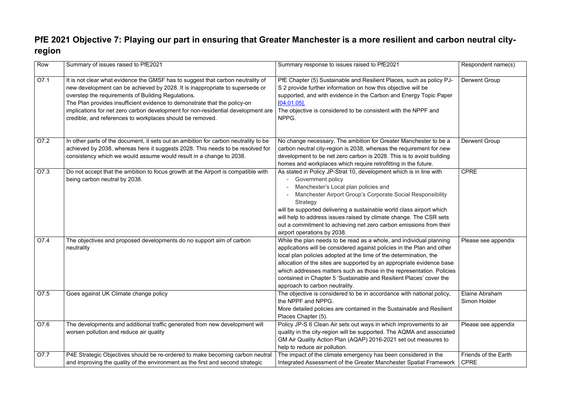#### **PfE 2021 Objective 7: Playing our part in ensuring that Greater Manchester is a more resilient and carbon neutral cityregion**

| Row  | Summary of issues raised to PfE2021                                                                                                                                                                                                                                                                                                                                                                                                                 | Summary response to issues raised to PfE2021                                                                                                                                                                                                                                                                                                                                                                                                                                                    | Respondent name(s)                  |
|------|-----------------------------------------------------------------------------------------------------------------------------------------------------------------------------------------------------------------------------------------------------------------------------------------------------------------------------------------------------------------------------------------------------------------------------------------------------|-------------------------------------------------------------------------------------------------------------------------------------------------------------------------------------------------------------------------------------------------------------------------------------------------------------------------------------------------------------------------------------------------------------------------------------------------------------------------------------------------|-------------------------------------|
| O7.1 | It is not clear what evidence the GMSF has to suggest that carbon neutrality of<br>new development can be achieved by 2028. It is inappropriate to supersede or<br>overstep the requirements of Building Regulations.<br>The Plan provides insufficient evidence to demonstrate that the policy-on<br>implications for net zero carbon development for non-residential development are<br>credible, and references to workplaces should be removed. | PfE Chapter (5) Sustainable and Resilient Places, such as policy PJ-<br>S 2 provide further information on how this objective will be<br>supported, and with evidence in the Carbon and Energy Topic Paper<br>$[04.01.05]$ .<br>The objective is considered to be consistent with the NPPF and<br>NPPG.                                                                                                                                                                                         | <b>Derwent Group</b>                |
| O7.2 | In other parts of the document, it sets out an ambition for carbon neutrality to be<br>achieved by 2038, whereas here it suggests 2028. This needs to be resolved for<br>consistency which we would assume would result in a change to 2038.                                                                                                                                                                                                        | No change necessary. The ambition for Greater Manchester to be a<br>carbon neutral city-region is 2038, whereas the requirement for new<br>development to be net zero carbon is 2028. This is to avoid building<br>homes and workplaces which require retrofitting in the future.                                                                                                                                                                                                               | <b>Derwent Group</b>                |
| O7.3 | Do not accept that the ambition to focus growth at the Airport is compatible with<br>being carbon neutral by 2038.                                                                                                                                                                                                                                                                                                                                  | As stated in Policy JP-Strat 10, development which is in line with<br><b>Government policy</b><br>Manchester's Local plan policies and<br>$\overline{\phantom{a}}$<br>Manchester Airport Group's Corporate Social Responsibility<br>Strategy<br>will be supported delivering a sustainable world class airport which<br>will help to address issues raised by climate change. The CSR sets<br>out a commitment to achieving net zero carbon emissions from their<br>airport operations by 2038. | <b>CPRE</b>                         |
| O7.4 | The objectives and proposed developments do no support aim of carbon<br>neutrality                                                                                                                                                                                                                                                                                                                                                                  | While the plan needs to be read as a whole, and individual planning<br>applications will be considered against policies in the Plan and other<br>local plan policies adopted at the time of the determination, the<br>allocation of the sites are supported by an appropriate evidence base<br>which addresses matters such as those in the representation. Policies<br>contained in Chapter 5 'Sustainable and Resilient Places' cover the<br>approach to carbon neutrality.                   | Please see appendix                 |
| O7.5 | Goes against UK Climate change policy                                                                                                                                                                                                                                                                                                                                                                                                               | The objective is considered to be in accordance with national policy,<br>the NPPF and NPPG.<br>More detailed policies are contained in the Sustainable and Resilient<br>Places Chapter (5).                                                                                                                                                                                                                                                                                                     | Elaine Abraham<br>Simon Holder      |
| O7.6 | The developments and additional traffic generated from new development will<br>worsen pollution and reduce air quality                                                                                                                                                                                                                                                                                                                              | Policy JP-S 6 Clean Air sets out ways in which improvements to air<br>quality in the city-region will be supported. The AQMA and associated<br>GM Air Quality Action Plan (AQAP) 2016-2021 set out measures to<br>help to reduce air pollution.                                                                                                                                                                                                                                                 | Please see appendix                 |
| O7.7 | P4E Strategic Objectives should be re-ordered to make becoming carbon neutral<br>and improving the quality of the environment as the first and second strategic                                                                                                                                                                                                                                                                                     | The impact of the climate emergency has been considered in the<br>Integrated Assessment of the Greater Manchester Spatial Framework                                                                                                                                                                                                                                                                                                                                                             | Friends of the Earth<br><b>CPRE</b> |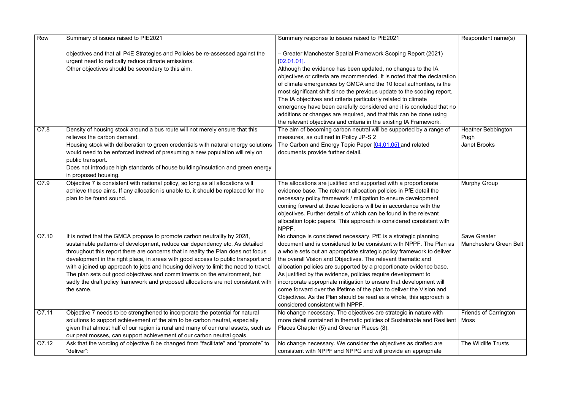| Row   | Summary of issues raised to PfE2021                                                                                                                                                                                                                                                                                                                                                                                                                                                                                                                                                                    | Summary response to issues raised to PfE2021                                                                                                                                                                                                                                                                                                                                                                                                                                                                                                                                                                                                                                   | Respondent name(s)                                       |
|-------|--------------------------------------------------------------------------------------------------------------------------------------------------------------------------------------------------------------------------------------------------------------------------------------------------------------------------------------------------------------------------------------------------------------------------------------------------------------------------------------------------------------------------------------------------------------------------------------------------------|--------------------------------------------------------------------------------------------------------------------------------------------------------------------------------------------------------------------------------------------------------------------------------------------------------------------------------------------------------------------------------------------------------------------------------------------------------------------------------------------------------------------------------------------------------------------------------------------------------------------------------------------------------------------------------|----------------------------------------------------------|
|       | objectives and that all P4E Strategies and Policies be re-assessed against the<br>urgent need to radically reduce climate emissions.<br>Other objectives should be secondary to this aim.                                                                                                                                                                                                                                                                                                                                                                                                              | - Greater Manchester Spatial Framework Scoping Report (2021)<br>$[02.01.01]$ .<br>Although the evidence has been updated, no changes to the IA<br>objectives or criteria are recommended. It is noted that the declaration<br>of climate emergencies by GMCA and the 10 local authorities, is the<br>most significant shift since the previous update to the scoping report.<br>The IA objectives and criteria particularly related to climate<br>emergency have been carefully considered and it is concluded that no<br>additions or changes are required, and that this can be done using<br>the relevant objectives and criteria in the existing IA Framework.             |                                                          |
| O7.8  | Density of housing stock around a bus route will not merely ensure that this<br>relieves the carbon demand.<br>Housing stock with deliberation to green credentials with natural energy solutions<br>would need to be enforced instead of presuming a new population will rely on<br>public transport.<br>Does not introduce high standards of house building/insulation and green energy<br>in proposed housing.                                                                                                                                                                                      | The aim of becoming carbon neutral will be supported by a range of<br>measures, as outlined in Policy JP-S 2<br>The Carbon and Energy Topic Paper [04.01.05] and related<br>documents provide further detail.                                                                                                                                                                                                                                                                                                                                                                                                                                                                  | <b>Heather Bebbington</b><br>Pugh<br><b>Janet Brooks</b> |
| O7.9  | Objective 7 is consistent with national policy, so long as all allocations will<br>achieve these aims. If any allocation is unable to, it should be replaced for the<br>plan to be found sound.                                                                                                                                                                                                                                                                                                                                                                                                        | The allocations are justified and supported with a proportionate<br>evidence base. The relevant allocation policies in PfE detail the<br>necessary policy framework / mitigation to ensure development<br>coming forward at those locations will be in accordance with the<br>objectives. Further details of which can be found in the relevant<br>allocation topic papers. This approach is considered consistent with<br>NPPF.                                                                                                                                                                                                                                               | <b>Murphy Group</b>                                      |
| O7.10 | It is noted that the GMCA propose to promote carbon neutrality by 2028,<br>sustainable patterns of development, reduce car dependency etc. As detailed<br>throughout this report there are concerns that in reality the Plan does not focus<br>development in the right place, in areas with good access to public transport and<br>with a joined up approach to jobs and housing delivery to limit the need to travel.<br>The plan sets out good objectives and commitments on the environment, but<br>sadly the draft policy framework and proposed allocations are not consistent with<br>the same. | No change is considered necessary. PfE is a strategic planning<br>document and is considered to be consistent with NPPF. The Plan as<br>a whole sets out an appropriate strategic policy framework to deliver<br>the overall Vision and Objectives. The relevant thematic and<br>allocation policies are supported by a proportionate evidence base.<br>As justified by the evidence, policies require development to<br>incorporate appropriate mitigation to ensure that development will<br>come forward over the lifetime of the plan to deliver the Vision and<br>Objectives. As the Plan should be read as a whole, this approach is<br>considered consistent with NPPF. | <b>Save Greater</b><br><b>Manchesters Green Belt</b>     |
| O7.11 | Objective 7 needs to be strengthened to incorporate the potential for natural<br>solutions to support achievement of the aim to be carbon neutral, especially<br>given that almost half of our region is rural and many of our rural assets, such as<br>our peat mosses, can support achievement of our carbon neutral goals.                                                                                                                                                                                                                                                                          | No change necessary. The objectives are strategic in nature with<br>more detail contained in thematic policies of Sustainable and Resilient   Moss<br>Places Chapter (5) and Greener Places (8).                                                                                                                                                                                                                                                                                                                                                                                                                                                                               | Friends of Carrington                                    |
| O7.12 | Ask that the wording of objective 8 be changed from "facilitate" and "promote" to<br>"deliver":                                                                                                                                                                                                                                                                                                                                                                                                                                                                                                        | No change necessary. We consider the objectives as drafted are<br>consistent with NPPF and NPPG and will provide an appropriate                                                                                                                                                                                                                                                                                                                                                                                                                                                                                                                                                | The Wildlife Trusts                                      |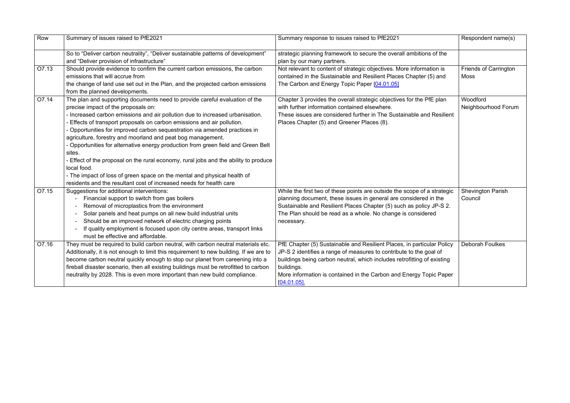| Row   | Summary of issues raised to PfE2021                                                    | Summary response to issues raised to PfE2021                             | Respondent name(s)           |
|-------|----------------------------------------------------------------------------------------|--------------------------------------------------------------------------|------------------------------|
|       | So to "Deliver carbon neutrality", "Deliver sustainable patterns of development"       | strategic planning framework to secure the overall ambitions of the      |                              |
|       | and "Deliver provision of infrastructure"                                              | plan by our many partners.                                               |                              |
| O7.13 | Should provide evidence to confirm the current carbon emissions, the carbon            | Not relevant to content of strategic objectives. More information is     | <b>Friends of Carrington</b> |
|       | emissions that will accrue from                                                        | contained in the Sustainable and Resilient Places Chapter (5) and        | <b>Moss</b>                  |
|       | the change of land use set out in the Plan, and the projected carbon emissions         | The Carbon and Energy Topic Paper [04.01.05]                             |                              |
|       | from the planned developments.                                                         |                                                                          |                              |
| O7.14 | The plan and supporting documents need to provide careful evaluation of the            | Chapter 3 provides the overall strategic objectives for the PfE plan     | Woodford                     |
|       | precise impact of the proposals on:                                                    | with further information contained elsewhere.                            | Neighbourhood Forum          |
|       | Increased carbon emissions and air pollution due to increased urbanisation.            | These issues are considered further in The Sustainable and Resilient     |                              |
|       | Effects of transport proposals on carbon emissions and air pollution.                  | Places Chapter (5) and Greener Places (8).                               |                              |
|       | Opportunities for improved carbon sequestration via amended practices in               |                                                                          |                              |
|       | agriculture, forestry and moorland and peat bog management.                            |                                                                          |                              |
|       | - Opportunities for alternative energy production from green field and Green Belt      |                                                                          |                              |
|       | sites.                                                                                 |                                                                          |                              |
|       | - Effect of the proposal on the rural economy, rural jobs and the ability to produce   |                                                                          |                              |
|       | local food.                                                                            |                                                                          |                              |
|       | - The impact of loss of green space on the mental and physical health of               |                                                                          |                              |
|       | residents and the resultant cost of increased needs for health care                    |                                                                          |                              |
| O7.15 | Suggestions for additional interventions:                                              | While the first two of these points are outside the scope of a strategic | <b>Shevington Parish</b>     |
|       | Financial support to switch from gas boilers                                           | planning document, these issues in general are considered in the         | Council                      |
|       | Removal of microplastics from the environment                                          | Sustainable and Resilient Places Chapter (5) such as policy JP-S 2.      |                              |
|       | Solar panels and heat pumps on all new build industrial units                          | The Plan should be read as a whole. No change is considered              |                              |
|       | Should be an improved network of electric charging points                              | necessary.                                                               |                              |
|       | If quality employment is focused upon city centre areas, transport links               |                                                                          |                              |
|       | must be effective and affordable.                                                      |                                                                          |                              |
| O7.16 | They must be required to build carbon neutral, with carbon neutral materials etc.      | PfE Chapter (5) Sustainable and Resilient Places, in particular Policy   | <b>Deborah Foulkes</b>       |
|       | Additionally, it is not enough to limit this requirement to new building. If we are to | JP-S 2 identifies a range of measures to contribute to the goal of       |                              |
|       | become carbon neutral quickly enough to stop our planet from careening into a          | buildings being carbon neutral, which includes retrofitting of existing  |                              |
|       | fireball disaster scenario, then all existing buildings must be retrofitted to carbon  | buildings.                                                               |                              |
|       | neutrality by 2028. This is even more important than new build compliance.             | More information is contained in the Carbon and Energy Topic Paper       |                              |
|       |                                                                                        | $[04.01.05]$ .                                                           |                              |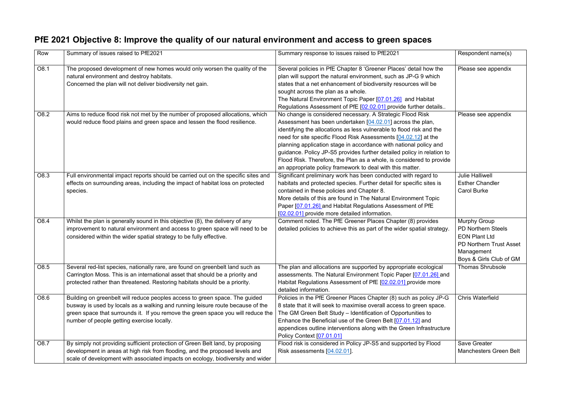#### **PfE 2021 Objective 8: Improve the quality of our natural environment and access to green spaces**

| Row  | Summary of issues raised to PfE2021                                                                                                                                                                                                                                                             | Summary response to issues raised to PfE2021                                                                                                                                                                                                                                                                                                                                                                                                                                                                                                           | Respondent name(s)                                                                                                                                  |
|------|-------------------------------------------------------------------------------------------------------------------------------------------------------------------------------------------------------------------------------------------------------------------------------------------------|--------------------------------------------------------------------------------------------------------------------------------------------------------------------------------------------------------------------------------------------------------------------------------------------------------------------------------------------------------------------------------------------------------------------------------------------------------------------------------------------------------------------------------------------------------|-----------------------------------------------------------------------------------------------------------------------------------------------------|
| O8.1 | The proposed development of new homes would only worsen the quality of the<br>natural environment and destroy habitats.<br>Concerned the plan will not deliver biodiversity net gain.                                                                                                           | Several policies in PfE Chapter 8 'Greener Places' detail how the<br>plan will support the natural environment, such as JP-G 9 which<br>states that a net enhancement of biodiversity resources will be<br>sought across the plan as a whole.<br>The Natural Environment Topic Paper [07.01.26] and Habitat<br>Regulations Assessment of PfE [02.02.01] provide further details                                                                                                                                                                        | Please see appendix                                                                                                                                 |
| O8.2 | Aims to reduce flood risk not met by the number of proposed allocations, which<br>would reduce flood plains and green space and lessen the flood resilience.                                                                                                                                    | No change is considered necessary. A Strategic Flood Risk<br>Assessment has been undertaken [04.02.01] across the plan,<br>identifying the allocations as less vulnerable to flood risk and the<br>need for site specific Flood Risk Assessments [04.02.12] at the<br>planning application stage in accordance with national policy and<br>guidance. Policy JP-S5 provides further detailed policy in relation to<br>Flood Risk. Therefore, the Plan as a whole, is considered to provide<br>an appropriate policy framework to deal with this matter. | Please see appendix                                                                                                                                 |
| O8.3 | Full environmental impact reports should be carried out on the specific sites and<br>effects on surrounding areas, including the impact of habitat loss on protected<br>species.                                                                                                                | Significant preliminary work has been conducted with regard to<br>habitats and protected species. Further detail for specific sites is<br>contained in these policies and Chapter 8.<br>More details of this are found in The Natural Environment Topic<br>Paper [07.01.26] and Habitat Regulations Assessment of PfE<br>[02.02.01] provide more detailed information.                                                                                                                                                                                 | <b>Julie Halliwell</b><br><b>Esther Chandler</b><br><b>Carol Burke</b>                                                                              |
| O8.4 | Whilst the plan is generally sound in this objective (8), the delivery of any<br>improvement to natural environment and access to green space will need to be<br>considered within the wider spatial strategy to be fully effective.                                                            | Comment noted. The PfE Greener Places Chapter (8) provides<br>detailed policies to achieve this as part of the wider spatial strategy.                                                                                                                                                                                                                                                                                                                                                                                                                 | <b>Murphy Group</b><br><b>PD Northern Steels</b><br><b>EON Plant Ltd</b><br><b>PD Northern Trust Asset</b><br>Management<br>Boys & Girls Club of GM |
| O8.5 | Several red-list species, nationally rare, are found on greenbelt land such as<br>Carrington Moss. This is an international asset that should be a priority and<br>protected rather than threatened. Restoring habitats should be a priority.                                                   | The plan and allocations are supported by appropriate ecological<br>assessments. The Natural Environment Topic Paper [07.01.26] and<br>Habitat Regulations Assessment of PfE [02.02.01] provide more<br>detailed information.                                                                                                                                                                                                                                                                                                                          | <b>Thomas Shrubsole</b>                                                                                                                             |
| O8.6 | Building on greenbelt will reduce peoples access to green space. The guided<br>busway is used by locals as a walking and running leisure route because of the<br>green space that surrounds it. If you remove the green space you will reduce the<br>number of people getting exercise locally. | Policies in the PfE Greener Places Chapter (8) such as policy JP-G<br>8 state that it will seek to maximise overall access to green space.<br>The GM Green Belt Study - Identification of Opportunities to<br>Enhance the Beneficial use of the Green Belt [07.01.12] and<br>appendices outline interventions along with the Green Infrastructure<br>Policy Context [07.01.01]                                                                                                                                                                         | <b>Chris Waterfield</b>                                                                                                                             |
| O8.7 | By simply not providing sufficient protection of Green Belt land, by proposing<br>development in areas at high risk from flooding, and the proposed levels and<br>scale of development with associated impacts on ecology, biodiversity and wider                                               | Flood risk is considered in Policy JP-S5 and supported by Flood<br>Risk assessments [04.02.01].                                                                                                                                                                                                                                                                                                                                                                                                                                                        | <b>Save Greater</b><br><b>Manchesters Green Belt</b>                                                                                                |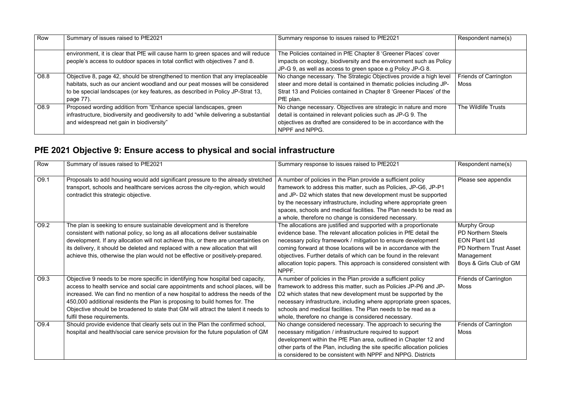| Row          | Summary of issues raised to PfE2021                                                                                                                                                                                                                            | Summary response to issues raised to PfE2021                                                                                                                                                                                     | Respondent name(s)                          |
|--------------|----------------------------------------------------------------------------------------------------------------------------------------------------------------------------------------------------------------------------------------------------------------|----------------------------------------------------------------------------------------------------------------------------------------------------------------------------------------------------------------------------------|---------------------------------------------|
|              | environment, it is clear that PfE will cause harm to green spaces and will reduce<br>people's access to outdoor spaces in total conflict with objectives 7 and 8.                                                                                              | The Policies contained in PfE Chapter 8 'Greener Places' cover<br>impacts on ecology, biodiversity and the environment such as Policy<br>JP-G 9, as well as access to green space e.g Policy JP-G 8.                             |                                             |
| O8.8         | Objective 8, page 42, should be strengthened to mention that any irreplaceable<br>habitats, such as our ancient woodland and our peat mosses will be considered<br>to be special landscapes (or key features, as described in Policy JP-Strat 13,<br>page 77). | No change necessary. The Strategic Objectives provide a high level<br>steer and more detail is contained in thematic policies including JP-<br>Strat 13 and Policies contained in Chapter 8 'Greener Places' of the<br>PfE plan. | <b>Friends of Carrington</b><br><b>Moss</b> |
| $\big $ O8.9 | Proposed wording addition from "Enhance special landscapes, green<br>infrastructure, biodiversity and geodiversity to add "while delivering a substantial<br>and widespread net gain in biodiversity"                                                          | No change necessary. Objectives are strategic in nature and more<br>detail is contained in relevant policies such as JP-G 9. The<br>objectives as drafted are considered to be in accordance with the<br>NPPF and NPPG.          | The Wildlife Trusts                         |

#### **PfE 2021 Objective 9: Ensure access to physical and social infrastructure**

| Row  | Summary of issues raised to PfE2021                                                                                                                                                                                                                                                                                                                                                                                                                      | Summary response to issues raised to PfE2021                                                                                                                                                                                                                                                                                                                                                                                     | Respondent name(s)                                                                                                                    |
|------|----------------------------------------------------------------------------------------------------------------------------------------------------------------------------------------------------------------------------------------------------------------------------------------------------------------------------------------------------------------------------------------------------------------------------------------------------------|----------------------------------------------------------------------------------------------------------------------------------------------------------------------------------------------------------------------------------------------------------------------------------------------------------------------------------------------------------------------------------------------------------------------------------|---------------------------------------------------------------------------------------------------------------------------------------|
| O9.1 | Proposals to add housing would add significant pressure to the already stretched<br>transport, schools and healthcare services across the city-region, which would<br>contradict this strategic objective.                                                                                                                                                                                                                                               | A number of policies in the Plan provide a sufficient policy<br>framework to address this matter, such as Policies, JP-G6, JP-P1<br>and JP- D2 which states that new development must be supported<br>by the necessary infrastructure, including where appropriate green<br>spaces, schools and medical facilities. The Plan needs to be read as<br>a whole, therefore no change is considered necessary.                        | Please see appendix                                                                                                                   |
| O9.2 | The plan is seeking to ensure sustainable development and is therefore<br>consistent with national policy, so long as all allocations deliver sustainable<br>development. If any allocation will not achieve this, or there are uncertainties on<br>its delivery, it should be deleted and replaced with a new allocation that will<br>achieve this, otherwise the plan would not be effective or positively-prepared.                                   | The allocations are justified and supported with a proportionate<br>evidence base. The relevant allocation policies in PfE detail the<br>necessary policy framework / mitigation to ensure development<br>coming forward at those locations will be in accordance with the<br>objectives. Further details of which can be found in the relevant<br>allocation topic papers. This approach is considered consistent with<br>NPPF. | Murphy Group<br><b>PD Northern Steels</b><br><b>EON Plant Ltd</b><br>PD Northern Trust Asset<br>Management<br>Boys & Girls Club of GM |
| O9.3 | Objective 9 needs to be more specific in identifying how hospital bed capacity,<br>access to health service and social care appointments and school places, will be<br>increased. We can find no mention of a new hospital to address the needs of the<br>450,000 additional residents the Plan is proposing to build homes for. The<br>Objective should be broadened to state that GM will attract the talent it needs to<br>fulfil these requirements. | A number of policies in the Plan provide a sufficient policy<br>framework to address this matter, such as Policies JP-P6 and JP-<br>D2 which states that new development must be supported by the<br>necessary infrastructure, including where appropriate green spaces,<br>schools and medical facilities. The Plan needs to be read as a<br>whole, therefore no change is considered necessary.                                | <b>Friends of Carrington</b><br><b>Moss</b>                                                                                           |
| O9.4 | Should provide evidence that clearly sets out in the Plan the confirmed school,<br>hospital and health/social care service provision for the future population of GM                                                                                                                                                                                                                                                                                     | No change considered necessary. The approach to securing the<br>necessary mitigation / infrastructure required to support<br>development within the PfE Plan area, outlined in Chapter 12 and<br>other parts of the Plan, including the site specific allocation policies<br>is considered to be consistent with NPPF and NPPG. Districts                                                                                        | <b>Friends of Carrington</b><br><b>Moss</b>                                                                                           |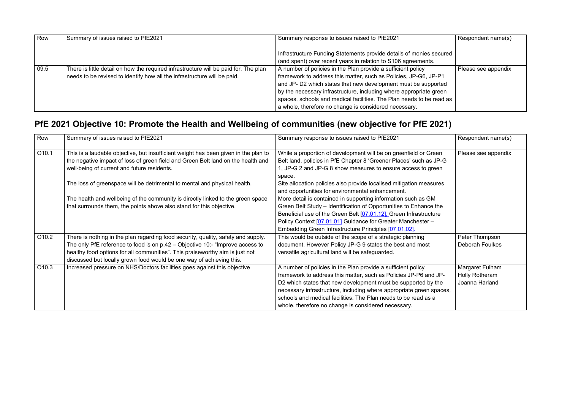| Row  | Summary of issues raised to PfE2021                                                    | Summary response to issues raised to PfE2021                         | Respondent name(s)  |
|------|----------------------------------------------------------------------------------------|----------------------------------------------------------------------|---------------------|
|      |                                                                                        |                                                                      |                     |
|      |                                                                                        | Infrastructure Funding Statements provide details of monies secured  |                     |
|      |                                                                                        | (and spent) over recent years in relation to S106 agreements.        |                     |
| 09.5 | There is little detail on how the required infrastructure will be paid for. The plan   | A number of policies in the Plan provide a sufficient policy         | Please see appendix |
|      | $\frac{1}{1}$ needs to be revised to identify how all the infrastructure will be paid. | framework to address this matter, such as Policies, JP-G6, JP-P1     |                     |
|      |                                                                                        | and JP- D2 which states that new development must be supported       |                     |
|      |                                                                                        | by the necessary infrastructure, including where appropriate green   |                     |
|      |                                                                                        | spaces, schools and medical facilities. The Plan needs to be read as |                     |
|      |                                                                                        | a whole, therefore no change is considered necessary.                |                     |

### **PfE 2021 Objective 10: Promote the Health and Wellbeing of communities (new objective for PfE 2021)**

| Row               | Summary of issues raised to PfE2021                                                                                                                                                                                                                                                                                        | Summary response to issues raised to PfE2021                                                                                                                                                                                                                                                                                                                                                      | Respondent name(s)                                         |
|-------------------|----------------------------------------------------------------------------------------------------------------------------------------------------------------------------------------------------------------------------------------------------------------------------------------------------------------------------|---------------------------------------------------------------------------------------------------------------------------------------------------------------------------------------------------------------------------------------------------------------------------------------------------------------------------------------------------------------------------------------------------|------------------------------------------------------------|
| O10.1             | This is a laudable objective, but insufficient weight has been given in the plan to<br>the negative impact of loss of green field and Green Belt land on the health and<br>well-being of current and future residents.                                                                                                     | While a proportion of development will be on greenfield or Green<br>Belt land, policies in PfE Chapter 8 'Greener Places' such as JP-G<br>1, JP-G 2 and JP-G 8 show measures to ensure access to green<br>space.                                                                                                                                                                                  | Please see appendix                                        |
|                   | The loss of greenspace will be detrimental to mental and physical health.                                                                                                                                                                                                                                                  | Site allocation policies also provide localised mitigation measures<br>and opportunities for environmental enhancement.                                                                                                                                                                                                                                                                           |                                                            |
|                   | The health and wellbeing of the community is directly linked to the green space<br>that surrounds them, the points above also stand for this objective.                                                                                                                                                                    | More detail is contained in supporting information such as GM<br>Green Belt Study - Identification of Opportunities to Enhance the<br>Beneficial use of the Green Belt [07.01.12]. Green Infrastructure<br>Policy Context [07.01.01] Guidance for Greater Manchester -<br>Embedding Green Infrastructure Principles [07.01.02].                                                                   |                                                            |
| O10.2             | There is nothing in the plan regarding food security, quality, safety and supply.<br>The only PfE reference to food is on p.42 - Objective 10:- "Improve access to<br>healthy food options for all communities". This praiseworthy aim is just not<br>discussed but locally grown food would be one way of achieving this. | This would be outside of the scope of a strategic planning<br>document. However Policy JP-G 9 states the best and most<br>versatile agricultural land will be safeguarded.                                                                                                                                                                                                                        | Peter Thompson<br><b>Deborah Foulkes</b>                   |
| O <sub>10.3</sub> | Increased pressure on NHS/Doctors facilities goes against this objective                                                                                                                                                                                                                                                   | A number of policies in the Plan provide a sufficient policy<br>framework to address this matter, such as Policies JP-P6 and JP-<br>D2 which states that new development must be supported by the<br>necessary infrastructure, including where appropriate green spaces,<br>schools and medical facilities. The Plan needs to be read as a<br>whole, therefore no change is considered necessary. | Margaret Fulham<br><b>Holly Rotheram</b><br>Joanna Harland |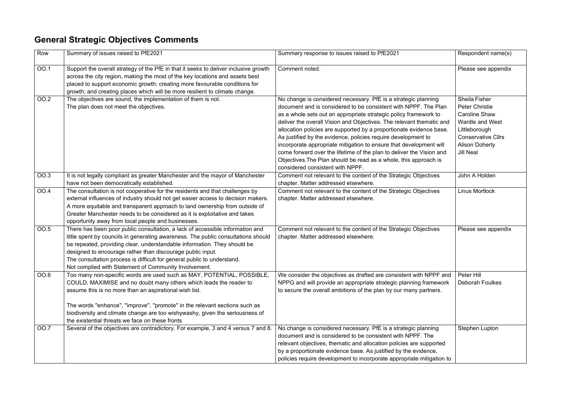#### **General Strategic Objectives Comments**

| Row         | Summary of issues raised to PfE2021                                                                                                                                                                                                                                                                                                                                                                                                              | Summary response to issues raised to PfE2021                                                                                                                                                                                                                                                                                                                                                                                                                                                                                                                                                                                                                                | Respondent name(s)                                                                                                                                                                         |
|-------------|--------------------------------------------------------------------------------------------------------------------------------------------------------------------------------------------------------------------------------------------------------------------------------------------------------------------------------------------------------------------------------------------------------------------------------------------------|-----------------------------------------------------------------------------------------------------------------------------------------------------------------------------------------------------------------------------------------------------------------------------------------------------------------------------------------------------------------------------------------------------------------------------------------------------------------------------------------------------------------------------------------------------------------------------------------------------------------------------------------------------------------------------|--------------------------------------------------------------------------------------------------------------------------------------------------------------------------------------------|
| OO.1        | Support the overall strategy of the PfE in that it seeks to deliver inclusive growth<br>across the city region, making the most of the key locations and assets best<br>placed to support economic growth; creating more favourable conditions for<br>growth; and creating places which will be more resilient to climate change.                                                                                                                | Comment noted.                                                                                                                                                                                                                                                                                                                                                                                                                                                                                                                                                                                                                                                              | Please see appendix                                                                                                                                                                        |
| <b>OO.2</b> | The objectives are sound, the implementation of them is not.<br>The plan does not meet the objectives.                                                                                                                                                                                                                                                                                                                                           | No change is considered necessary. PfE is a strategic planning<br>document and is considered to be consistent with NPPF. The Plan<br>as a whole sets out an appropriate strategic policy framework to<br>deliver the overall Vision and Objectives. The relevant thematic and<br>allocation policies are supported by a proportionate evidence base.<br>As justified by the evidence, policies require development to<br>incorporate appropriate mitigation to ensure that development will<br>come forward over the lifetime of the plan to deliver the Vision and<br>Objectives. The Plan should be read as a whole, this approach is<br>considered consistent with NPPF. | <b>Sheila Fisher</b><br><b>Peter Christie</b><br><b>Caroline Shaw</b><br><b>Wardle and West</b><br>Littleborough<br><b>Conservative Cllrs</b><br><b>Alison Doherty</b><br><b>Jill Neal</b> |
| OO.3        | It is not legally compliant as greater Manchester and the mayor of Manchester<br>have not been democratically established.                                                                                                                                                                                                                                                                                                                       | Comment not relevant to the content of the Strategic Objectives<br>chapter. Matter addressed elsewhere.                                                                                                                                                                                                                                                                                                                                                                                                                                                                                                                                                                     | John A Holden                                                                                                                                                                              |
| <b>OO.4</b> | The consultation is not cooperative for the residents and that challenges by<br>external influences of industry should not get easier access to decision makers.<br>A more equitable and transparent approach to land ownership from outside of<br>Greater Manchester needs to be considered as it is exploitative and takes<br>opportunity away from local people and businesses.                                                               | Comment not relevant to the content of the Strategic Objectives<br>chapter. Matter addressed elsewhere.                                                                                                                                                                                                                                                                                                                                                                                                                                                                                                                                                                     | <b>Linus Mortlock</b>                                                                                                                                                                      |
| <b>OO.5</b> | There has been poor public consultation, a lack of accessible information and<br>little spent by councils in generating awareness. The public consultations should<br>be repeated, providing clear, understandable information. They should be<br>designed to encourage rather than discourage public input.<br>The consultation process is difficult for general public to understand.<br>Not complied with Statement of Community Involvement. | Comment not relevant to the content of the Strategic Objectives<br>chapter. Matter addressed elsewhere.                                                                                                                                                                                                                                                                                                                                                                                                                                                                                                                                                                     | Please see appendix                                                                                                                                                                        |
| OO.6        | Too many non-specific words are used such as MAY, POTENTIAL, POSSIBLE,<br>COULD, MAXIMISE and no doubt many others which leads the reader to<br>assume this is no more than an aspirational wish list.<br>The words "enhance", "improve", "promote" in the relevant sections such as<br>biodiversity and climate change are too wishywashy, given the seriousness of<br>the existential threats we face on these fronts                          | We consider the objectives as drafted are consistent with NPPF and<br>NPPG and will provide an appropriate strategic planning framework<br>to secure the overall ambitions of the plan by our many partners.                                                                                                                                                                                                                                                                                                                                                                                                                                                                | Peter Hill<br><b>Deborah Foulkes</b>                                                                                                                                                       |
| <b>OO.7</b> | Several of the objectives are contradictory. For example, 3 and 4 versus 7 and 8.                                                                                                                                                                                                                                                                                                                                                                | No change is considered necessary. PfE is a strategic planning<br>document and is considered to be consistent with NPPF. The<br>relevant objectives, thematic and allocation policies are supported<br>by a proportionate evidence base. As justified by the evidence,<br>policies require development to incorporate appropriate mitigation to                                                                                                                                                                                                                                                                                                                             | <b>Stephen Lupton</b>                                                                                                                                                                      |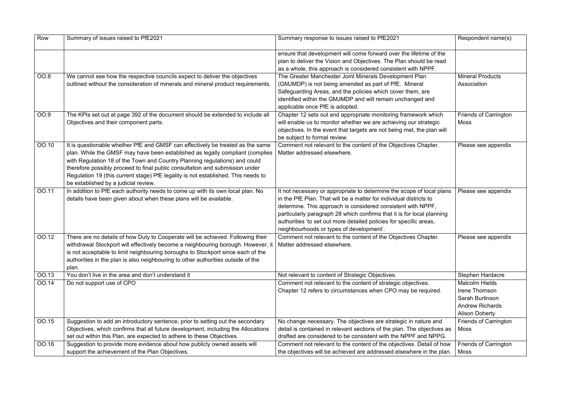| Row   | Summary of issues raised to PfE2021                                                                                                                                                                                                                                                                                                                                                                                                                        | Summary response to issues raised to PfE2021                                                                                                                                                                                                                                                                                                                                                            | Respondent name(s)                                                                                           |
|-------|------------------------------------------------------------------------------------------------------------------------------------------------------------------------------------------------------------------------------------------------------------------------------------------------------------------------------------------------------------------------------------------------------------------------------------------------------------|---------------------------------------------------------------------------------------------------------------------------------------------------------------------------------------------------------------------------------------------------------------------------------------------------------------------------------------------------------------------------------------------------------|--------------------------------------------------------------------------------------------------------------|
|       |                                                                                                                                                                                                                                                                                                                                                                                                                                                            | ensure that development will come forward over the lifetime of the<br>plan to deliver the Vision and Objectives. The Plan should be read<br>as a whole, this approach is considered consistent with NPPF.                                                                                                                                                                                               |                                                                                                              |
| OO.8  | We cannot see how the respective councils expect to deliver the objectives<br>outlined without the consideration of minerals and mineral product requirements.                                                                                                                                                                                                                                                                                             | The Greater Manchester Joint Minerals Development Plan<br>(GMJMDP) is not being amended as part of PfE. Mineral<br>Safeguarding Areas, and the policies which cover them, are<br>identified within the GMJMDP and will remain unchanged and<br>applicable once PfE is adopted.                                                                                                                          | <b>Mineral Products</b><br>Association                                                                       |
| OO.9  | The KPIs set out at page 392 of the document should be extended to include all<br>Objectives and their component parts.                                                                                                                                                                                                                                                                                                                                    | Chapter 12 sets out and appropriate monitoring framework which<br>will enable us to monitor whether we are achieving our strategic<br>objectives. In the event that targets are not being met, the plan will<br>be subject to formal review.                                                                                                                                                            | <b>Friends of Carrington</b><br><b>Moss</b>                                                                  |
| OO.10 | It is questionable whether PfE and GMSF can effectively be treated as the same<br>plan. While the GMSF may have been established as legally compliant (complies<br>with Regulation 18 of the Town and Country Planning regulations) and could<br>therefore possibly proceed to final public consultation and submission under<br>Regulation 19 (this current stage) PfE legality is not established. This needs to<br>be established by a judicial review. | Comment not relevant to the content of the Objectives Chapter.<br>Matter addressed elsewhere.                                                                                                                                                                                                                                                                                                           | Please see appendix                                                                                          |
| OO.11 | In addition to PfE each authority needs to come up with its own local plan. No<br>details have been given about when these plans will be available.                                                                                                                                                                                                                                                                                                        | It not necessary or appropriate to determine the scope of local plans<br>in the PfE Plan. That will be a matter for individual districts to<br>determine. This approach is considered consistent with NPPF,<br>particularly paragraph 28 which confirms that it is for local planning<br>authorities 'to set out more detailed policies for specific areas,<br>neighbourhoods or types of development'. | Please see appendix                                                                                          |
| OO.12 | There are no details of how Duty to Cooperate will be achieved. Following their<br>withdrawal Stockport will effectively become a neighbouring borough. However, it<br>is not acceptable to limit neighbouring boroughs to Stockport since each of the<br>authorities in the plan is also neighbouring to other authorities outside of the<br>plan.                                                                                                        | Comment not relevant to the content of the Objectives Chapter.<br>Matter addressed elsewhere.                                                                                                                                                                                                                                                                                                           | Please see appendix                                                                                          |
| OO.13 | You don't live in the area and don't understand it                                                                                                                                                                                                                                                                                                                                                                                                         | Not relevant to content of Strategic Objectives.                                                                                                                                                                                                                                                                                                                                                        | <b>Stephen Hardacre</b>                                                                                      |
| OO.14 | Do not support use of CPO                                                                                                                                                                                                                                                                                                                                                                                                                                  | Comment not relevant to the content of strategic objectives.<br>Chapter 12 refers to circumstances when CPO may be required.                                                                                                                                                                                                                                                                            | <b>Malcolm Hields</b><br>Irene Thomson<br>Sarah Burlinson<br><b>Andrew Richards</b><br><b>Alison Doherty</b> |
| OO.15 | Suggestion to add an introductory sentence, prior to setting out the secondary<br>Objectives, which confirms that all future development, including the Allocations<br>set out within this Plan, are expected to adhere to these Objectives.                                                                                                                                                                                                               | No change necessary. The objectives are strategic in nature and<br>detail is contained in relevant sections of the plan. The objectives as<br>drafted are considered to be consistent with the NPPF and NPPG.                                                                                                                                                                                           | <b>Friends of Carrington</b><br>Moss                                                                         |
| OO.16 | Suggestion to provide more evidence about how publicly owned assets will<br>support the achievement of the Plan Objectives.                                                                                                                                                                                                                                                                                                                                | Comment not relevant to the content of the objectives. Detail of how<br>the objectives will be achieved are addressed elsewhere in the plan.                                                                                                                                                                                                                                                            | <b>Friends of Carrington</b><br>Moss                                                                         |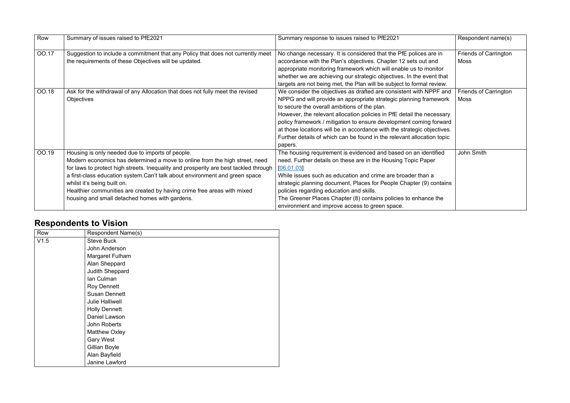| Row          | Summary of issues raised to PfE2021                                                  | Summary response to issues raised to PfE2021                            | Respondent name(s)           |
|--------------|--------------------------------------------------------------------------------------|-------------------------------------------------------------------------|------------------------------|
| <b>OO.17</b> | Suggestion to include a commitment that any Policy that does not currently meet      | No change necessary. It is considered that the PfE polices are in       | <b>Friends of Carrington</b> |
|              | the requirements of these Objectives will be updated.                                | accordance with the Plan's objectives. Chapter 12 sets out and          | Moss                         |
|              |                                                                                      | appropriate monitoring framework which will enable us to monitor        |                              |
|              |                                                                                      | whether we are achieving our strategic objectives. In the event that    |                              |
|              |                                                                                      | targets are not being met, the Plan will be subject to formal review.   |                              |
| OO.18        | Ask for the withdrawal of any Allocation that does not fully meet the revised        | We consider the objectives as drafted are consistent with NPPF and      | <b>Friends of Carrington</b> |
|              | <b>Objectives</b>                                                                    | NPPG and will provide an appropriate strategic planning framework       | <b>Moss</b>                  |
|              |                                                                                      | to secure the overall ambitions of the plan.                            |                              |
|              |                                                                                      | However, the relevant allocation policies in PfE detail the necessary   |                              |
|              |                                                                                      | policy framework / mitigation to ensure development coming forward      |                              |
|              |                                                                                      | at those locations will be in accordance with the strategic objectives. |                              |
|              |                                                                                      | Further details of which can be found in the relevant allocation topic  |                              |
|              |                                                                                      | papers.                                                                 |                              |
| OO.19        | Housing is only needed due to imports of people.                                     | The housing requirement is evidenced and based on an identified         | John Smith                   |
|              | Modern economics has determined a move to online from the high street, need          | need. Further details on these are in the Housing Topic Paper           |                              |
|              | for laws to protect high streets. Inequality and prosperity are best tackled through | [06.01.03]                                                              |                              |
|              | a first-class education system. Can't talk about environment and green space         | While issues such as education and crime are broader than a             |                              |
|              | whilst it's being built on.                                                          | strategic planning document, Places for People Chapter (9) contains     |                              |
|              | Healthier communities are created by having crime free areas with mixed              | policies regarding education and skills.                                |                              |
|              | housing and small detached homes with gardens.                                       | The Greener Places Chapter (8) contains policies to enhance the         |                              |
|              |                                                                                      | environment and improve access to green space.                          |                              |

#### **Respondents to Vision**

| Row  | <b>Respondent Name(s)</b> |
|------|---------------------------|
| V1.5 | <b>Steve Buck</b>         |
|      | John Anderson             |
|      | Margaret Fulham           |
|      | Alan Sheppard             |
|      | <b>Judith Sheppard</b>    |
|      | Ian Culman                |
|      | <b>Roy Dennett</b>        |
|      | <b>Susan Dennett</b>      |
|      | <b>Julie Halliwell</b>    |
|      | <b>Holly Dennett</b>      |
|      | Daniel Lawson             |
|      | John Roberts              |
|      | <b>Matthew Oxley</b>      |
|      | <b>Gary West</b>          |
|      | <b>Gillian Boyle</b>      |
|      | Alan Bayfield             |
|      | Janine Lawford            |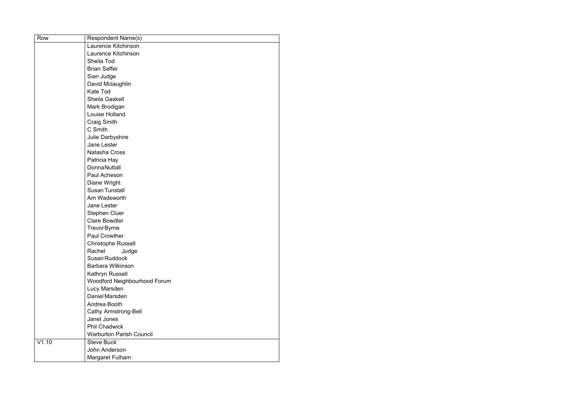| Row   | <b>Respondent Name(s)</b>       |
|-------|---------------------------------|
|       | Laurence Kitchinson             |
|       | Laurence Kitchinson             |
|       | Sheila Tod                      |
|       | <b>Brian Saffer</b>             |
|       | Sian Judge                      |
|       | David Mclaughlin                |
|       | <b>Kate Tod</b>                 |
|       | <b>Sheila Gaskell</b>           |
|       | Mark Brodigan                   |
|       | <b>Louise Holland</b>           |
|       | <b>Craig Smith</b>              |
|       | C Smith                         |
|       | Julie Darbyshire                |
|       | Jane Lester                     |
|       | Natasha Cross                   |
|       | Patricia Hay                    |
|       | <b>DonnaNuttall</b>             |
|       | Paul Acheson                    |
|       | Diane Wright                    |
|       | <b>Susan Tunstall</b>           |
|       | Am Wadsworth                    |
|       | Jane Lester                     |
|       | <b>Stephen Cluer</b>            |
|       | <b>Clare Bowdler</b>            |
|       | <b>TrevorByrne</b>              |
|       | <b>Paul Crowther</b>            |
|       | <b>Christophe Russell</b>       |
|       | Rachel<br>Judge                 |
|       | <b>Susan Ruddock</b>            |
|       | <b>Barbara Wilkinson</b>        |
|       | Kathryn Russell                 |
|       | Woodford Neighbourhood Forum    |
|       | Lucy Marsden                    |
|       | Daniel Marsden                  |
|       | Andrea Booth                    |
|       | <b>Cathy Armstrong-Bell</b>     |
|       | Janet Jones                     |
|       | <b>Phil Chadwick</b>            |
|       | <b>Warburton Parish Council</b> |
| V1.10 | <b>Steve Buck</b>               |
|       | John Anderson                   |
|       | Margaret Fulham                 |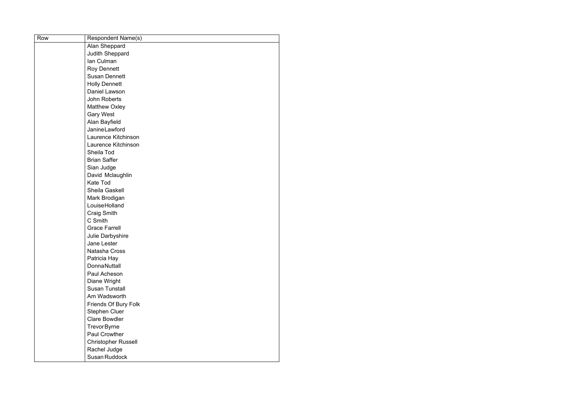| Row | <b>Respondent Name(s)</b>  |
|-----|----------------------------|
|     | Alan Sheppard              |
|     | <b>Judith Sheppard</b>     |
|     | lan Culman                 |
|     | <b>Roy Dennett</b>         |
|     | <b>Susan Dennett</b>       |
|     | <b>Holly Dennett</b>       |
|     | <b>Daniel Lawson</b>       |
|     | John Roberts               |
|     | <b>Matthew Oxley</b>       |
|     | <b>Gary West</b>           |
|     | Alan Bayfield              |
|     | JanineLawford              |
|     | Laurence Kitchinson        |
|     | Laurence Kitchinson        |
|     | Sheila Tod                 |
|     | <b>Brian Saffer</b>        |
|     | Sian Judge                 |
|     | David Mclaughlin           |
|     | <b>Kate Tod</b>            |
|     | Sheila Gaskell             |
|     | Mark Brodigan              |
|     | LouiseHolland              |
|     | <b>Craig Smith</b>         |
|     | C Smith                    |
|     | <b>Grace Farrell</b>       |
|     | Julie Darbyshire           |
|     | Jane Lester                |
|     | Natasha Cross              |
|     | Patricia Hay               |
|     | <b>DonnaNuttall</b>        |
|     | Paul Acheson               |
|     | Diane Wright               |
|     | <b>Susan Tunstall</b>      |
|     | Am Wadsworth               |
|     | Friends Of Bury Folk       |
|     | <b>Stephen Cluer</b>       |
|     | <b>Clare Bowdler</b>       |
|     | <b>TrevorByrne</b>         |
|     | <b>Paul Crowther</b>       |
|     | <b>Christopher Russell</b> |
|     | Rachel Judge               |
|     | Susan Ruddock              |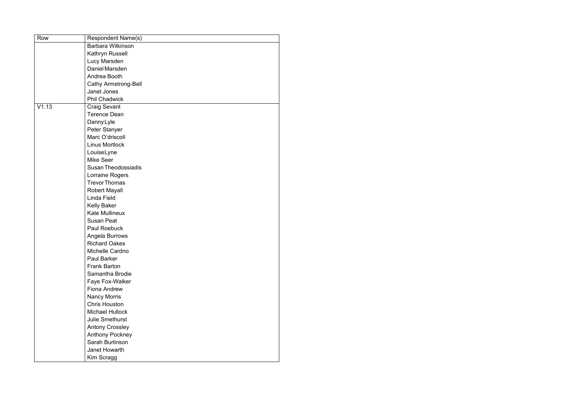| Row   | <b>Respondent Name(s)</b>   |
|-------|-----------------------------|
|       | <b>Barbara Wilkinson</b>    |
|       | Kathryn Russell             |
|       | Lucy Marsden                |
|       | Daniel Marsden              |
|       | Andrea Booth                |
|       | <b>Cathy Armstrong-Bell</b> |
|       | Janet Jones                 |
|       | <b>Phil Chadwick</b>        |
| V1.13 | <b>Craig Sevant</b>         |
|       | <b>Terence Dean</b>         |
|       | Danny Lyle                  |
|       | Peter Stanyer               |
|       | Marc O'driscoll             |
|       | <b>Linus Mortlock</b>       |
|       | LouiseLyne                  |
|       | <b>Mike Seer</b>            |
|       | <b>Susan Theodossiadis</b>  |
|       | Lorraine Rogers             |
|       | <b>Trevor Thomas</b>        |
|       | <b>Robert Mayall</b>        |
|       | Linda Field                 |
|       | <b>Kelly Baker</b>          |
|       | <b>Kate Mullineux</b>       |
|       | <b>Susan Peat</b>           |
|       | Paul Roebuck                |
|       | Angela Burrows              |
|       | <b>Richard Oakes</b>        |
|       | Michelle Cardno             |
|       | <b>Paul Barker</b>          |
|       | <b>Frank Barton</b>         |
|       | Samantha Brodie             |
|       | Faye Fox-Walker             |
|       | <b>Fiona Andrew</b>         |
|       | <b>Nancy Morris</b>         |
|       | <b>Chris Houston</b>        |
|       | <b>Michael Hullock</b>      |
|       | <b>Julie Smethurst</b>      |
|       | <b>Antony Crossley</b>      |
|       | <b>Anthony Pockney</b>      |
|       | Sarah Burlinson             |
|       | Janet Howarth               |
|       | Kim Scragg                  |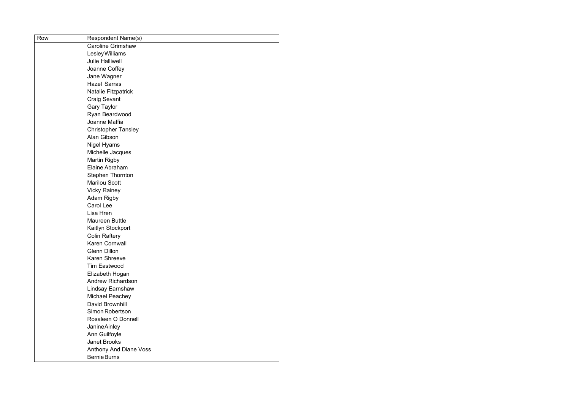| Row | Respondent Name(s)            |
|-----|-------------------------------|
|     | <b>Caroline Grimshaw</b>      |
|     | Lesley Williams               |
|     | <b>Julie Halliwell</b>        |
|     | Joanne Coffey                 |
|     | Jane Wagner                   |
|     | <b>Hazel Sarras</b>           |
|     | <b>Natalie Fitzpatrick</b>    |
|     | <b>Craig Sevant</b>           |
|     | <b>Gary Taylor</b>            |
|     | Ryan Beardwood                |
|     | Joanne Maffia                 |
|     | <b>Christopher Tansley</b>    |
|     | Alan Gibson                   |
|     | <b>Nigel Hyams</b>            |
|     | Michelle Jacques              |
|     | <b>Martin Rigby</b>           |
|     | Elaine Abraham                |
|     | <b>Stephen Thornton</b>       |
|     | <b>Marilou Scott</b>          |
|     | <b>Vicky Rainey</b>           |
|     | <b>Adam Rigby</b>             |
|     | Carol Lee                     |
|     | Lisa Hren                     |
|     | <b>Maureen Buttle</b>         |
|     | Kaitlyn Stockport             |
|     | <b>Colin Raftery</b>          |
|     | <b>Karen Cornwall</b>         |
|     | <b>Glenn Dillon</b>           |
|     | <b>Karen Shreeve</b>          |
|     | <b>Tim Eastwood</b>           |
|     | Elizabeth Hogan               |
|     | <b>Andrew Richardson</b>      |
|     | Lindsay Earnshaw              |
|     | Michael Peachey               |
|     | David Brownhill               |
|     | Simon Robertson               |
|     | Rosaleen O Donnell            |
|     | JanineAinley                  |
|     | Ann Guilfoyle                 |
|     | <b>Janet Brooks</b>           |
|     | <b>Anthony And Diane Voss</b> |
|     | <b>Bernie Burns</b>           |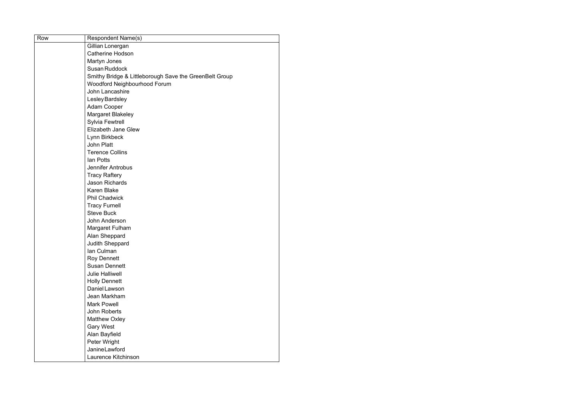| Row | Respondent Name(s)                                     |
|-----|--------------------------------------------------------|
|     | Gillian Lonergan                                       |
|     | <b>Catherine Hodson</b>                                |
|     | Martyn Jones                                           |
|     | Susan Ruddock                                          |
|     | Smithy Bridge & Littleborough Save the GreenBelt Group |
|     | Woodford Neighbourhood Forum                           |
|     | John Lancashire                                        |
|     | <b>Lesley Bardsley</b>                                 |
|     | Adam Cooper                                            |
|     | <b>Margaret Blakeley</b>                               |
|     | <b>Sylvia Fewtrell</b>                                 |
|     | <b>Elizabeth Jane Glew</b>                             |
|     | Lynn Birkbeck                                          |
|     | <b>John Platt</b>                                      |
|     | <b>Terence Collins</b>                                 |
|     | lan Potts                                              |
|     | Jennifer Antrobus                                      |
|     | <b>Tracy Raftery</b>                                   |
|     | <b>Jason Richards</b>                                  |
|     | <b>Karen Blake</b>                                     |
|     | <b>Phil Chadwick</b>                                   |
|     | <b>Tracy Furnell</b>                                   |
|     | <b>Steve Buck</b>                                      |
|     | John Anderson                                          |
|     | Margaret Fulham                                        |
|     | Alan Sheppard                                          |
|     | Judith Sheppard                                        |
|     | lan Culman                                             |
|     | <b>Roy Dennett</b>                                     |
|     | <b>Susan Dennett</b>                                   |
|     | <b>Julie Halliwell</b>                                 |
|     | <b>Holly Dennett</b>                                   |
|     | Daniel Lawson                                          |
|     | Jean Markham                                           |
|     | <b>Mark Powell</b>                                     |
|     | John Roberts                                           |
|     | <b>Matthew Oxley</b>                                   |
|     | <b>Gary West</b>                                       |
|     | Alan Bayfield                                          |
|     | Peter Wright                                           |
|     | JanineLawford                                          |
|     | Laurence Kitchinson                                    |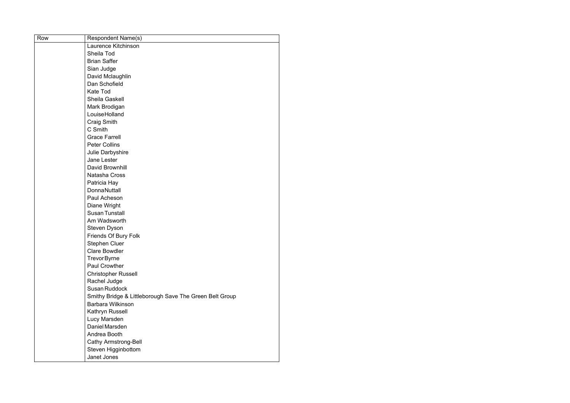| Row | <b>Respondent Name(s)</b>                               |
|-----|---------------------------------------------------------|
|     | Laurence Kitchinson                                     |
|     | Sheila Tod                                              |
|     | <b>Brian Saffer</b>                                     |
|     | Sian Judge                                              |
|     | David Mclaughlin                                        |
|     | Dan Schofield                                           |
|     | <b>Kate Tod</b>                                         |
|     | Sheila Gaskell                                          |
|     | Mark Brodigan                                           |
|     | LouiseHolland                                           |
|     | <b>Craig Smith</b>                                      |
|     | C Smith                                                 |
|     | <b>Grace Farrell</b>                                    |
|     | <b>Peter Collins</b>                                    |
|     | Julie Darbyshire                                        |
|     | Jane Lester                                             |
|     | David Brownhill                                         |
|     | Natasha Cross                                           |
|     | Patricia Hay                                            |
|     | <b>DonnaNuttall</b>                                     |
|     | Paul Acheson                                            |
|     | Diane Wright                                            |
|     | <b>Susan Tunstall</b>                                   |
|     | Am Wadsworth                                            |
|     | Steven Dyson                                            |
|     | Friends Of Bury Folk                                    |
|     | <b>Stephen Cluer</b>                                    |
|     | <b>Clare Bowdler</b>                                    |
|     | <b>Trevor Byrne</b>                                     |
|     | <b>Paul Crowther</b>                                    |
|     | <b>Christopher Russell</b>                              |
|     | Rachel Judge                                            |
|     | Susan Ruddock                                           |
|     | Smithy Bridge & Littleborough Save The Green Belt Group |
|     | Barbara Wilkinson                                       |
|     | Kathryn Russell                                         |
|     | Lucy Marsden                                            |
|     | Daniel Marsden                                          |
|     | Andrea Booth                                            |
|     | <b>Cathy Armstrong-Bell</b>                             |
|     | Steven Higginbottom                                     |
|     | Janet Jones                                             |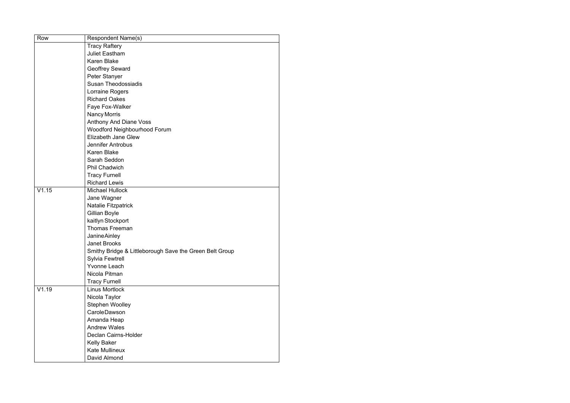| Row   | <b>Respondent Name(s)</b>                               |
|-------|---------------------------------------------------------|
|       | <b>Tracy Raftery</b>                                    |
|       | <b>Juliet Eastham</b>                                   |
|       | <b>Karen Blake</b>                                      |
|       | <b>Geoffrey Seward</b>                                  |
|       | Peter Stanyer                                           |
|       | <b>Susan Theodossiadis</b>                              |
|       | Lorraine Rogers                                         |
|       | <b>Richard Oakes</b>                                    |
|       | Faye Fox-Walker                                         |
|       | Nancy Morris                                            |
|       | Anthony And Diane Voss                                  |
|       | Woodford Neighbourhood Forum                            |
|       | <b>Elizabeth Jane Glew</b>                              |
|       | Jennifer Antrobus                                       |
|       | <b>Karen Blake</b>                                      |
|       | Sarah Seddon                                            |
|       | <b>Phil Chadwich</b>                                    |
|       | <b>Tracy Furnell</b>                                    |
|       | <b>Richard Lewis</b>                                    |
| V1.15 | <b>Michael Hullock</b>                                  |
|       | Jane Wagner                                             |
|       | <b>Natalie Fitzpatrick</b>                              |
|       | Gillian Boyle                                           |
|       | kaitlyn Stockport                                       |
|       | <b>Thomas Freeman</b>                                   |
|       | <b>JanineAinley</b>                                     |
|       | <b>Janet Brooks</b>                                     |
|       | Smithy Bridge & Littleborough Save the Green Belt Group |
|       | <b>Sylvia Fewtrell</b>                                  |
|       | <b>Yvonne Leach</b>                                     |
|       | Nicola Pitman                                           |
|       | <b>Tracy Furnell</b>                                    |
| V1.19 | <b>Linus Mortlock</b>                                   |
|       | Nicola Taylor                                           |
|       | Stephen Woolley                                         |
|       | <b>CaroleDawson</b>                                     |
|       | Amanda Heap                                             |
|       | <b>Andrew Wales</b>                                     |
|       | Declan Cairns-Holder                                    |
|       | <b>Kelly Baker</b>                                      |
|       | <b>Kate Mullineux</b>                                   |
|       | David Almond                                            |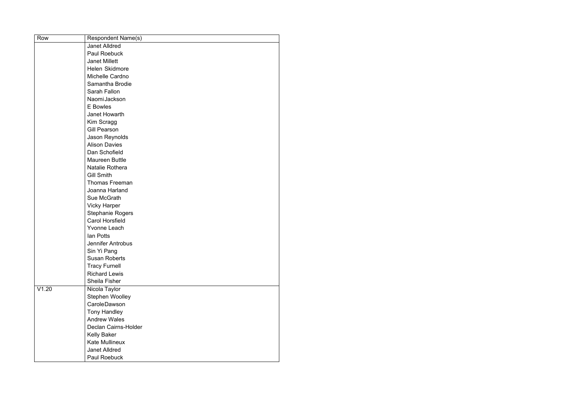| Row   | <b>Respondent Name(s)</b> |
|-------|---------------------------|
|       | <b>Janet Alldred</b>      |
|       | <b>Paul Roebuck</b>       |
|       | <b>Janet Millett</b>      |
|       | Helen Skidmore            |
|       | Michelle Cardno           |
|       | Samantha Brodie           |
|       | Sarah Fallon              |
|       | Naomi Jackson             |
|       | <b>E</b> Bowles           |
|       | <b>Janet Howarth</b>      |
|       | Kim Scragg                |
|       | <b>Gill Pearson</b>       |
|       | Jason Reynolds            |
|       | <b>Alison Davies</b>      |
|       | Dan Schofield             |
|       | <b>Maureen Buttle</b>     |
|       | Natalie Rothera           |
|       | <b>Gill Smith</b>         |
|       | <b>Thomas Freeman</b>     |
|       | Joanna Harland            |
|       | Sue McGrath               |
|       | <b>Vicky Harper</b>       |
|       | <b>Stephanie Rogers</b>   |
|       | <b>Carol Horsfield</b>    |
|       | <b>Yvonne Leach</b>       |
|       | lan Potts                 |
|       | <b>Jennifer Antrobus</b>  |
|       | Sin Yi Pang               |
|       | <b>Susan Roberts</b>      |
|       | <b>Tracy Furnell</b>      |
|       | <b>Richard Lewis</b>      |
|       | <b>Sheila Fisher</b>      |
| V1.20 | Nicola Taylor             |
|       | Stephen Woolley           |
|       | <b>CaroleDawson</b>       |
|       | <b>Tony Handley</b>       |
|       | <b>Andrew Wales</b>       |
|       | Declan Cairns-Holder      |
|       | <b>Kelly Baker</b>        |
|       | <b>Kate Mullineux</b>     |
|       | <b>Janet Alldred</b>      |
|       | Paul Roebuck              |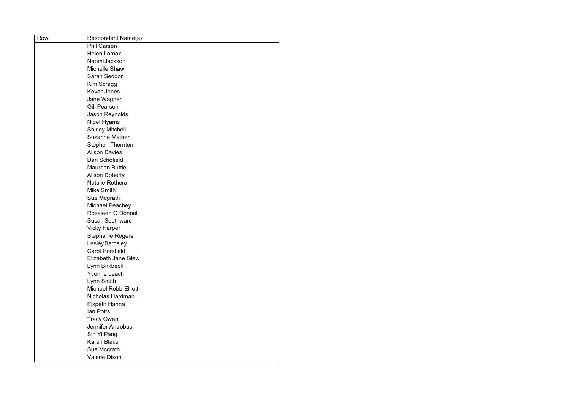| Row | <b>Respondent Name(s)</b>  |
|-----|----------------------------|
|     | <b>Phil Carson</b>         |
|     | <b>Helen Lomax</b>         |
|     | Naomi Jackson              |
|     | Michelle Shaw              |
|     | Sarah Seddon               |
|     | Kim Scragg                 |
|     | <b>Kevan Jones</b>         |
|     | Jane Wagner                |
|     | <b>Gill Pearson</b>        |
|     | Jason Reynolds             |
|     | <b>Nigel Hyams</b>         |
|     | <b>Shirley Mitchell</b>    |
|     | <b>Suzanne Mather</b>      |
|     | <b>Stephen Thornton</b>    |
|     | <b>Alison Davies</b>       |
|     | Dan Schofield              |
|     | <b>Maureen Buttle</b>      |
|     | <b>Alison Doherty</b>      |
|     | Natalie Rothera            |
|     | <b>Mike Smith</b>          |
|     | Sue Mcgrath                |
|     | Michael Peachey            |
|     | Rosaleen O Donnell         |
|     | <b>Susan Southward</b>     |
|     | <b>Vicky Harper</b>        |
|     | Stephanie Rogers           |
|     | <b>Lesley Bardsley</b>     |
|     | <b>Carol Horsfield</b>     |
|     | <b>Elizabeth Jane Glew</b> |
|     | Lynn Birkbeck              |
|     | <b>Yvonne Leach</b>        |
|     | Lynn Smith                 |
|     | Michael Robb-Elliott       |
|     | Nicholas Hardman           |
|     | Elspeth Hanna              |
|     | <b>lan Potts</b>           |
|     | <b>Tracy Owen</b>          |
|     | Jennifer Antrobus          |
|     | Sin Yi Pang                |
|     | <b>Karen Blake</b>         |
|     | Sue Mcgrath                |
|     | Valerie Dixon              |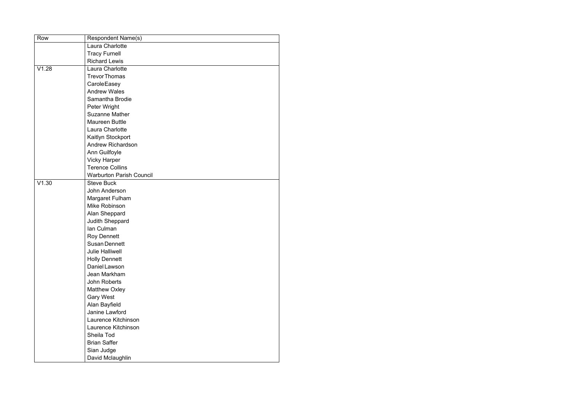| Row   | <b>Respondent Name(s)</b>       |
|-------|---------------------------------|
|       | <b>Laura Charlotte</b>          |
|       | <b>Tracy Furnell</b>            |
|       | <b>Richard Lewis</b>            |
| V1.28 | Laura Charlotte                 |
|       | <b>Trevor Thomas</b>            |
|       | CaroleEasey                     |
|       | <b>Andrew Wales</b>             |
|       | Samantha Brodie                 |
|       | Peter Wright                    |
|       | <b>Suzanne Mather</b>           |
|       | <b>Maureen Buttle</b>           |
|       | <b>Laura Charlotte</b>          |
|       | Kaitlyn Stockport               |
|       | <b>Andrew Richardson</b>        |
|       | Ann Guilfoyle                   |
|       | <b>Vicky Harper</b>             |
|       | <b>Terence Collins</b>          |
|       | <b>Warburton Parish Council</b> |
| V1.30 | <b>Steve Buck</b>               |
|       | John Anderson                   |
|       | Margaret Fulham                 |
|       | Mike Robinson                   |
|       | Alan Sheppard                   |
|       | Judith Sheppard                 |
|       | lan Culman                      |
|       | <b>Roy Dennett</b>              |
|       | <b>Susan Dennett</b>            |
|       | <b>Julie Halliwell</b>          |
|       | <b>Holly Dennett</b>            |
|       | Daniel Lawson                   |
|       | Jean Markham                    |
|       | John Roberts                    |
|       | <b>Matthew Oxley</b>            |
|       | <b>Gary West</b>                |
|       | Alan Bayfield                   |
|       | Janine Lawford                  |
|       | Laurence Kitchinson             |
|       | Laurence Kitchinson             |
|       | Sheila Tod                      |
|       | <b>Brian Saffer</b>             |
|       | Sian Judge                      |
|       | David Mclaughlin                |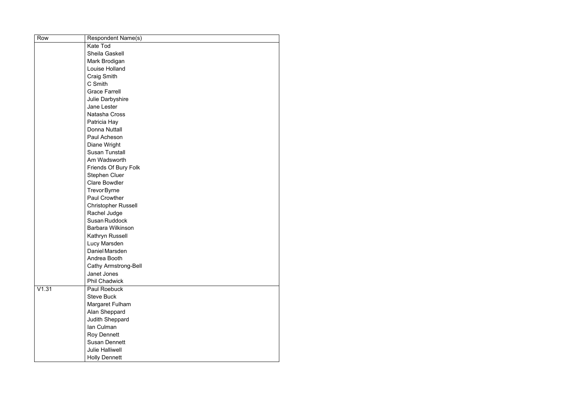| Row   | <b>Respondent Name(s)</b>   |
|-------|-----------------------------|
|       | <b>Kate Tod</b>             |
|       | Sheila Gaskell              |
|       | Mark Brodigan               |
|       | <b>Louise Holland</b>       |
|       | <b>Craig Smith</b>          |
|       | C Smith                     |
|       | <b>Grace Farrell</b>        |
|       | Julie Darbyshire            |
|       | Jane Lester                 |
|       | Natasha Cross               |
|       | Patricia Hay                |
|       | <b>Donna Nuttall</b>        |
|       | Paul Acheson                |
|       | Diane Wright                |
|       | <b>Susan Tunstall</b>       |
|       | Am Wadsworth                |
|       | Friends Of Bury Folk        |
|       | <b>Stephen Cluer</b>        |
|       | <b>Clare Bowdler</b>        |
|       | <b>TrevorByrne</b>          |
|       | <b>Paul Crowther</b>        |
|       | <b>Christopher Russell</b>  |
|       | Rachel Judge                |
|       | Susan Ruddock               |
|       | Barbara Wilkinson           |
|       | Kathryn Russell             |
|       | Lucy Marsden                |
|       | Daniel Marsden              |
|       | Andrea Booth                |
|       | <b>Cathy Armstrong-Bell</b> |
|       | Janet Jones                 |
|       | <b>Phil Chadwick</b>        |
| V1.31 | Paul Roebuck                |
|       | <b>Steve Buck</b>           |
|       | Margaret Fulham             |
|       | Alan Sheppard               |
|       | Judith Sheppard             |
|       | Ian Culman                  |
|       | <b>Roy Dennett</b>          |
|       | <b>Susan Dennett</b>        |
|       | <b>Julie Halliwell</b>      |
|       | <b>Holly Dennett</b>        |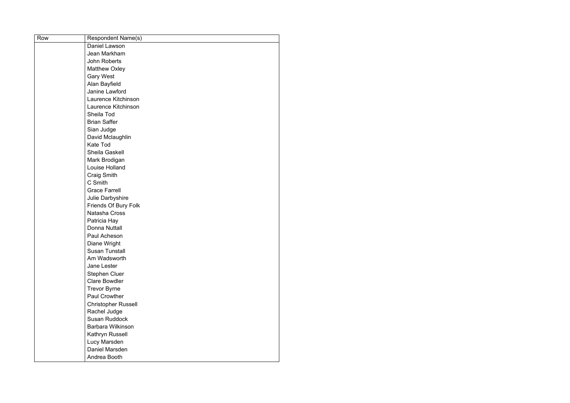| Row | <b>Respondent Name(s)</b>  |
|-----|----------------------------|
|     | Daniel Lawson              |
|     | Jean Markham               |
|     | <b>John Roberts</b>        |
|     | <b>Matthew Oxley</b>       |
|     | <b>Gary West</b>           |
|     | Alan Bayfield              |
|     | Janine Lawford             |
|     | Laurence Kitchinson        |
|     | Laurence Kitchinson        |
|     | Sheila Tod                 |
|     | <b>Brian Saffer</b>        |
|     | Sian Judge                 |
|     | David Mclaughlin           |
|     | <b>Kate Tod</b>            |
|     | Sheila Gaskell             |
|     | Mark Brodigan              |
|     | Louise Holland             |
|     | <b>Craig Smith</b>         |
|     | C Smith                    |
|     | <b>Grace Farrell</b>       |
|     | Julie Darbyshire           |
|     | Friends Of Bury Folk       |
|     | Natasha Cross              |
|     | Patricia Hay               |
|     | Donna Nuttall              |
|     | Paul Acheson               |
|     | Diane Wright               |
|     | <b>Susan Tunstall</b>      |
|     | Am Wadsworth               |
|     | <b>Jane Lester</b>         |
|     | <b>Stephen Cluer</b>       |
|     | <b>Clare Bowdler</b>       |
|     | <b>Trevor Byrne</b>        |
|     | <b>Paul Crowther</b>       |
|     | <b>Christopher Russell</b> |
|     | Rachel Judge               |
|     | <b>Susan Ruddock</b>       |
|     | Barbara Wilkinson          |
|     | Kathryn Russell            |
|     | Lucy Marsden               |
|     | Daniel Marsden             |
|     | Andrea Booth               |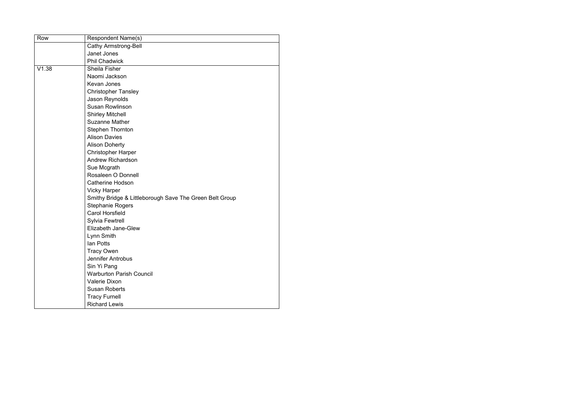| Row   | <b>Respondent Name(s)</b>                               |
|-------|---------------------------------------------------------|
|       | <b>Cathy Armstrong-Bell</b>                             |
|       | Janet Jones                                             |
|       | <b>Phil Chadwick</b>                                    |
| V1.38 | <b>Sheila Fisher</b>                                    |
|       | Naomi Jackson                                           |
|       | <b>Kevan Jones</b>                                      |
|       | <b>Christopher Tansley</b>                              |
|       | Jason Reynolds                                          |
|       | <b>Susan Rowlinson</b>                                  |
|       | <b>Shirley Mitchell</b>                                 |
|       | <b>Suzanne Mather</b>                                   |
|       | <b>Stephen Thornton</b>                                 |
|       | <b>Alison Davies</b>                                    |
|       | <b>Alison Doherty</b>                                   |
|       | <b>Christopher Harper</b>                               |
|       | <b>Andrew Richardson</b>                                |
|       | Sue Mcgrath                                             |
|       | Rosaleen O Donnell                                      |
|       | <b>Catherine Hodson</b>                                 |
|       | <b>Vicky Harper</b>                                     |
|       | Smithy Bridge & Littleborough Save The Green Belt Group |
|       | <b>Stephanie Rogers</b>                                 |
|       | <b>Carol Horsfield</b>                                  |
|       | <b>Sylvia Fewtrell</b>                                  |
|       | <b>Elizabeth Jane-Glew</b>                              |
|       | Lynn Smith                                              |
|       | lan Potts                                               |
|       | <b>Tracy Owen</b>                                       |
|       | Jennifer Antrobus                                       |
|       | Sin Yi Pang                                             |
|       | <b>Warburton Parish Council</b>                         |
|       | <b>Valerie Dixon</b>                                    |
|       | <b>Susan Roberts</b>                                    |
|       | <b>Tracy Furnell</b>                                    |
|       | <b>Richard Lewis</b>                                    |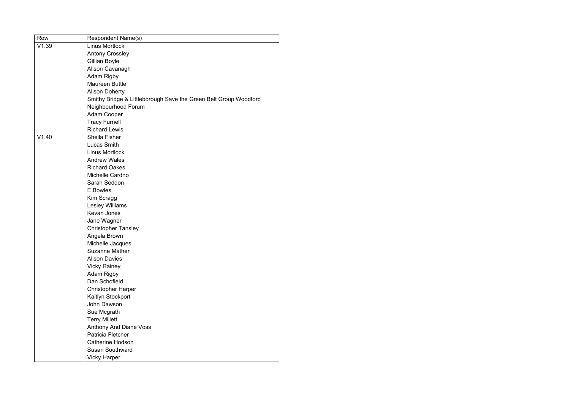| Row   | <b>Respondent Name(s)</b>                                        |
|-------|------------------------------------------------------------------|
| V1.39 | <b>Linus Mortlock</b>                                            |
|       | <b>Antony Crossley</b>                                           |
|       | Gillian Boyle                                                    |
|       | Alison Cavanagh                                                  |
|       | <b>Adam Rigby</b>                                                |
|       | <b>Maureen Buttle</b>                                            |
|       | <b>Alison Doherty</b>                                            |
|       | Smithy Bridge & Littleborough Save the Green Belt Group Woodford |
|       | Neighbourhood Forum                                              |
|       | <b>Adam Cooper</b>                                               |
|       | <b>Tracy Furnell</b>                                             |
|       | <b>Richard Lewis</b>                                             |
| V1.40 | <b>Sheila Fisher</b>                                             |
|       | <b>Lucas Smith</b>                                               |
|       | <b>Linus Mortlock</b>                                            |
|       | <b>Andrew Wales</b>                                              |
|       | <b>Richard Oakes</b>                                             |
|       | Michelle Cardno                                                  |
|       | Sarah Seddon                                                     |
|       | <b>E</b> Bowles                                                  |
|       | Kim Scragg                                                       |
|       | <b>Lesley Williams</b>                                           |
|       | <b>Kevan Jones</b>                                               |
|       | Jane Wagner                                                      |
|       | <b>Christopher Tansley</b>                                       |
|       | Angela Brown                                                     |
|       | Michelle Jacques                                                 |
|       | <b>Suzanne Mather</b>                                            |
|       | <b>Alison Davies</b>                                             |
|       | <b>Vicky Rainey</b>                                              |
|       | <b>Adam Rigby</b>                                                |
|       | Dan Schofield                                                    |
|       | <b>Christopher Harper</b>                                        |
|       | Kaitlyn Stockport                                                |
|       | John Dawson                                                      |
|       | Sue Mcgrath                                                      |
|       | <b>Terry Millett</b>                                             |
|       | <b>Anthony And Diane Voss</b>                                    |
|       | Patricia Fletcher                                                |
|       | <b>Catherine Hodson</b>                                          |
|       | <b>Susan Southward</b>                                           |
|       | <b>Vicky Harper</b>                                              |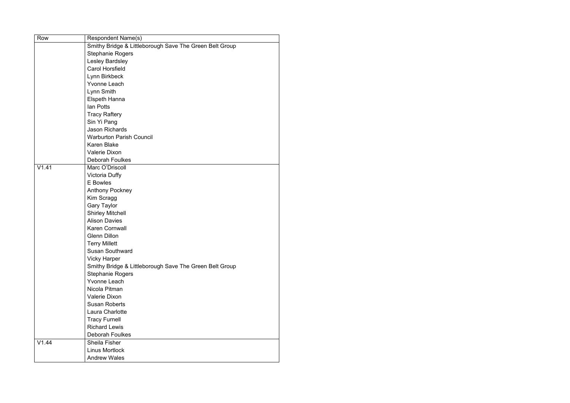| Row   | Respondent Name(s)                                      |
|-------|---------------------------------------------------------|
|       | Smithy Bridge & Littleborough Save The Green Belt Group |
|       | <b>Stephanie Rogers</b>                                 |
|       | Lesley Bardsley                                         |
|       | <b>Carol Horsfield</b>                                  |
|       | Lynn Birkbeck                                           |
|       | <b>Yvonne Leach</b>                                     |
|       | Lynn Smith                                              |
|       | Elspeth Hanna                                           |
|       | <b>lan Potts</b>                                        |
|       | <b>Tracy Raftery</b>                                    |
|       | Sin Yi Pang                                             |
|       | <b>Jason Richards</b>                                   |
|       | <b>Warburton Parish Council</b>                         |
|       | <b>Karen Blake</b>                                      |
|       | <b>Valerie Dixon</b>                                    |
|       | <b>Deborah Foulkes</b>                                  |
| V1.41 | Marc O'Driscoll                                         |
|       | <b>Victoria Duffy</b>                                   |
|       | <b>E</b> Bowles                                         |
|       | <b>Anthony Pockney</b>                                  |
|       | Kim Scragg                                              |
|       | <b>Gary Taylor</b>                                      |
|       | <b>Shirley Mitchell</b>                                 |
|       | <b>Alison Davies</b>                                    |
|       | Karen Cornwall                                          |
|       | <b>Glenn Dillon</b>                                     |
|       | <b>Terry Millett</b>                                    |
|       | <b>Susan Southward</b>                                  |
|       | <b>Vicky Harper</b>                                     |
|       | Smithy Bridge & Littleborough Save The Green Belt Group |
|       | <b>Stephanie Rogers</b>                                 |
|       | <b>Yvonne Leach</b>                                     |
|       | Nicola Pitman                                           |
|       | <b>Valerie Dixon</b>                                    |
|       | <b>Susan Roberts</b>                                    |
|       | Laura Charlotte                                         |
|       | <b>Tracy Furnell</b>                                    |
|       | <b>Richard Lewis</b>                                    |
|       | <b>Deborah Foulkes</b>                                  |
| V1.44 | Sheila Fisher                                           |
|       | <b>Linus Mortlock</b>                                   |
|       | <b>Andrew Wales</b>                                     |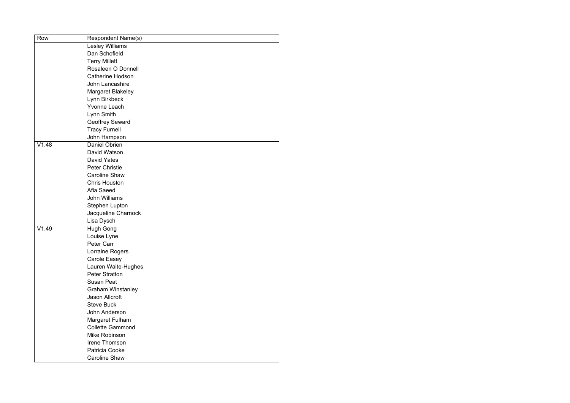| Row   | <b>Respondent Name(s)</b> |
|-------|---------------------------|
|       | <b>Lesley Williams</b>    |
|       | Dan Schofield             |
|       | <b>Terry Millett</b>      |
|       | Rosaleen O Donnell        |
|       | <b>Catherine Hodson</b>   |
|       | John Lancashire           |
|       | <b>Margaret Blakeley</b>  |
|       | Lynn Birkbeck             |
|       | <b>Yvonne Leach</b>       |
|       | Lynn Smith                |
|       | <b>Geoffrey Seward</b>    |
|       | <b>Tracy Furnell</b>      |
|       | John Hampson              |
| V1.48 | <b>Daniel Obrien</b>      |
|       | David Watson              |
|       | <b>David Yates</b>        |
|       | <b>Peter Christie</b>     |
|       | <b>Caroline Shaw</b>      |
|       | <b>Chris Houston</b>      |
|       | Afia Saeed                |
|       | <b>John Williams</b>      |
|       | <b>Stephen Lupton</b>     |
|       | Jacqueline Charnock       |
|       | Lisa Dysch                |
| V1.49 | <b>Hugh Gong</b>          |
|       | Louise Lyne               |
|       | Peter Carr                |
|       | Lorraine Rogers           |
|       | <b>Carole Easey</b>       |
|       | Lauren Waite-Hughes       |
|       | <b>Peter Stratton</b>     |
|       | <b>Susan Peat</b>         |
|       | <b>Graham Winstanley</b>  |
|       | Jason Allcroft            |
|       | <b>Steve Buck</b>         |
|       | John Anderson             |
|       | Margaret Fulham           |
|       | <b>Collette Gammond</b>   |
|       | Mike Robinson             |
|       | Irene Thomson             |
|       | Patricia Cooke            |
|       | <b>Caroline Shaw</b>      |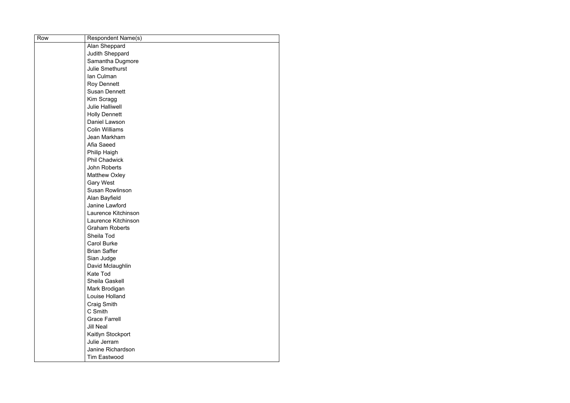| Row | <b>Respondent Name(s)</b> |
|-----|---------------------------|
|     | Alan Sheppard             |
|     | <b>Judith Sheppard</b>    |
|     | Samantha Dugmore          |
|     | <b>Julie Smethurst</b>    |
|     | Ian Culman                |
|     | <b>Roy Dennett</b>        |
|     | <b>Susan Dennett</b>      |
|     | Kim Scragg                |
|     | <b>Julie Halliwell</b>    |
|     | <b>Holly Dennett</b>      |
|     | Daniel Lawson             |
|     | <b>Colin Williams</b>     |
|     | Jean Markham              |
|     | Afia Saeed                |
|     | <b>Philip Haigh</b>       |
|     | <b>Phil Chadwick</b>      |
|     | <b>John Roberts</b>       |
|     | <b>Matthew Oxley</b>      |
|     | <b>Gary West</b>          |
|     | <b>Susan Rowlinson</b>    |
|     | Alan Bayfield             |
|     | Janine Lawford            |
|     | Laurence Kitchinson       |
|     | Laurence Kitchinson       |
|     | <b>Graham Roberts</b>     |
|     | Sheila Tod                |
|     | <b>Carol Burke</b>        |
|     | <b>Brian Saffer</b>       |
|     | Sian Judge                |
|     | David Mclaughlin          |
|     | <b>Kate Tod</b>           |
|     | Sheila Gaskell            |
|     | Mark Brodigan             |
|     | Louise Holland            |
|     | <b>Craig Smith</b>        |
|     | C Smith                   |
|     | <b>Grace Farrell</b>      |
|     | <b>Jill Neal</b>          |
|     | Kaitlyn Stockport         |
|     | Julie Jerram              |
|     | Janine Richardson         |
|     | <b>Tim Eastwood</b>       |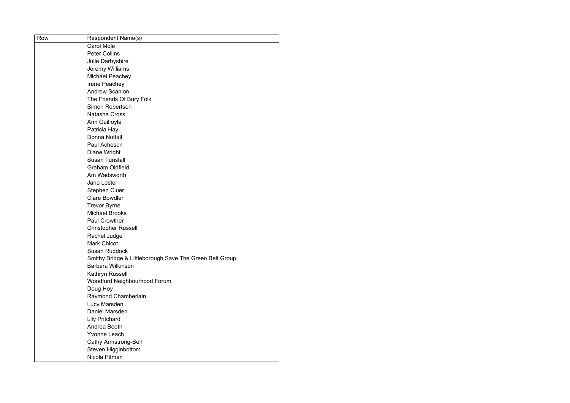| Row | <b>Respondent Name(s)</b>                               |
|-----|---------------------------------------------------------|
|     | <b>Carol Mole</b>                                       |
|     | <b>Peter Collins</b>                                    |
|     | Julie Darbyshire                                        |
|     | Jeremy Williams                                         |
|     | Michael Peachey                                         |
|     | Irene Peachey                                           |
|     | <b>Andrew Scanlon</b>                                   |
|     | The Friends Of Bury Folk                                |
|     | <b>Simon Robertson</b>                                  |
|     | Natasha Cross                                           |
|     | Ann Guilfoyle                                           |
|     | Patricia Hay                                            |
|     | Donna Nuttall                                           |
|     | Paul Acheson                                            |
|     | Diane Wright                                            |
|     | <b>Susan Tunstall</b>                                   |
|     | <b>Graham Oldfield</b>                                  |
|     | Am Wadsworth                                            |
|     | Jane Lester                                             |
|     | <b>Stephen Cluer</b>                                    |
|     | <b>Clare Bowdler</b>                                    |
|     | <b>Trevor Byrne</b>                                     |
|     | <b>Michael Brooks</b>                                   |
|     | <b>Paul Crowther</b>                                    |
|     | <b>Christopher Russell</b>                              |
|     | Rachel Judge                                            |
|     | <b>Mark Chicot</b>                                      |
|     | <b>Susan Ruddock</b>                                    |
|     | Smithy Bridge & Littleborough Save The Green Belt Group |
|     | <b>Barbara Wilkinson</b>                                |
|     | Kathryn Russell                                         |
|     | Woodford Neighbourhood Forum                            |
|     | Doug Hoy                                                |
|     | Raymond Chamberlain                                     |
|     | Lucy Marsden                                            |
|     | Daniel Marsden                                          |
|     | <b>Lily Pritchard</b>                                   |
|     | Andrea Booth                                            |
|     | <b>Yvonne Leach</b>                                     |
|     | <b>Cathy Armstrong-Bell</b>                             |
|     | Steven Higginbottom                                     |
|     | Nicola Pitman                                           |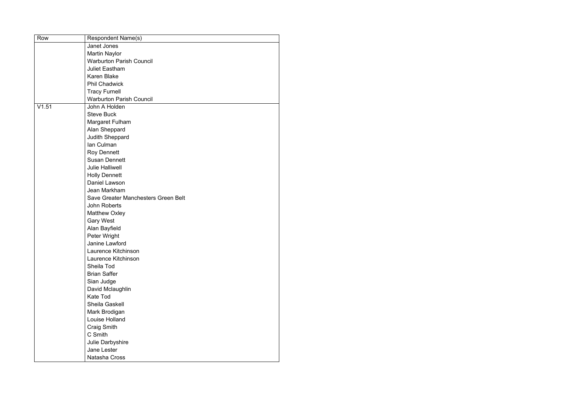| Row   | <b>Respondent Name(s)</b>           |
|-------|-------------------------------------|
|       | Janet Jones                         |
|       | <b>Martin Naylor</b>                |
|       | <b>Warburton Parish Council</b>     |
|       | <b>Juliet Eastham</b>               |
|       | <b>Karen Blake</b>                  |
|       | <b>Phil Chadwick</b>                |
|       | <b>Tracy Furnell</b>                |
|       | <b>Warburton Parish Council</b>     |
| V1.51 | John A Holden                       |
|       | <b>Steve Buck</b>                   |
|       | Margaret Fulham                     |
|       | Alan Sheppard                       |
|       | Judith Sheppard                     |
|       | Ian Culman                          |
|       | <b>Roy Dennett</b>                  |
|       | <b>Susan Dennett</b>                |
|       | <b>Julie Halliwell</b>              |
|       | <b>Holly Dennett</b>                |
|       | Daniel Lawson                       |
|       | Jean Markham                        |
|       | Save Greater Manchesters Green Belt |
|       | John Roberts                        |
|       | <b>Matthew Oxley</b>                |
|       | <b>Gary West</b>                    |
|       | Alan Bayfield                       |
|       | Peter Wright                        |
|       | Janine Lawford                      |
|       | Laurence Kitchinson                 |
|       | Laurence Kitchinson                 |
|       | Sheila Tod                          |
|       | <b>Brian Saffer</b>                 |
|       | Sian Judge                          |
|       | David Mclaughlin                    |
|       | <b>Kate Tod</b>                     |
|       | Sheila Gaskell                      |
|       | Mark Brodigan                       |
|       | Louise Holland                      |
|       | <b>Craig Smith</b>                  |
|       | C Smith                             |
|       | Julie Darbyshire                    |
|       | Jane Lester                         |
|       | Natasha Cross                       |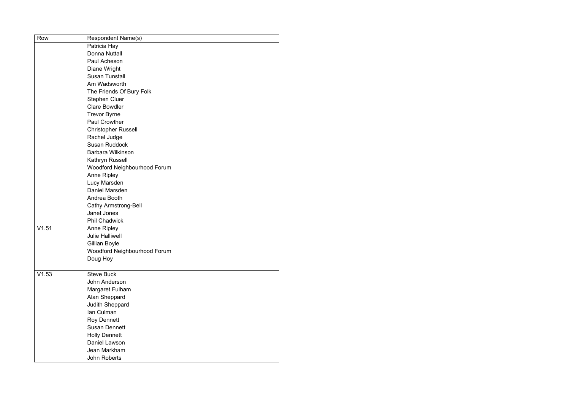| Row   | <b>Respondent Name(s)</b>           |
|-------|-------------------------------------|
|       | Patricia Hay                        |
|       | <b>Donna Nuttall</b>                |
|       | Paul Acheson                        |
|       | Diane Wright                        |
|       | <b>Susan Tunstall</b>               |
|       | Am Wadsworth                        |
|       | The Friends Of Bury Folk            |
|       | <b>Stephen Cluer</b>                |
|       | <b>Clare Bowdler</b>                |
|       | <b>Trevor Byrne</b>                 |
|       | <b>Paul Crowther</b>                |
|       | <b>Christopher Russell</b>          |
|       | Rachel Judge                        |
|       | <b>Susan Ruddock</b>                |
|       | <b>Barbara Wilkinson</b>            |
|       | Kathryn Russell                     |
|       | Woodford Neighbourhood Forum        |
|       | <b>Anne Ripley</b>                  |
|       | Lucy Marsden                        |
|       | Daniel Marsden                      |
|       | Andrea Booth                        |
|       | <b>Cathy Armstrong-Bell</b>         |
|       | Janet Jones                         |
|       | <b>Phil Chadwick</b>                |
| V1.51 | <b>Anne Ripley</b>                  |
|       | <b>Julie Halliwell</b>              |
|       | Gillian Boyle                       |
|       | <b>Woodford Neighbourhood Forum</b> |
|       | Doug Hoy                            |
|       |                                     |
| V1.53 | <b>Steve Buck</b>                   |
|       | John Anderson                       |
|       | Margaret Fulham                     |
|       | Alan Sheppard                       |
|       | Judith Sheppard                     |
|       | Ian Culman                          |
|       | <b>Roy Dennett</b>                  |
|       | <b>Susan Dennett</b>                |
|       | <b>Holly Dennett</b>                |
|       | Daniel Lawson                       |
|       | Jean Markham                        |
|       | John Roberts                        |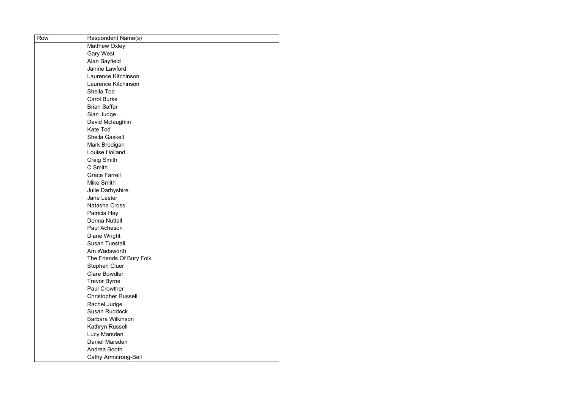| Row | Respondent Name(s)          |
|-----|-----------------------------|
|     | <b>Matthew Oxley</b>        |
|     | <b>Gary West</b>            |
|     | Alan Bayfield               |
|     | Janine Lawford              |
|     | Laurence Kitchinson         |
|     | Laurence Kitchinson         |
|     | Sheila Tod                  |
|     | <b>Carol Burke</b>          |
|     | <b>Brian Saffer</b>         |
|     | Sian Judge                  |
|     | David Mclaughlin            |
|     | <b>Kate Tod</b>             |
|     | <b>Sheila Gaskell</b>       |
|     | Mark Brodigan               |
|     | Louise Holland              |
|     | <b>Craig Smith</b>          |
|     | C Smith                     |
|     | <b>Grace Farrell</b>        |
|     | <b>Mike Smith</b>           |
|     | Julie Darbyshire            |
|     | Jane Lester                 |
|     | Natasha Cross               |
|     | Patricia Hay                |
|     | Donna Nuttall               |
|     | Paul Acheson                |
|     | Diane Wright                |
|     | <b>Susan Tunstall</b>       |
|     | Am Wadsworth                |
|     | The Friends Of Bury Folk    |
|     | <b>Stephen Cluer</b>        |
|     | <b>Clare Bowdler</b>        |
|     | <b>Trevor Byrne</b>         |
|     | <b>Paul Crowther</b>        |
|     | <b>Christopher Russell</b>  |
|     | Rachel Judge                |
|     | <b>Susan Ruddock</b>        |
|     | <b>Barbara Wilkinson</b>    |
|     | Kathryn Russell             |
|     | Lucy Marsden                |
|     | Daniel Marsden              |
|     | Andrea Booth                |
|     | <b>Cathy Armstrong-Bell</b> |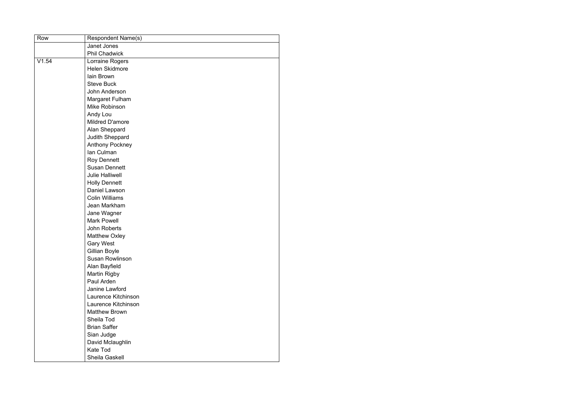| Row   | <b>Respondent Name(s)</b> |
|-------|---------------------------|
|       | Janet Jones               |
|       | <b>Phil Chadwick</b>      |
| V1.54 | Lorraine Rogers           |
|       | Helen Skidmore            |
|       | lain Brown                |
|       | <b>Steve Buck</b>         |
|       | John Anderson             |
|       | Margaret Fulham           |
|       | Mike Robinson             |
|       | Andy Lou                  |
|       | Mildred D'amore           |
|       | Alan Sheppard             |
|       | Judith Sheppard           |
|       | <b>Anthony Pockney</b>    |
|       | Ian Culman                |
|       | <b>Roy Dennett</b>        |
|       | <b>Susan Dennett</b>      |
|       | <b>Julie Halliwell</b>    |
|       | <b>Holly Dennett</b>      |
|       | Daniel Lawson             |
|       | <b>Colin Williams</b>     |
|       | Jean Markham              |
|       | Jane Wagner               |
|       | <b>Mark Powell</b>        |
|       | John Roberts              |
|       | <b>Matthew Oxley</b>      |
|       | <b>Gary West</b>          |
|       | Gillian Boyle             |
|       | <b>Susan Rowlinson</b>    |
|       | Alan Bayfield             |
|       | <b>Martin Rigby</b>       |
|       | Paul Arden                |
|       | Janine Lawford            |
|       | Laurence Kitchinson       |
|       | Laurence Kitchinson       |
|       | <b>Matthew Brown</b>      |
|       | Sheila Tod                |
|       | <b>Brian Saffer</b>       |
|       | Sian Judge                |
|       | David Mclaughlin          |
|       | <b>Kate Tod</b>           |
|       | Sheila Gaskell            |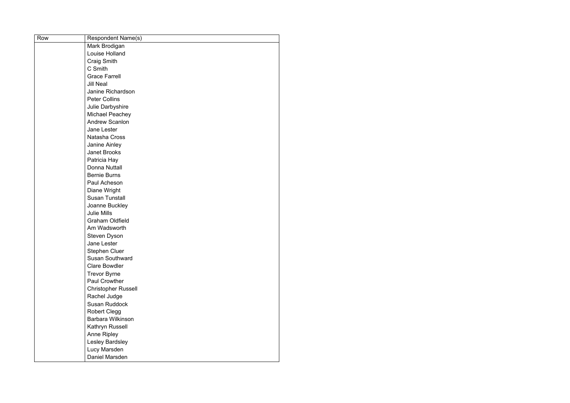| Row | <b>Respondent Name(s)</b>  |
|-----|----------------------------|
|     | Mark Brodigan              |
|     | Louise Holland             |
|     | <b>Craig Smith</b>         |
|     | C Smith                    |
|     | <b>Grace Farrell</b>       |
|     | <b>Jill Neal</b>           |
|     | Janine Richardson          |
|     | <b>Peter Collins</b>       |
|     | Julie Darbyshire           |
|     | Michael Peachey            |
|     | <b>Andrew Scanlon</b>      |
|     | <b>Jane Lester</b>         |
|     | Natasha Cross              |
|     | Janine Ainley              |
|     | <b>Janet Brooks</b>        |
|     | Patricia Hay               |
|     | <b>Donna Nuttall</b>       |
|     | <b>Bernie Burns</b>        |
|     | Paul Acheson               |
|     | Diane Wright               |
|     | <b>Susan Tunstall</b>      |
|     | Joanne Buckley             |
|     | <b>Julie Mills</b>         |
|     | <b>Graham Oldfield</b>     |
|     | Am Wadsworth               |
|     | <b>Steven Dyson</b>        |
|     | Jane Lester                |
|     | <b>Stephen Cluer</b>       |
|     | <b>Susan Southward</b>     |
|     | <b>Clare Bowdler</b>       |
|     | <b>Trevor Byrne</b>        |
|     | <b>Paul Crowther</b>       |
|     | <b>Christopher Russell</b> |
|     | Rachel Judge               |
|     | <b>Susan Ruddock</b>       |
|     | <b>Robert Clegg</b>        |
|     | <b>Barbara Wilkinson</b>   |
|     | Kathryn Russell            |
|     | <b>Anne Ripley</b>         |
|     | Lesley Bardsley            |
|     | Lucy Marsden               |
|     | Daniel Marsden             |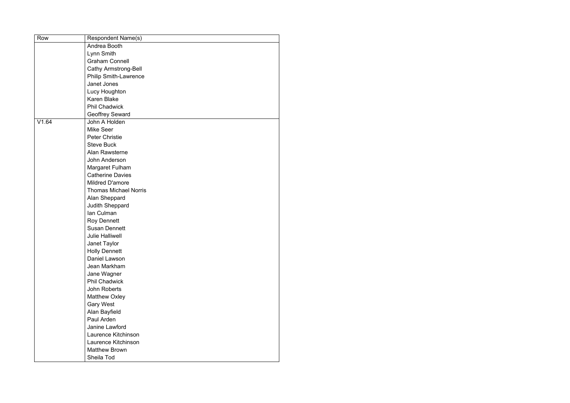| Row   | <b>Respondent Name(s)</b>    |
|-------|------------------------------|
|       | Andrea Booth                 |
|       | Lynn Smith                   |
|       | <b>Graham Connell</b>        |
|       | <b>Cathy Armstrong-Bell</b>  |
|       | <b>Philip Smith-Lawrence</b> |
|       | <b>Janet Jones</b>           |
|       | Lucy Houghton                |
|       | <b>Karen Blake</b>           |
|       | <b>Phil Chadwick</b>         |
|       | <b>Geoffrey Seward</b>       |
| V1.64 | John A Holden                |
|       | Mike Seer                    |
|       | <b>Peter Christie</b>        |
|       | <b>Steve Buck</b>            |
|       | Alan Rawsterne               |
|       | John Anderson                |
|       | Margaret Fulham              |
|       | <b>Catherine Davies</b>      |
|       | <b>Mildred D'amore</b>       |
|       | <b>Thomas Michael Norris</b> |
|       | Alan Sheppard                |
|       | Judith Sheppard              |
|       | Ian Culman                   |
|       | <b>Roy Dennett</b>           |
|       | <b>Susan Dennett</b>         |
|       | <b>Julie Halliwell</b>       |
|       | Janet Taylor                 |
|       | <b>Holly Dennett</b>         |
|       | Daniel Lawson                |
|       | Jean Markham                 |
|       | Jane Wagner                  |
|       | <b>Phil Chadwick</b>         |
|       | John Roberts                 |
|       | <b>Matthew Oxley</b>         |
|       | <b>Gary West</b>             |
|       | Alan Bayfield                |
|       | Paul Arden                   |
|       | Janine Lawford               |
|       | Laurence Kitchinson          |
|       | Laurence Kitchinson          |
|       | <b>Matthew Brown</b>         |
|       | Sheila Tod                   |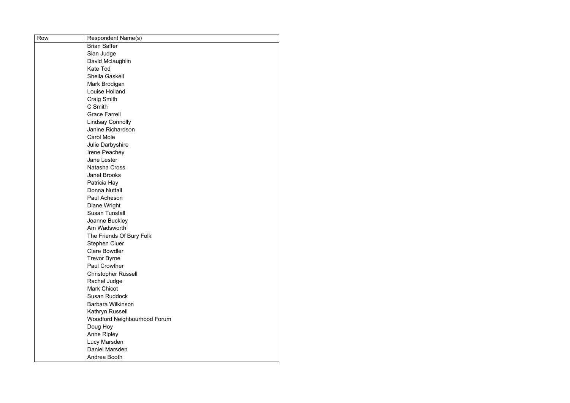| Row | <b>Respondent Name(s)</b>    |
|-----|------------------------------|
|     | <b>Brian Saffer</b>          |
|     | Sian Judge                   |
|     | David Mclaughlin             |
|     | <b>Kate Tod</b>              |
|     | <b>Sheila Gaskell</b>        |
|     | Mark Brodigan                |
|     | Louise Holland               |
|     | <b>Craig Smith</b>           |
|     | C Smith                      |
|     | <b>Grace Farrell</b>         |
|     | <b>Lindsay Connolly</b>      |
|     | Janine Richardson            |
|     | <b>Carol Mole</b>            |
|     | Julie Darbyshire             |
|     | Irene Peachey                |
|     | <b>Jane Lester</b>           |
|     | Natasha Cross                |
|     | <b>Janet Brooks</b>          |
|     | Patricia Hay                 |
|     | Donna Nuttall                |
|     | Paul Acheson                 |
|     | Diane Wright                 |
|     | <b>Susan Tunstall</b>        |
|     | Joanne Buckley               |
|     | Am Wadsworth                 |
|     | The Friends Of Bury Folk     |
|     | <b>Stephen Cluer</b>         |
|     | <b>Clare Bowdler</b>         |
|     | <b>Trevor Byrne</b>          |
|     | <b>Paul Crowther</b>         |
|     | <b>Christopher Russell</b>   |
|     | Rachel Judge                 |
|     | <b>Mark Chicot</b>           |
|     | <b>Susan Ruddock</b>         |
|     | <b>Barbara Wilkinson</b>     |
|     | Kathryn Russell              |
|     | Woodford Neighbourhood Forum |
|     | Doug Hoy                     |
|     | <b>Anne Ripley</b>           |
|     | Lucy Marsden                 |
|     | Daniel Marsden               |
|     | Andrea Booth                 |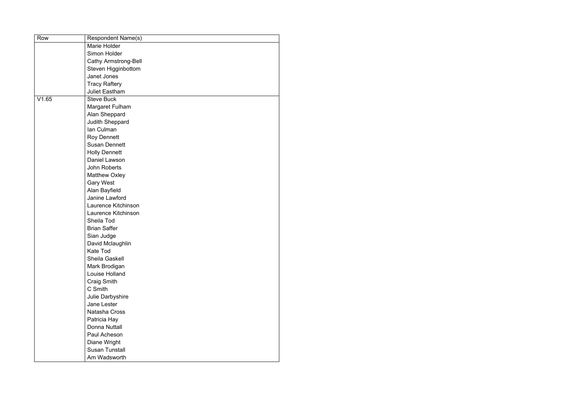| Row   | <b>Respondent Name(s)</b>   |
|-------|-----------------------------|
|       | Marie Holder                |
|       | Simon Holder                |
|       | <b>Cathy Armstrong-Bell</b> |
|       | Steven Higginbottom         |
|       | Janet Jones                 |
|       | <b>Tracy Raftery</b>        |
|       | <b>Juliet Eastham</b>       |
| V1.65 | <b>Steve Buck</b>           |
|       | Margaret Fulham             |
|       | Alan Sheppard               |
|       | <b>Judith Sheppard</b>      |
|       | Ian Culman                  |
|       | <b>Roy Dennett</b>          |
|       | <b>Susan Dennett</b>        |
|       | <b>Holly Dennett</b>        |
|       | Daniel Lawson               |
|       | <b>John Roberts</b>         |
|       | <b>Matthew Oxley</b>        |
|       | <b>Gary West</b>            |
|       | Alan Bayfield               |
|       | Janine Lawford              |
|       | Laurence Kitchinson         |
|       | Laurence Kitchinson         |
|       | Sheila Tod                  |
|       | <b>Brian Saffer</b>         |
|       | Sian Judge                  |
|       | David Mclaughlin            |
|       | <b>Kate Tod</b>             |
|       | Sheila Gaskell              |
|       | Mark Brodigan               |
|       | Louise Holland              |
|       | Craig Smith                 |
|       | C Smith                     |
|       | Julie Darbyshire            |
|       | Jane Lester                 |
|       | Natasha Cross               |
|       | Patricia Hay                |
|       | <b>Donna Nuttall</b>        |
|       | Paul Acheson                |
|       | Diane Wright                |
|       | <b>Susan Tunstall</b>       |
|       | Am Wadsworth                |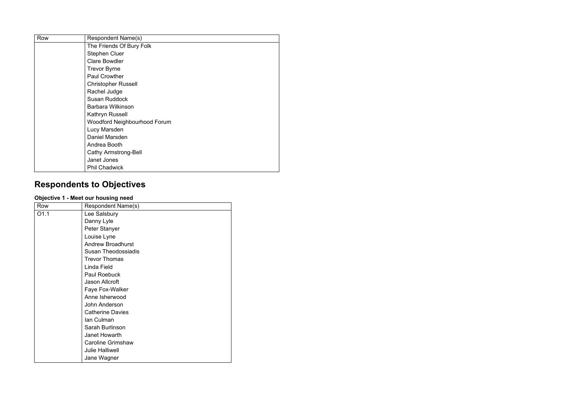| Row | <b>Respondent Name(s)</b>    |
|-----|------------------------------|
|     | The Friends Of Bury Folk     |
|     | <b>Stephen Cluer</b>         |
|     | <b>Clare Bowdler</b>         |
|     | <b>Trevor Byrne</b>          |
|     | <b>Paul Crowther</b>         |
|     | <b>Christopher Russell</b>   |
|     | Rachel Judge                 |
|     | <b>Susan Ruddock</b>         |
|     | Barbara Wilkinson            |
|     | Kathryn Russell              |
|     | Woodford Neighbourhood Forum |
|     | Lucy Marsden                 |
|     | Daniel Marsden               |
|     | Andrea Booth                 |
|     | <b>Cathy Armstrong-Bell</b>  |
|     | Janet Jones                  |
|     | <b>Phil Chadwick</b>         |

# **Respondents to Objectives**

#### **Objective 1 - Meet our housing need**

| Row              | Respondent Name(s)         |
|------------------|----------------------------|
| O <sub>1.1</sub> | Lee Salsbury               |
|                  | Danny Lyle                 |
|                  | Peter Stanyer              |
|                  | Louise Lyne                |
|                  | <b>Andrew Broadhurst</b>   |
|                  | <b>Susan Theodossiadis</b> |
|                  | <b>Trevor Thomas</b>       |
|                  | Linda Field                |
|                  | <b>Paul Roebuck</b>        |
|                  | <b>Jason Allcroft</b>      |
|                  | Faye Fox-Walker            |
|                  | Anne Isherwood             |
|                  | <b>John Anderson</b>       |
|                  | <b>Catherine Davies</b>    |
|                  | Ian Culman                 |
|                  | Sarah Burlinson            |
|                  | <b>Janet Howarth</b>       |
|                  | <b>Caroline Grimshaw</b>   |
|                  | <b>Julie Halliwell</b>     |
|                  | Jane Wagner                |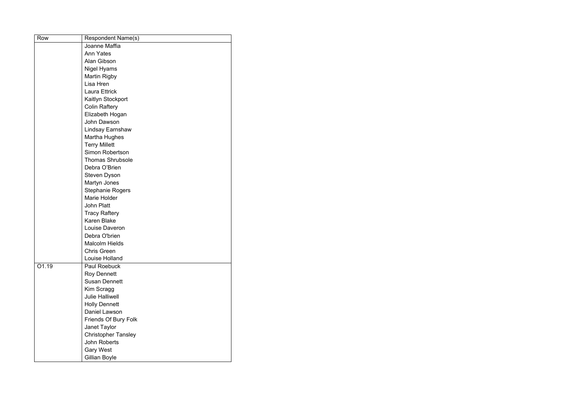| Row   | <b>Respondent Name(s)</b>  |
|-------|----------------------------|
|       | Joanne Maffia              |
|       | <b>Ann Yates</b>           |
|       | <b>Alan Gibson</b>         |
|       | <b>Nigel Hyams</b>         |
|       | <b>Martin Rigby</b>        |
|       | Lisa Hren                  |
|       | <b>Laura Ettrick</b>       |
|       | Kaitlyn Stockport          |
|       | <b>Colin Raftery</b>       |
|       | Elizabeth Hogan            |
|       | John Dawson                |
|       | <b>Lindsay Earnshaw</b>    |
|       | Martha Hughes              |
|       | <b>Terry Millett</b>       |
|       | <b>Simon Robertson</b>     |
|       | <b>Thomas Shrubsole</b>    |
|       | Debra O'Brien              |
|       | <b>Steven Dyson</b>        |
|       | <b>Martyn Jones</b>        |
|       | <b>Stephanie Rogers</b>    |
|       | <b>Marie Holder</b>        |
|       | <b>John Platt</b>          |
|       | <b>Tracy Raftery</b>       |
|       | <b>Karen Blake</b>         |
|       | Louise Daveron             |
|       | Debra O'brien              |
|       | <b>Malcolm Hields</b>      |
|       | <b>Chris Green</b>         |
|       | <b>Louise Holland</b>      |
| O1.19 | <b>Paul Roebuck</b>        |
|       | <b>Roy Dennett</b>         |
|       | <b>Susan Dennett</b>       |
|       | Kim Scragg                 |
|       | <b>Julie Halliwell</b>     |
|       | <b>Holly Dennett</b>       |
|       | Daniel Lawson              |
|       | Friends Of Bury Folk       |
|       | Janet Taylor               |
|       | <b>Christopher Tansley</b> |
|       | <b>John Roberts</b>        |
|       | <b>Gary West</b>           |
|       | Gillian Boyle              |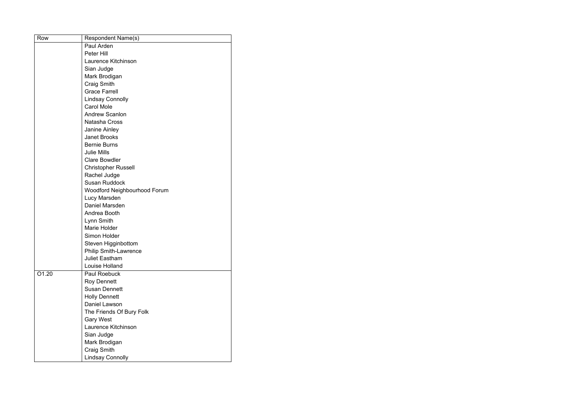| Row   | <b>Respondent Name(s)</b>           |
|-------|-------------------------------------|
|       | Paul Arden                          |
|       | Peter Hill                          |
|       | Laurence Kitchinson                 |
|       | Sian Judge                          |
|       | Mark Brodigan                       |
|       | <b>Craig Smith</b>                  |
|       | <b>Grace Farrell</b>                |
|       | <b>Lindsay Connolly</b>             |
|       | <b>Carol Mole</b>                   |
|       | <b>Andrew Scanlon</b>               |
|       | <b>Natasha Cross</b>                |
|       | <b>Janine Ainley</b>                |
|       | <b>Janet Brooks</b>                 |
|       | <b>Bernie Burns</b>                 |
|       | <b>Julie Mills</b>                  |
|       | <b>Clare Bowdler</b>                |
|       | <b>Christopher Russell</b>          |
|       | Rachel Judge                        |
|       | <b>Susan Ruddock</b>                |
|       | <b>Woodford Neighbourhood Forum</b> |
|       | Lucy Marsden                        |
|       | Daniel Marsden                      |
|       | Andrea Booth                        |
|       | Lynn Smith                          |
|       | <b>Marie Holder</b>                 |
|       | <b>Simon Holder</b>                 |
|       | Steven Higginbottom                 |
|       | <b>Philip Smith-Lawrence</b>        |
|       | <b>Juliet Eastham</b>               |
|       | Louise Holland                      |
| O1.20 | <b>Paul Roebuck</b>                 |
|       | <b>Roy Dennett</b>                  |
|       | <b>Susan Dennett</b>                |
|       | <b>Holly Dennett</b>                |
|       | Daniel Lawson                       |
|       | The Friends Of Bury Folk            |
|       | <b>Gary West</b>                    |
|       | Laurence Kitchinson                 |
|       | Sian Judge                          |
|       | Mark Brodigan                       |
|       | <b>Craig Smith</b>                  |
|       | <b>Lindsay Connolly</b>             |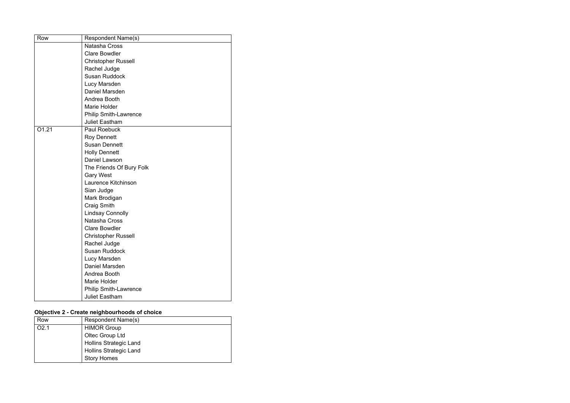| Row   | Respondent Name(s)           |
|-------|------------------------------|
|       | <b>Natasha Cross</b>         |
|       | <b>Clare Bowdler</b>         |
|       | <b>Christopher Russell</b>   |
|       | Rachel Judge                 |
|       | <b>Susan Ruddock</b>         |
|       | Lucy Marsden                 |
|       | <b>Daniel Marsden</b>        |
|       | Andrea Booth                 |
|       | <b>Marie Holder</b>          |
|       | <b>Philip Smith-Lawrence</b> |
|       | <b>Juliet Eastham</b>        |
| 01.21 | <b>Paul Roebuck</b>          |
|       | <b>Roy Dennett</b>           |
|       | <b>Susan Dennett</b>         |
|       | <b>Holly Dennett</b>         |
|       | Daniel Lawson                |
|       | The Friends Of Bury Folk     |
|       | <b>Gary West</b>             |
|       | Laurence Kitchinson          |
|       | Sian Judge                   |
|       | Mark Brodigan                |
|       | <b>Craig Smith</b>           |
|       | <b>Lindsay Connolly</b>      |
|       | <b>Natasha Cross</b>         |
|       | <b>Clare Bowdler</b>         |
|       | <b>Christopher Russell</b>   |
|       | Rachel Judge                 |
|       | Susan Ruddock                |
|       | Lucy Marsden                 |
|       | Daniel Marsden               |
|       | Andrea Booth                 |
|       | <b>Marie Holder</b>          |
|       | <b>Philip Smith-Lawrence</b> |
|       | <b>Juliet Eastham</b>        |

#### **Objective 2 - Create neighbourhoods of choice**

| Row              | <b>Respondent Name(s)</b>     |
|------------------|-------------------------------|
| O <sub>2.1</sub> | <b>HIMOR Group</b>            |
|                  | Oltec Group Ltd               |
|                  | <b>Hollins Strategic Land</b> |
|                  | <b>Hollins Strategic Land</b> |
|                  | <b>Story Homes</b>            |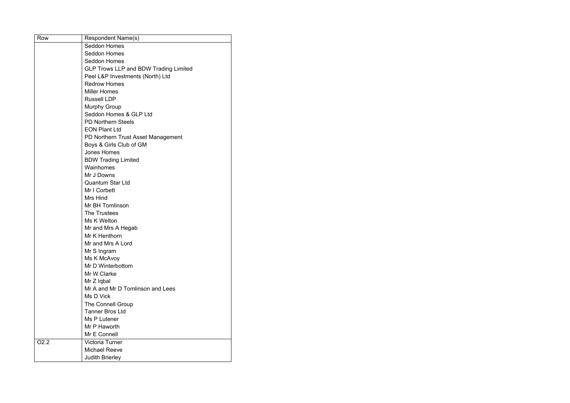| Row  | <b>Respondent Name(s)</b>                    |
|------|----------------------------------------------|
|      | <b>Seddon Homes</b>                          |
|      | <b>Seddon Homes</b>                          |
|      | <b>Seddon Homes</b>                          |
|      | <b>GLP Trows LLP and BDW Trading Limited</b> |
|      | Peel L&P Investments (North) Ltd             |
|      | <b>Redrow Homes</b>                          |
|      | <b>Miller Homes</b>                          |
|      | <b>Russell LDP</b>                           |
|      | <b>Murphy Group</b>                          |
|      | Seddon Homes & GLP Ltd                       |
|      | <b>PD Northern Steels</b>                    |
|      | <b>EON Plant Ltd</b>                         |
|      | PD Northern Trust Asset Management           |
|      | Boys & Girls Club of GM                      |
|      | <b>Jones Homes</b>                           |
|      | <b>BDW Trading Limited</b>                   |
|      | Wainhomes                                    |
|      | Mr J Downs                                   |
|      | <b>Quantum Star Ltd</b>                      |
|      | Mr I Corbett                                 |
|      | Mrs Hind                                     |
|      | <b>Mr BH Tomlinson</b>                       |
|      | The Trustees                                 |
|      | Ms K Welton                                  |
|      | Mr and Mrs A Hegab                           |
|      | Mr K Henthorn                                |
|      | Mr and Mrs A Lord                            |
|      | Mr S Ingram                                  |
|      | Ms K McAvoy                                  |
|      | Mr D Winterbottom                            |
|      | Mr W Clarke                                  |
|      | Mr Z Iqbal                                   |
|      | Mr A and Mr D Tomlinson and Lees             |
|      | Ms D Vick                                    |
|      | <b>The Connell Group</b>                     |
|      | <b>Tanner Bros Ltd</b>                       |
|      | Ms P Lutener                                 |
|      | Mr P Haworth                                 |
|      | Mr E Connell                                 |
| O2.2 | <b>Victoria Turner</b>                       |
|      | <b>Michael Reeve</b>                         |
|      | <b>Judith Brierley</b>                       |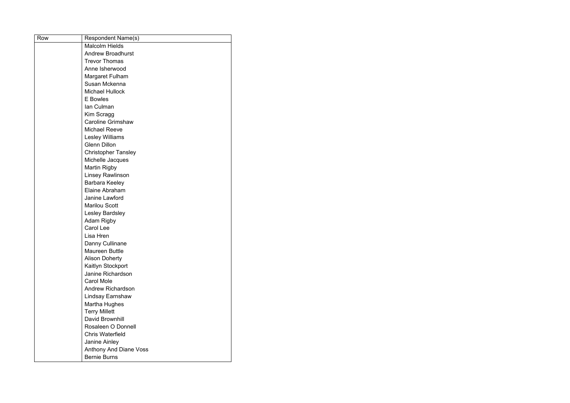| Row | Respondent Name(s)            |
|-----|-------------------------------|
|     | <b>Malcolm Hields</b>         |
|     | <b>Andrew Broadhurst</b>      |
|     | <b>Trevor Thomas</b>          |
|     | Anne Isherwood                |
|     | <b>Margaret Fulham</b>        |
|     | Susan Mckenna                 |
|     | <b>Michael Hullock</b>        |
|     | <b>E</b> Bowles               |
|     | Ian Culman                    |
|     | Kim Scragg                    |
|     | <b>Caroline Grimshaw</b>      |
|     | <b>Michael Reeve</b>          |
|     | <b>Lesley Williams</b>        |
|     | <b>Glenn Dillon</b>           |
|     | <b>Christopher Tansley</b>    |
|     | Michelle Jacques              |
|     | <b>Martin Rigby</b>           |
|     | <b>Linsey Rawlinson</b>       |
|     | <b>Barbara Keeley</b>         |
|     | Elaine Abraham                |
|     | Janine Lawford                |
|     | <b>Marilou Scott</b>          |
|     | Lesley Bardsley               |
|     | <b>Adam Rigby</b>             |
|     | <b>Carol Lee</b>              |
|     | Lisa Hren                     |
|     | Danny Cullinane               |
|     | Maureen Buttle                |
|     | <b>Alison Doherty</b>         |
|     | Kaitlyn Stockport             |
|     | Janine Richardson             |
|     | <b>Carol Mole</b>             |
|     | <b>Andrew Richardson</b>      |
|     | <b>Lindsay Earnshaw</b>       |
|     | <b>Martha Hughes</b>          |
|     | <b>Terry Millett</b>          |
|     | David Brownhill               |
|     | Rosaleen O Donnell            |
|     | <b>Chris Waterfield</b>       |
|     | Janine Ainley                 |
|     | <b>Anthony And Diane Voss</b> |
|     | <b>Bernie Burns</b>           |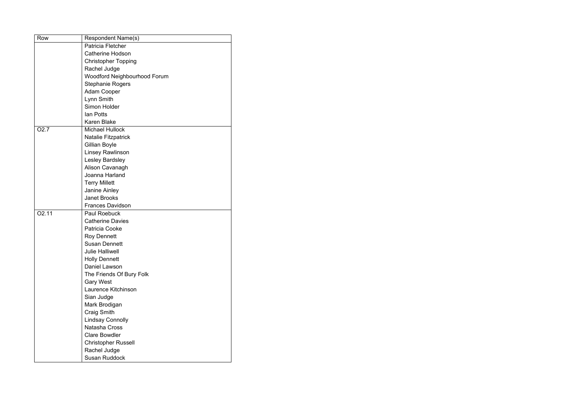| Row               | Respondent Name(s)           |
|-------------------|------------------------------|
|                   | Patricia Fletcher            |
|                   | <b>Catherine Hodson</b>      |
|                   | <b>Christopher Topping</b>   |
|                   | Rachel Judge                 |
|                   | Woodford Neighbourhood Forum |
|                   | <b>Stephanie Rogers</b>      |
|                   | <b>Adam Cooper</b>           |
|                   | Lynn Smith                   |
|                   | Simon Holder                 |
|                   | <b>lan Potts</b>             |
|                   | <b>Karen Blake</b>           |
| O <sub>2.7</sub>  | <b>Michael Hullock</b>       |
|                   | <b>Natalie Fitzpatrick</b>   |
|                   | Gillian Boyle                |
|                   | <b>Linsey Rawlinson</b>      |
|                   | Lesley Bardsley              |
|                   | Alison Cavanagh              |
|                   | Joanna Harland               |
|                   | <b>Terry Millett</b>         |
|                   | <b>Janine Ainley</b>         |
|                   | <b>Janet Brooks</b>          |
|                   | <b>Frances Davidson</b>      |
| O <sub>2.11</sub> | <b>Paul Roebuck</b>          |
|                   | <b>Catherine Davies</b>      |
|                   | Patricia Cooke               |
|                   | <b>Roy Dennett</b>           |
|                   | <b>Susan Dennett</b>         |
|                   | <b>Julie Halliwell</b>       |
|                   | <b>Holly Dennett</b>         |
|                   | Daniel Lawson                |
|                   | The Friends Of Bury Folk     |
|                   | <b>Gary West</b>             |
|                   | Laurence Kitchinson          |
|                   | Sian Judge                   |
|                   | Mark Brodigan                |
|                   | <b>Craig Smith</b>           |
|                   | <b>Lindsay Connolly</b>      |
|                   | Natasha Cross                |
|                   | <b>Clare Bowdler</b>         |
|                   | <b>Christopher Russell</b>   |
|                   | Rachel Judge                 |
|                   | <b>Susan Ruddock</b>         |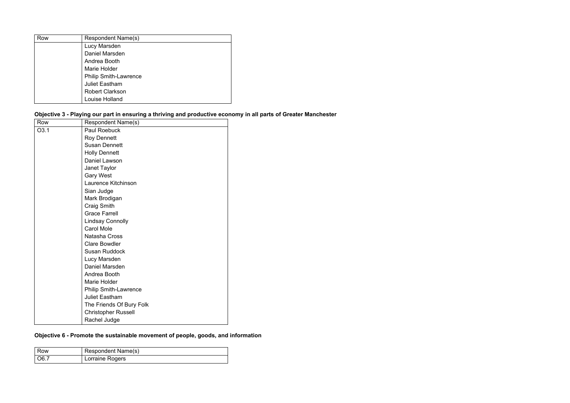| Row | Respondent Name(s)           |
|-----|------------------------------|
|     | Lucy Marsden                 |
|     | Daniel Marsden               |
|     | Andrea Booth                 |
|     | Marie Holder                 |
|     | <b>Philip Smith-Lawrence</b> |
|     | <b>Juliet Eastham</b>        |
|     | <b>Robert Clarkson</b>       |
|     | <b>Louise Holland</b>        |

**Objective 3 - Playing our part in ensuring a thriving and productive economy in all parts of Greater Manchester**

| Row  | Respondent Name(s)           |
|------|------------------------------|
| O3.1 | <b>Paul Roebuck</b>          |
|      | <b>Roy Dennett</b>           |
|      | <b>Susan Dennett</b>         |
|      | <b>Holly Dennett</b>         |
|      | <b>Daniel Lawson</b>         |
|      | Janet Taylor                 |
|      | <b>Gary West</b>             |
|      | Laurence Kitchinson          |
|      | Sian Judge                   |
|      | Mark Brodigan                |
|      | <b>Craig Smith</b>           |
|      | <b>Grace Farrell</b>         |
|      | <b>Lindsay Connolly</b>      |
|      | <b>Carol Mole</b>            |
|      | Natasha Cross                |
|      | <b>Clare Bowdler</b>         |
|      | <b>Susan Ruddock</b>         |
|      | Lucy Marsden                 |
|      | Daniel Marsden               |
|      | Andrea Booth                 |
|      | Marie Holder                 |
|      | <b>Philip Smith-Lawrence</b> |
|      | <b>Juliet Eastham</b>        |
|      | The Friends Of Bury Folk     |
|      | <b>Christopher Russell</b>   |
|      | Rachel Judge                 |

## **Objective 6 - Promote the sustainable movement of people, goods, and information**

| l Row              | Respondent Name(s) |
|--------------------|--------------------|
| $\overline{)06.7}$ | Lorraine Rogers    |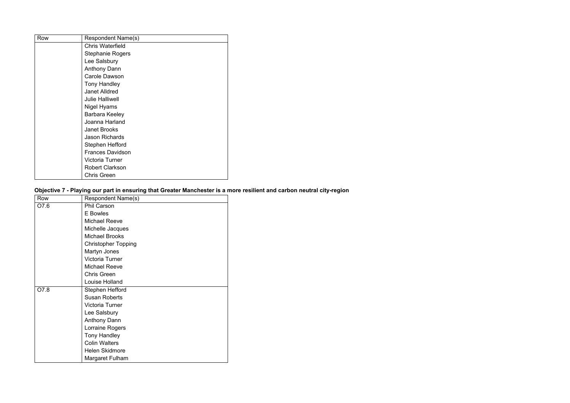| Row | Respondent Name(s)      |
|-----|-------------------------|
|     | <b>Chris Waterfield</b> |
|     | <b>Stephanie Rogers</b> |
|     | Lee Salsbury            |
|     | <b>Anthony Dann</b>     |
|     | <b>Carole Dawson</b>    |
|     | <b>Tony Handley</b>     |
|     | <b>Janet Alldred</b>    |
|     | <b>Julie Halliwell</b>  |
|     | Nigel Hyams             |
|     | Barbara Keeley          |
|     | Joanna Harland          |
|     | <b>Janet Brooks</b>     |
|     | <b>Jason Richards</b>   |
|     | <b>Stephen Hefford</b>  |
|     | <b>Frances Davidson</b> |
|     | <b>Victoria Turner</b>  |
|     | <b>Robert Clarkson</b>  |
|     | <b>Chris Green</b>      |

**Objective 7 - Playing our part in ensuring that Greater Manchester is a more resilient and carbon neutral city-region**

| Row  | <b>Respondent Name(s)</b>  |
|------|----------------------------|
| O7.6 | <b>Phil Carson</b>         |
|      | <b>E</b> Bowles            |
|      | <b>Michael Reeve</b>       |
|      | Michelle Jacques           |
|      | <b>Michael Brooks</b>      |
|      | <b>Christopher Topping</b> |
|      | Martyn Jones               |
|      | Victoria Turner            |
|      | <b>Michael Reeve</b>       |
|      | <b>Chris Green</b>         |
|      | <b>Louise Holland</b>      |
| O7.8 | <b>Stephen Hefford</b>     |
|      | <b>Susan Roberts</b>       |
|      | Victoria Turner            |
|      | Lee Salsbury               |
|      | <b>Anthony Dann</b>        |
|      | Lorraine Rogers            |
|      | <b>Tony Handley</b>        |
|      | <b>Colin Walters</b>       |
|      | <b>Helen Skidmore</b>      |
|      | Margaret Fulham            |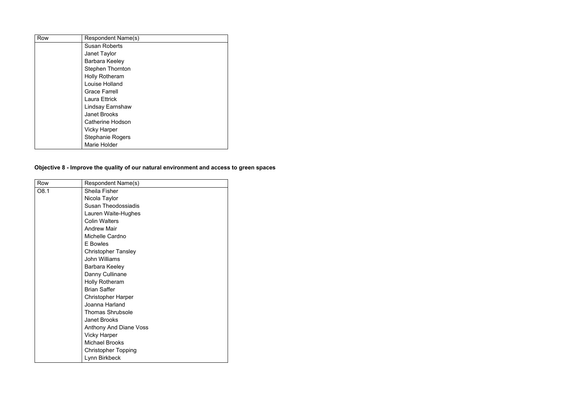| Row | <b>Respondent Name(s)</b> |
|-----|---------------------------|
|     | <b>Susan Roberts</b>      |
|     | Janet Taylor              |
|     | Barbara Keeley            |
|     | <b>Stephen Thornton</b>   |
|     | <b>Holly Rotheram</b>     |
|     | <b>Louise Holland</b>     |
|     | <b>Grace Farrell</b>      |
|     | <b>Laura Ettrick</b>      |
|     | Lindsay Earnshaw          |
|     | <b>Janet Brooks</b>       |
|     | <b>Catherine Hodson</b>   |
|     | <b>Vicky Harper</b>       |
|     | <b>Stephanie Rogers</b>   |
|     | Marie Holder              |

## **Objective 8 - Improve the quality of our natural environment and access to green spaces**

| Row  | <b>Respondent Name(s)</b>     |
|------|-------------------------------|
| O8.1 | <b>Sheila Fisher</b>          |
|      | Nicola Taylor                 |
|      | <b>Susan Theodossiadis</b>    |
|      | Lauren Waite-Hughes           |
|      | <b>Colin Walters</b>          |
|      | <b>Andrew Mair</b>            |
|      | Michelle Cardno               |
|      | <b>E</b> Bowles               |
|      | <b>Christopher Tansley</b>    |
|      | <b>John Williams</b>          |
|      | Barbara Keeley                |
|      | Danny Cullinane               |
|      | <b>Holly Rotheram</b>         |
|      | <b>Brian Saffer</b>           |
|      | <b>Christopher Harper</b>     |
|      | Joanna Harland                |
|      | <b>Thomas Shrubsole</b>       |
|      | <b>Janet Brooks</b>           |
|      | <b>Anthony And Diane Voss</b> |
|      | <b>Vicky Harper</b>           |
|      | <b>Michael Brooks</b>         |
|      | <b>Christopher Topping</b>    |
|      | Lynn Birkbeck                 |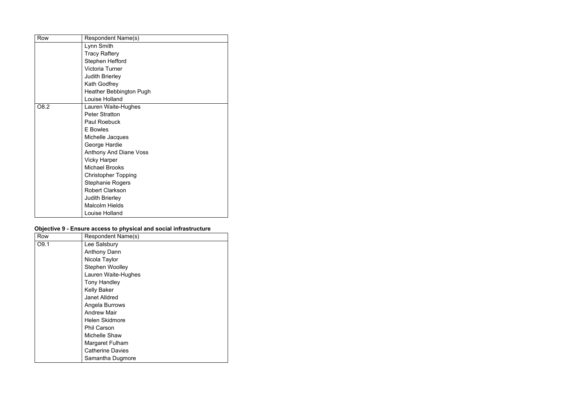| Row  | <b>Respondent Name(s)</b>      |
|------|--------------------------------|
|      | Lynn Smith                     |
|      | <b>Tracy Raftery</b>           |
|      | <b>Stephen Hefford</b>         |
|      | <b>Victoria Turner</b>         |
|      | <b>Judith Brierley</b>         |
|      | Kath Godfrey                   |
|      | <b>Heather Bebbington Pugh</b> |
|      | Louise Holland                 |
| O8.2 | Lauren Waite-Hughes            |
|      | <b>Peter Stratton</b>          |
|      | <b>Paul Roebuck</b>            |
|      | <b>E</b> Bowles                |
|      | Michelle Jacques               |
|      | George Hardie                  |
|      | <b>Anthony And Diane Voss</b>  |
|      | <b>Vicky Harper</b>            |
|      | <b>Michael Brooks</b>          |
|      | <b>Christopher Topping</b>     |
|      | <b>Stephanie Rogers</b>        |
|      | <b>Robert Clarkson</b>         |
|      | <b>Judith Brierley</b>         |
|      | <b>Malcolm Hields</b>          |
|      | <b>Louise Holland</b>          |

#### **Objective 9 - Ensure access to physical and social infrastructure**

| Row              | <b>Respondent Name(s)</b> |
|------------------|---------------------------|
| O <sub>9.1</sub> | Lee Salsbury              |
|                  | <b>Anthony Dann</b>       |
|                  | Nicola Taylor             |
|                  | <b>Stephen Woolley</b>    |
|                  | Lauren Waite-Hughes       |
|                  | <b>Tony Handley</b>       |
|                  | <b>Kelly Baker</b>        |
|                  | <b>Janet Alldred</b>      |
|                  | Angela Burrows            |
|                  | <b>Andrew Mair</b>        |
|                  | <b>Helen Skidmore</b>     |
|                  | <b>Phil Carson</b>        |
|                  | <b>Michelle Shaw</b>      |
|                  | Margaret Fulham           |
|                  | <b>Catherine Davies</b>   |
|                  | Samantha Dugmore          |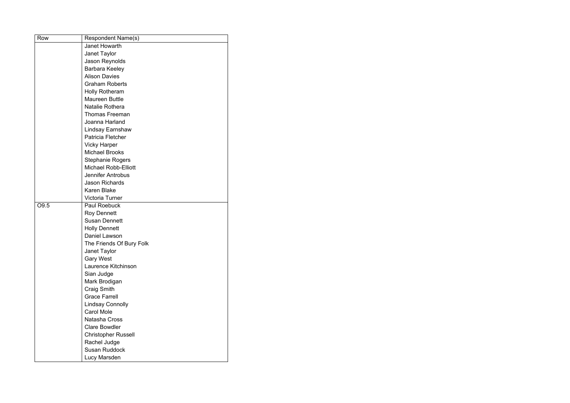| Row  | <b>Respondent Name(s)</b>   |
|------|-----------------------------|
|      | <b>Janet Howarth</b>        |
|      | Janet Taylor                |
|      | <b>Jason Reynolds</b>       |
|      | <b>Barbara Keeley</b>       |
|      | <b>Alison Davies</b>        |
|      | <b>Graham Roberts</b>       |
|      | <b>Holly Rotheram</b>       |
|      | <b>Maureen Buttle</b>       |
|      | Natalie Rothera             |
|      | <b>Thomas Freeman</b>       |
|      | Joanna Harland              |
|      | Lindsay Earnshaw            |
|      | Patricia Fletcher           |
|      | <b>Vicky Harper</b>         |
|      | <b>Michael Brooks</b>       |
|      | <b>Stephanie Rogers</b>     |
|      | <b>Michael Robb-Elliott</b> |
|      | <b>Jennifer Antrobus</b>    |
|      | <b>Jason Richards</b>       |
|      | <b>Karen Blake</b>          |
|      | <b>Victoria Turner</b>      |
| O9.5 | <b>Paul Roebuck</b>         |
|      | <b>Roy Dennett</b>          |
|      | <b>Susan Dennett</b>        |
|      | <b>Holly Dennett</b>        |
|      | Daniel Lawson               |
|      | The Friends Of Bury Folk    |
|      | Janet Taylor                |
|      | <b>Gary West</b>            |
|      | Laurence Kitchinson         |
|      | Sian Judge                  |
|      | Mark Brodigan               |
|      | <b>Craig Smith</b>          |
|      | <b>Grace Farrell</b>        |
|      | <b>Lindsay Connolly</b>     |
|      | <b>Carol Mole</b>           |
|      | <b>Natasha Cross</b>        |
|      | <b>Clare Bowdler</b>        |
|      | <b>Christopher Russell</b>  |
|      | Rachel Judge                |
|      | <b>Susan Ruddock</b>        |
|      | Lucy Marsden                |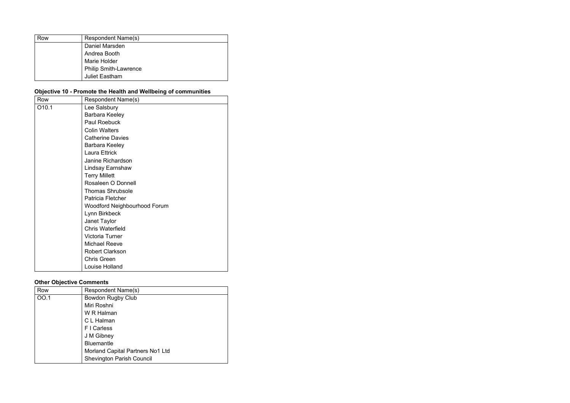| Row | <b>Respondent Name(s)</b>    |
|-----|------------------------------|
|     | Daniel Marsden               |
|     | Andrea Booth                 |
|     | Marie Holder                 |
|     | <b>Philip Smith-Lawrence</b> |
|     | <b>Juliet Eastham</b>        |

## **Objective 10 - Promote the Health and Wellbeing of communities**

| Row   | <b>Respondent Name(s)</b>           |
|-------|-------------------------------------|
| O10.1 | Lee Salsbury                        |
|       | <b>Barbara Keeley</b>               |
|       | <b>Paul Roebuck</b>                 |
|       | <b>Colin Walters</b>                |
|       | <b>Catherine Davies</b>             |
|       | Barbara Keeley                      |
|       | <b>Laura Ettrick</b>                |
|       | <b>Janine Richardson</b>            |
|       | Lindsay Earnshaw                    |
|       | <b>Terry Millett</b>                |
|       | Rosaleen O Donnell                  |
|       | <b>Thomas Shrubsole</b>             |
|       | <b>Patricia Fletcher</b>            |
|       | <b>Woodford Neighbourhood Forum</b> |
|       | Lynn Birkbeck                       |
|       | Janet Taylor                        |
|       | <b>Chris Waterfield</b>             |
|       | <b>Victoria Turner</b>              |
|       | <b>Michael Reeve</b>                |
|       | <b>Robert Clarkson</b>              |
|       | <b>Chris Green</b>                  |
|       | <b>Louise Holland</b>               |

#### **Other Objective Comments**

| Row  | <b>Respondent Name(s)</b>        |
|------|----------------------------------|
| OO.1 | <b>Bowdon Rugby Club</b>         |
|      | Miri Roshni                      |
|      | W R Halman                       |
|      | C L Halman                       |
|      | F I Carless                      |
|      | J M Gibney                       |
|      | <b>Bluemantle</b>                |
|      | Morland Capital Partners No1 Ltd |
|      | <b>Shevington Parish Council</b> |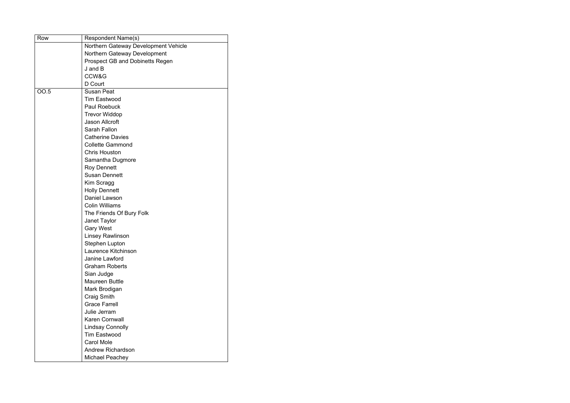| Row         | <b>Respondent Name(s)</b>              |
|-------------|----------------------------------------|
|             | Northern Gateway Development Vehicle   |
|             | <b>Northern Gateway Development</b>    |
|             | <b>Prospect GB and Dobinetts Regen</b> |
|             | $J$ and $B$                            |
|             | CCW&G                                  |
|             | D Court                                |
| <b>OO.5</b> | <b>Susan Peat</b>                      |
|             | <b>Tim Eastwood</b>                    |
|             | <b>Paul Roebuck</b>                    |
|             | <b>Trevor Widdop</b>                   |
|             | <b>Jason Allcroft</b>                  |
|             | Sarah Fallon                           |
|             | <b>Catherine Davies</b>                |
|             | <b>Collette Gammond</b>                |
|             | <b>Chris Houston</b>                   |
|             | Samantha Dugmore                       |
|             | <b>Roy Dennett</b>                     |
|             | <b>Susan Dennett</b>                   |
|             | Kim Scragg                             |
|             | <b>Holly Dennett</b>                   |
|             | <b>Daniel Lawson</b>                   |
|             | <b>Colin Williams</b>                  |
|             | The Friends Of Bury Folk               |
|             | Janet Taylor                           |
|             | <b>Gary West</b>                       |
|             | <b>Linsey Rawlinson</b>                |
|             | <b>Stephen Lupton</b>                  |
|             | Laurence Kitchinson                    |
|             | <b>Janine Lawford</b>                  |
|             | <b>Graham Roberts</b>                  |
|             | Sian Judge                             |
|             | <b>Maureen Buttle</b>                  |
|             | Mark Brodigan                          |
|             | <b>Craig Smith</b>                     |
|             | <b>Grace Farrell</b>                   |
|             | Julie Jerram                           |
|             | <b>Karen Cornwall</b>                  |
|             | <b>Lindsay Connolly</b>                |
|             | <b>Tim Eastwood</b>                    |
|             | <b>Carol Mole</b>                      |
|             | <b>Andrew Richardson</b>               |
|             | <b>Michael Peachey</b>                 |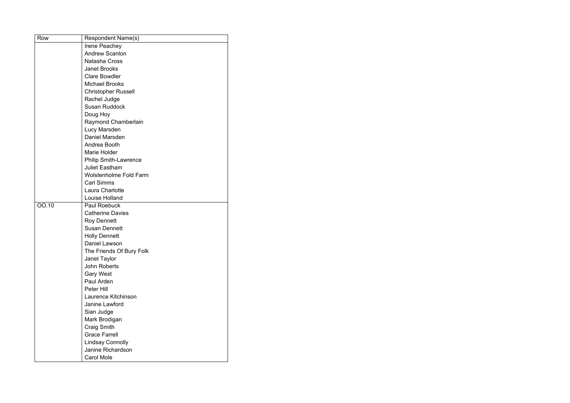| Row   | Respondent Name(s)            |
|-------|-------------------------------|
|       | Irene Peachey                 |
|       | <b>Andrew Scanlon</b>         |
|       | Natasha Cross                 |
|       | <b>Janet Brooks</b>           |
|       | <b>Clare Bowdler</b>          |
|       | <b>Michael Brooks</b>         |
|       | <b>Christopher Russell</b>    |
|       | Rachel Judge                  |
|       | <b>Susan Ruddock</b>          |
|       | Doug Hoy                      |
|       | Raymond Chamberlain           |
|       | Lucy Marsden                  |
|       | Daniel Marsden                |
|       | Andrea Booth                  |
|       | Marie Holder                  |
|       | <b>Philip Smith-Lawrence</b>  |
|       | <b>Juliet Eastham</b>         |
|       | <b>Wolstenholme Fold Farm</b> |
|       | <b>Carl Simms</b>             |
|       | <b>Laura Charlotte</b>        |
|       | Louise Holland                |
| OO.10 | <b>Paul Roebuck</b>           |
|       | <b>Catherine Davies</b>       |
|       | <b>Roy Dennett</b>            |
|       | <b>Susan Dennett</b>          |
|       | <b>Holly Dennett</b>          |
|       | <b>Daniel Lawson</b>          |
|       | The Friends Of Bury Folk      |
|       | Janet Taylor                  |
|       | <b>John Roberts</b>           |
|       | <b>Gary West</b>              |
|       | Paul Arden                    |
|       | Peter Hill                    |
|       | Laurence Kitchinson           |
|       | Janine Lawford                |
|       | Sian Judge                    |
|       | Mark Brodigan                 |
|       | Craig Smith                   |
|       | <b>Grace Farrell</b>          |
|       | <b>Lindsay Connolly</b>       |
|       | <b>Janine Richardson</b>      |
|       | <b>Carol Mole</b>             |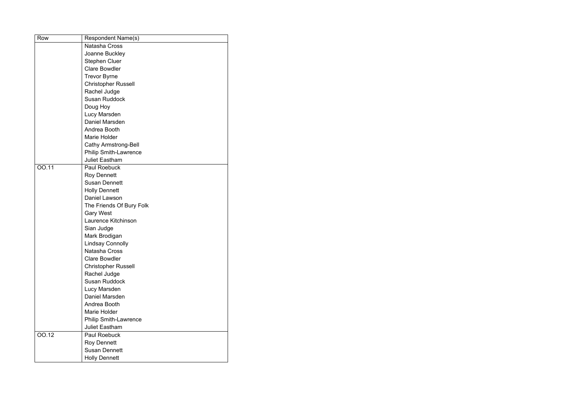| Row          | <b>Respondent Name(s)</b>    |
|--------------|------------------------------|
|              | Natasha Cross                |
|              | Joanne Buckley               |
|              | <b>Stephen Cluer</b>         |
|              | <b>Clare Bowdler</b>         |
|              | <b>Trevor Byrne</b>          |
|              | <b>Christopher Russell</b>   |
|              | Rachel Judge                 |
|              | <b>Susan Ruddock</b>         |
|              | Doug Hoy                     |
|              | Lucy Marsden                 |
|              | Daniel Marsden               |
|              | Andrea Booth                 |
|              | Marie Holder                 |
|              | <b>Cathy Armstrong-Bell</b>  |
|              | <b>Philip Smith-Lawrence</b> |
|              | <b>Juliet Eastham</b>        |
| <b>OO.11</b> | <b>Paul Roebuck</b>          |
|              | <b>Roy Dennett</b>           |
|              | <b>Susan Dennett</b>         |
|              | <b>Holly Dennett</b>         |
|              | Daniel Lawson                |
|              | The Friends Of Bury Folk     |
|              | <b>Gary West</b>             |
|              | Laurence Kitchinson          |
|              | Sian Judge                   |
|              | Mark Brodigan                |
|              | <b>Lindsay Connolly</b>      |
|              | <b>Natasha Cross</b>         |
|              | <b>Clare Bowdler</b>         |
|              | <b>Christopher Russell</b>   |
|              | Rachel Judge                 |
|              | <b>Susan Ruddock</b>         |
|              | Lucy Marsden                 |
|              | Daniel Marsden               |
|              | Andrea Booth                 |
|              | Marie Holder                 |
|              | <b>Philip Smith-Lawrence</b> |
|              | <b>Juliet Eastham</b>        |
| 00.12        | <b>Paul Roebuck</b>          |
|              | <b>Roy Dennett</b>           |
|              | <b>Susan Dennett</b>         |
|              | <b>Holly Dennett</b>         |